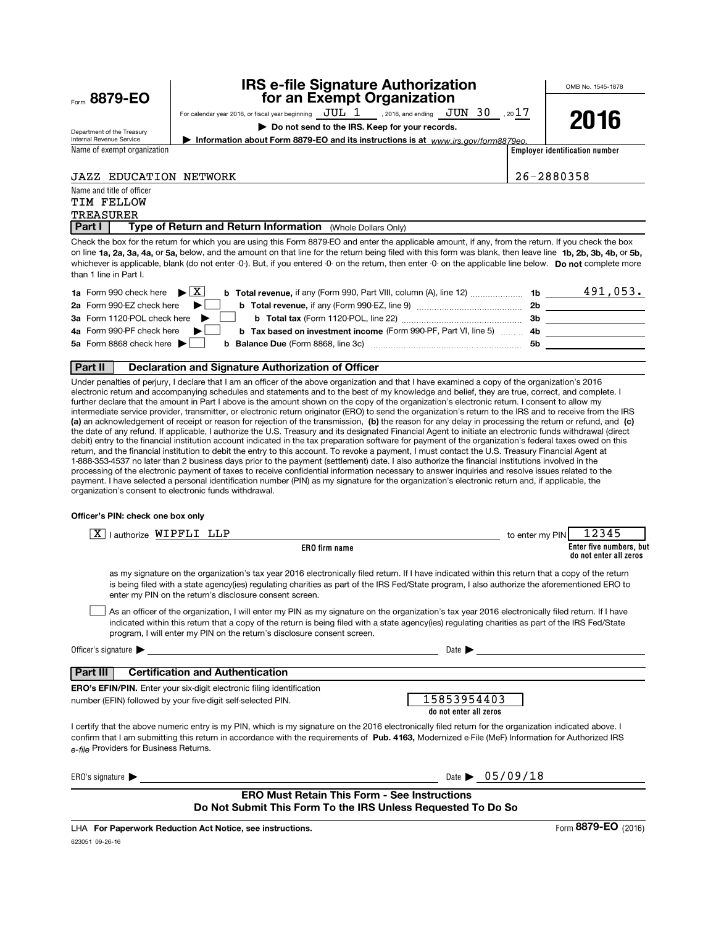| Form 8879-EO                                           |                                                                                                                                                                                                                                | <b>IRS e-file Signature Authorization</b><br>for an Exempt Organization                                                                                                                                                                                                                                                                                                                                                                                                               |                                | OMB No. 1545-1878              |
|--------------------------------------------------------|--------------------------------------------------------------------------------------------------------------------------------------------------------------------------------------------------------------------------------|---------------------------------------------------------------------------------------------------------------------------------------------------------------------------------------------------------------------------------------------------------------------------------------------------------------------------------------------------------------------------------------------------------------------------------------------------------------------------------------|--------------------------------|--------------------------------|
|                                                        |                                                                                                                                                                                                                                | For calendar year 2016, or fiscal year beginning $JUL$ 1 , 2016, and ending $JUN$ 30 , 2017                                                                                                                                                                                                                                                                                                                                                                                           |                                |                                |
|                                                        |                                                                                                                                                                                                                                | Do not send to the IRS. Keep for your records.                                                                                                                                                                                                                                                                                                                                                                                                                                        |                                | 2016                           |
| Department of the Treasury<br>Internal Revenue Service |                                                                                                                                                                                                                                | Information about Form 8879-EO and its instructions is at www.irs.gov/form8879eo.                                                                                                                                                                                                                                                                                                                                                                                                     |                                |                                |
| Name of exempt organization                            |                                                                                                                                                                                                                                |                                                                                                                                                                                                                                                                                                                                                                                                                                                                                       |                                | Employer identification number |
|                                                        |                                                                                                                                                                                                                                |                                                                                                                                                                                                                                                                                                                                                                                                                                                                                       |                                |                                |
| <b>JAZZ EDUCATION NETWORK</b>                          |                                                                                                                                                                                                                                |                                                                                                                                                                                                                                                                                                                                                                                                                                                                                       |                                | 26-2880358                     |
| Name and title of officer                              |                                                                                                                                                                                                                                |                                                                                                                                                                                                                                                                                                                                                                                                                                                                                       |                                |                                |
| <b>TIM FELLOW</b>                                      |                                                                                                                                                                                                                                |                                                                                                                                                                                                                                                                                                                                                                                                                                                                                       |                                |                                |
| TREASURER                                              |                                                                                                                                                                                                                                |                                                                                                                                                                                                                                                                                                                                                                                                                                                                                       |                                |                                |
| Part I                                                 | Type of Return and Return Information (Whole Dollars Only)                                                                                                                                                                     |                                                                                                                                                                                                                                                                                                                                                                                                                                                                                       |                                |                                |
| than 1 line in Part I.                                 |                                                                                                                                                                                                                                | Check the box for the return for which you are using this Form 8879-EO and enter the applicable amount, if any, from the return. If you check the box<br>on line 1a, 2a, 3a, 4a, or 5a, below, and the amount on that line for the return being filed with this form was blank, then leave line 1b, 2b, 3b, 4b, or 5b,<br>whichever is applicable, blank (do not enter -0-). But, if you entered -0- on the return, then enter -0- on the applicable line below. Do not complete more |                                |                                |
| 1a Form 990 check here $\blacktriangleright$ $\mid$ X  |                                                                                                                                                                                                                                |                                                                                                                                                                                                                                                                                                                                                                                                                                                                                       |                                |                                |
| 2a Form 990-EZ check here                              |                                                                                                                                                                                                                                |                                                                                                                                                                                                                                                                                                                                                                                                                                                                                       |                                |                                |
| 3a Form 1120-POL check here                            |                                                                                                                                                                                                                                |                                                                                                                                                                                                                                                                                                                                                                                                                                                                                       |                                |                                |
| 4a Form 990-PF check here                              |                                                                                                                                                                                                                                | b Tax based on investment income (Form 990-PF, Part VI, line 5)  4b _____________________                                                                                                                                                                                                                                                                                                                                                                                             |                                |                                |
| 5a Form 8868 check here $\blacktriangleright$          |                                                                                                                                                                                                                                |                                                                                                                                                                                                                                                                                                                                                                                                                                                                                       |                                |                                |
|                                                        |                                                                                                                                                                                                                                |                                                                                                                                                                                                                                                                                                                                                                                                                                                                                       |                                |                                |
| Part II                                                | Declaration and Signature Authorization of Officer                                                                                                                                                                             |                                                                                                                                                                                                                                                                                                                                                                                                                                                                                       |                                |                                |
| Officer's PIN: check one box only                      | organization's consent to electronic funds withdrawal.                                                                                                                                                                         | processing of the electronic payment of taxes to receive confidential information necessary to answer inquiries and resolve issues related to the<br>payment. I have selected a personal identification number (PIN) as my signature for the organization's electronic return and, if applicable, the                                                                                                                                                                                 |                                |                                |
| $\overline{X}$   authorize WIPFLI LLP                  |                                                                                                                                                                                                                                |                                                                                                                                                                                                                                                                                                                                                                                                                                                                                       | to enter my PIN                | 12345                          |
|                                                        |                                                                                                                                                                                                                                | <b>ERO</b> firm name                                                                                                                                                                                                                                                                                                                                                                                                                                                                  |                                | Enter five numbers, but        |
|                                                        | enter my PIN on the return's disclosure consent screen.                                                                                                                                                                        | as my signature on the organization's tax year 2016 electronically filed return. If I have indicated within this return that a copy of the return<br>is being filed with a state agency(ies) regulating charities as part of the IRS Fed/State program, I also authorize the aforementioned ERO to                                                                                                                                                                                    |                                | do not enter all zeros         |
|                                                        | program, I will enter my PIN on the return's disclosure consent screen.                                                                                                                                                        | As an officer of the organization, I will enter my PIN as my signature on the organization's tax year 2016 electronically filed return. If I have<br>indicated within this return that a copy of the return is being filed with a state agency(ies) regulating charities as part of the IRS Fed/State                                                                                                                                                                                 |                                |                                |
|                                                        | Officer's signature the contract of the contract of the contract of the contract of the contract of the contract of the contract of the contract of the contract of the contract of the contract of the contract of the contra | Date $\blacktriangleright$                                                                                                                                                                                                                                                                                                                                                                                                                                                            |                                |                                |
|                                                        |                                                                                                                                                                                                                                |                                                                                                                                                                                                                                                                                                                                                                                                                                                                                       |                                |                                |
| Part III                                               | <b>Certification and Authentication</b>                                                                                                                                                                                        |                                                                                                                                                                                                                                                                                                                                                                                                                                                                                       |                                |                                |
|                                                        | <b>ERO's EFIN/PIN.</b> Enter your six-digit electronic filing identification                                                                                                                                                   | 15853954403                                                                                                                                                                                                                                                                                                                                                                                                                                                                           |                                |                                |
|                                                        | number (EFIN) followed by your five-digit self-selected PIN.                                                                                                                                                                   | do not enter all zeros                                                                                                                                                                                                                                                                                                                                                                                                                                                                |                                |                                |
| e-file Providers for Business Returns.                 |                                                                                                                                                                                                                                | I certify that the above numeric entry is my PIN, which is my signature on the 2016 electronically filed return for the organization indicated above. I<br>confirm that I am submitting this return in accordance with the requirements of Pub. 4163, Modernized e-File (MeF) Information for Authorized IRS                                                                                                                                                                          |                                |                                |
| ERO's signature $\blacktriangleright$                  |                                                                                                                                                                                                                                |                                                                                                                                                                                                                                                                                                                                                                                                                                                                                       | Date $\triangleright$ 05/09/18 |                                |
|                                                        |                                                                                                                                                                                                                                |                                                                                                                                                                                                                                                                                                                                                                                                                                                                                       |                                |                                |
|                                                        |                                                                                                                                                                                                                                | <b>ERO Must Retain This Form - See Instructions</b>                                                                                                                                                                                                                                                                                                                                                                                                                                   |                                |                                |
|                                                        |                                                                                                                                                                                                                                | Do Not Submit This Form To the IRS Unless Requested To Do So                                                                                                                                                                                                                                                                                                                                                                                                                          |                                |                                |
|                                                        |                                                                                                                                                                                                                                |                                                                                                                                                                                                                                                                                                                                                                                                                                                                                       |                                |                                |

623051 09-26-16 LHA For Paperwork Reduction Act Notice, see instructions.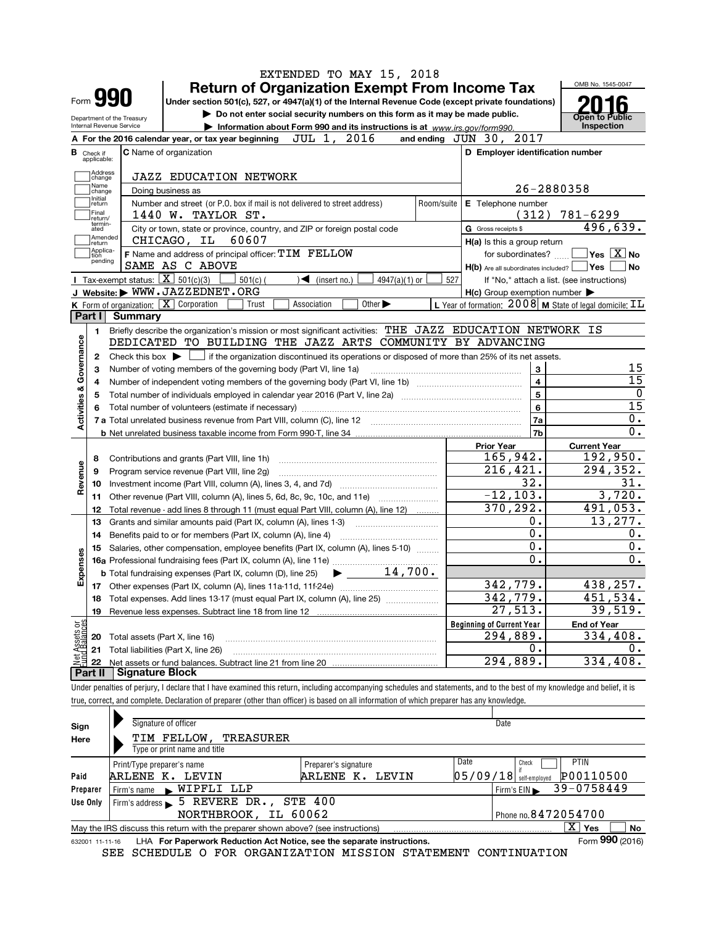|                                                                                                                                      |                   |                                                   | EXTENDED TO MAY 15, 2018                                                                                                                                                   |                |                                                     |                                                                    |  |  |  |  |  |
|--------------------------------------------------------------------------------------------------------------------------------------|-------------------|---------------------------------------------------|----------------------------------------------------------------------------------------------------------------------------------------------------------------------------|----------------|-----------------------------------------------------|--------------------------------------------------------------------|--|--|--|--|--|
|                                                                                                                                      |                   |                                                   | <b>Return of Organization Exempt From Income Tax</b>                                                                                                                       |                |                                                     | OMB No. 1545-0047                                                  |  |  |  |  |  |
|                                                                                                                                      |                   | Form <b>990</b>                                   | Under section 501(c), 527, or 4947(a)(1) of the Internal Revenue Code (except private foundations)                                                                         |                |                                                     |                                                                    |  |  |  |  |  |
|                                                                                                                                      |                   | Department of the Treasury                        | Do not enter social security numbers on this form as it may be made public.                                                                                                |                |                                                     | Open to Public                                                     |  |  |  |  |  |
|                                                                                                                                      |                   | Internal Revenue Service                          | Information about Form 990 and its instructions is at www.irs.gov/form990.                                                                                                 |                |                                                     | Inspection                                                         |  |  |  |  |  |
|                                                                                                                                      |                   |                                                   | 2016<br>JUL 1,<br>A For the 2016 calendar year, or tax year beginning                                                                                                      |                | 2017<br>and ending $JUN$ 30,                        |                                                                    |  |  |  |  |  |
| <b>C</b> Name of organization<br>D Employer identification number<br><b>B</b> Check if<br>applicable:                                |                   |                                                   |                                                                                                                                                                            |                |                                                     |                                                                    |  |  |  |  |  |
|                                                                                                                                      | Address<br>change |                                                   | <b>JAZZ EDUCATION NETWORK</b>                                                                                                                                              |                |                                                     |                                                                    |  |  |  |  |  |
| Name<br>26-2880358<br>Doing business as<br>change                                                                                    |                   |                                                   |                                                                                                                                                                            |                |                                                     |                                                                    |  |  |  |  |  |
| Initial<br>Number and street (or P.O. box if mail is not delivered to street address)<br>E Telephone number<br>Room/suite<br>]return |                   |                                                   |                                                                                                                                                                            |                |                                                     |                                                                    |  |  |  |  |  |
|                                                                                                                                      | Final<br>return/  |                                                   | 1440 W. TAYLOR ST.                                                                                                                                                         |                | (312)                                               | $781 - 6299$                                                       |  |  |  |  |  |
|                                                                                                                                      | termin-<br>ated   |                                                   | City or town, state or province, country, and ZIP or foreign postal code                                                                                                   |                | G Gross receipts \$                                 | 496,639.                                                           |  |  |  |  |  |
|                                                                                                                                      | Amended<br>return |                                                   | CHICAGO, IL<br>60607                                                                                                                                                       |                | $H(a)$ is this a group return                       |                                                                    |  |  |  |  |  |
|                                                                                                                                      | Applica-<br>tion  |                                                   | F Name and address of principal officer: TIM FELLOW                                                                                                                        |                | for subordinates?                                   | $\blacksquare$ Yes $\boxed{\text{X}}$ No                           |  |  |  |  |  |
|                                                                                                                                      | pending           |                                                   | SAME AS C ABOVE                                                                                                                                                            |                | $H(b)$ Are all subordinates included? $\Box$ Yes    | No                                                                 |  |  |  |  |  |
|                                                                                                                                      |                   | Tax-exempt status: $\boxed{\mathbf{X}}$ 501(c)(3) | $4947(a)(1)$ or<br>$501(c)$ (<br>$\sqrt{\bullet}$ (insert no.)                                                                                                             | 527            |                                                     | If "No," attach a list. (see instructions)                         |  |  |  |  |  |
|                                                                                                                                      |                   |                                                   | J Website: WWW.JAZZEDNET.ORG                                                                                                                                               |                | $H(c)$ Group exemption number $\blacktriangleright$ |                                                                    |  |  |  |  |  |
|                                                                                                                                      |                   |                                                   | K Form of organization: X Corporation<br>Association<br>Other $\blacktriangleright$<br>Trust                                                                               |                |                                                     | L Year of formation: $2008$ M State of legal domicile: $\text{IL}$ |  |  |  |  |  |
|                                                                                                                                      | Part I            | Summary                                           |                                                                                                                                                                            |                |                                                     |                                                                    |  |  |  |  |  |
|                                                                                                                                      | 1                 |                                                   | Briefly describe the organization's mission or most significant activities: THE JAZZ EDUCATION NETWORK IS                                                                  |                |                                                     |                                                                    |  |  |  |  |  |
| Governance                                                                                                                           |                   |                                                   | DEDICATED TO BUILDING THE JAZZ ARTS COMMUNITY BY ADVANCING                                                                                                                 |                |                                                     |                                                                    |  |  |  |  |  |
|                                                                                                                                      | 2                 |                                                   | Check this box $\blacktriangleright$   if the organization discontinued its operations or disposed of more than 25% of its net assets.                                     |                |                                                     |                                                                    |  |  |  |  |  |
|                                                                                                                                      | 3                 |                                                   | Number of voting members of the governing body (Part VI, line 1a)                                                                                                          |                | 3                                                   | 15                                                                 |  |  |  |  |  |
|                                                                                                                                      | 4                 |                                                   |                                                                                                                                                                            |                | $\overline{\mathbf{4}}$                             | $\overline{15}$                                                    |  |  |  |  |  |
|                                                                                                                                      | 5                 |                                                   | 5                                                                                                                                                                          | $\overline{0}$ |                                                     |                                                                    |  |  |  |  |  |
|                                                                                                                                      | 6                 |                                                   |                                                                                                                                                                            |                | 6                                                   | $\overline{15}$                                                    |  |  |  |  |  |
| <b>Activities &amp;</b>                                                                                                              |                   |                                                   |                                                                                                                                                                            |                | 7a                                                  | 0.                                                                 |  |  |  |  |  |
|                                                                                                                                      |                   |                                                   |                                                                                                                                                                            |                | 7b                                                  | $0$ .                                                              |  |  |  |  |  |
|                                                                                                                                      |                   |                                                   |                                                                                                                                                                            |                | <b>Prior Year</b>                                   | <b>Current Year</b>                                                |  |  |  |  |  |
|                                                                                                                                      | 8                 |                                                   | Contributions and grants (Part VIII, line 1h)                                                                                                                              |                | 165,942.                                            | 192,950.                                                           |  |  |  |  |  |
| Revenue                                                                                                                              | 9                 |                                                   | Program service revenue (Part VIII, line 2g)                                                                                                                               |                | 216, 421.                                           | 294,352.                                                           |  |  |  |  |  |
|                                                                                                                                      | 10                |                                                   |                                                                                                                                                                            |                | 32.<br>$-12, 103.$                                  | 31.<br>3,720.                                                      |  |  |  |  |  |
|                                                                                                                                      |                   |                                                   | 11 Other revenue (Part VIII, column (A), lines 5, 6d, 8c, 9c, 10c, and 11e)                                                                                                |                | 370, 292.                                           | 491,053.                                                           |  |  |  |  |  |
|                                                                                                                                      | 12                |                                                   | Total revenue - add lines 8 through 11 (must equal Part VIII, column (A), line 12)                                                                                         |                |                                                     | 13,277.                                                            |  |  |  |  |  |
|                                                                                                                                      | 13                |                                                   | Grants and similar amounts paid (Part IX, column (A), lines 1-3)                                                                                                           |                | О.<br>О.                                            | О.                                                                 |  |  |  |  |  |
|                                                                                                                                      | 14                |                                                   | Benefits paid to or for members (Part IX, column (A), line 4)                                                                                                              |                | $\overline{0}$ .                                    | 0.                                                                 |  |  |  |  |  |
| Expenses                                                                                                                             | 15                |                                                   | Salaries, other compensation, employee benefits (Part IX, column (A), lines 5-10)                                                                                          |                | О.                                                  | 0.                                                                 |  |  |  |  |  |
|                                                                                                                                      |                   |                                                   | 14,700.<br><b>b</b> Total fundraising expenses (Part IX, column (D), line 25)<br>▶                                                                                         |                |                                                     |                                                                    |  |  |  |  |  |
|                                                                                                                                      |                   |                                                   |                                                                                                                                                                            |                | 342,779.                                            | 438, 257.                                                          |  |  |  |  |  |
|                                                                                                                                      | 18                |                                                   | Total expenses. Add lines 13-17 (must equal Part IX, column (A), line 25) <i></i>                                                                                          |                | 342,779.                                            | 451,534.                                                           |  |  |  |  |  |
|                                                                                                                                      | 19                |                                                   | Revenue less expenses. Subtract line 18 from line 12                                                                                                                       |                | 27,513.                                             | 39,519.                                                            |  |  |  |  |  |
|                                                                                                                                      |                   |                                                   |                                                                                                                                                                            |                | <b>Beginning of Current Year</b>                    | <b>End of Year</b>                                                 |  |  |  |  |  |
|                                                                                                                                      | 20                | Total assets (Part X, line 16)                    |                                                                                                                                                                            |                | 294,889.                                            | 334,408.                                                           |  |  |  |  |  |
| t Assets or<br>d Balances                                                                                                            | 21                |                                                   | Total liabilities (Part X, line 26)                                                                                                                                        |                | о.                                                  | О.                                                                 |  |  |  |  |  |
| $M_{\rm H}$                                                                                                                          | 22                |                                                   |                                                                                                                                                                            |                | 294,889.                                            | 334,408.                                                           |  |  |  |  |  |
|                                                                                                                                      | Part II           | <b>Signature Block</b>                            |                                                                                                                                                                            |                |                                                     |                                                                    |  |  |  |  |  |
|                                                                                                                                      |                   |                                                   | Under penalties of perjury, I declare that I have examined this return, including accompanying schedules and statements, and to the best of my knowledge and belief, it is |                |                                                     |                                                                    |  |  |  |  |  |
|                                                                                                                                      |                   |                                                   | true, correct, and complete. Declaration of preparer (other than officer) is based on all information of which preparer has any knowledge.                                 |                |                                                     |                                                                    |  |  |  |  |  |
|                                                                                                                                      |                   |                                                   |                                                                                                                                                                            |                |                                                     |                                                                    |  |  |  |  |  |
| Sign                                                                                                                                 |                   |                                                   | Signature of officer                                                                                                                                                       |                | Date                                                |                                                                    |  |  |  |  |  |
| Here                                                                                                                                 |                   |                                                   | TIM FELLOW,<br>TREASURER                                                                                                                                                   |                |                                                     |                                                                    |  |  |  |  |  |
|                                                                                                                                      |                   |                                                   | Type or print name and title                                                                                                                                               |                |                                                     |                                                                    |  |  |  |  |  |

|          | Print/Type preparer's name                                                                          | Preparer's signature | Date | Check                                   | <b>PTIN</b> |  |  |  |  |  |
|----------|-----------------------------------------------------------------------------------------------------|----------------------|------|-----------------------------------------|-------------|--|--|--|--|--|
| Paid     | ARLENE K. LEVIN                                                                                     | ARLENE K. LEVIN      |      | $05/09/18$ $\frac{1}{10}$ self-employed | P00110500   |  |  |  |  |  |
| Preparer | WIPFLI LLP<br>Firm's name                                                                           |                      |      | Firm's EIN                              | 39-0758449  |  |  |  |  |  |
| Use Only | Firm's address $\overline{\phantom{0}}$ 5 REVERE DR., STE 400                                       |                      |      |                                         |             |  |  |  |  |  |
|          | NORTHBROOK, IL 60062                                                                                |                      |      | Phone no. 8472054700                    |             |  |  |  |  |  |
|          | x<br>May the IRS discuss this return with the preparer shown above? (see instructions)<br>Yes<br>No |                      |      |                                         |             |  |  |  |  |  |

632001 11-11-16 LHA For Paperwork Reduction Act Notice, see the separate instructions. LHA For Paperwork Reduction Act Notice, see the separate instructions. Form 990 (2016) SEE SCHEDULE O FOR ORGANIZATION MISSION STATEMENT CONTINUATION

990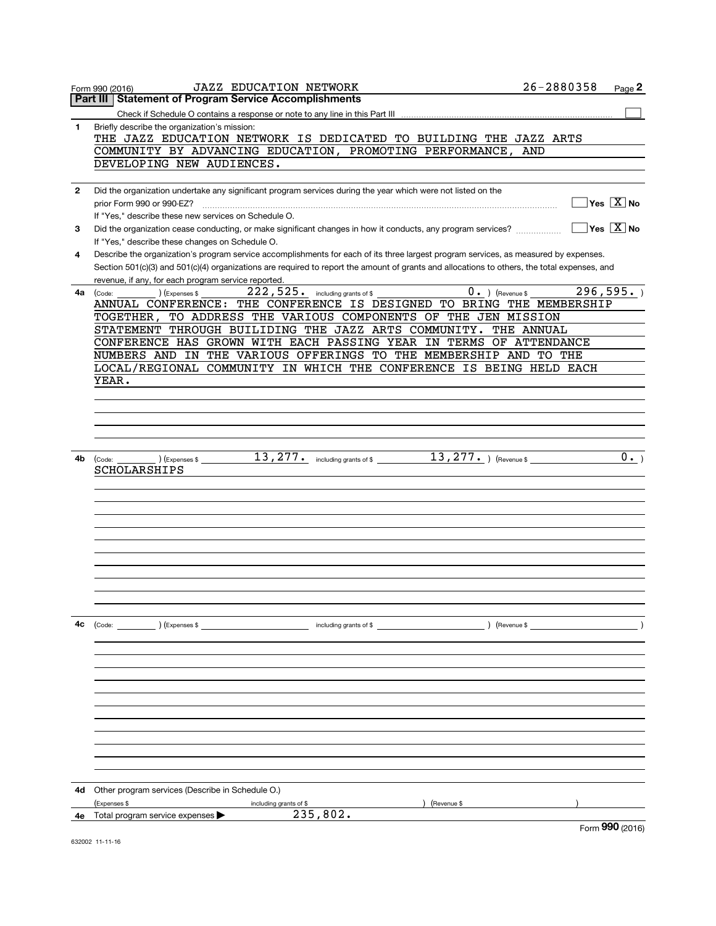|    | <b>JAZZ EDUCATION NETWORK</b><br>Form 990 (2016)                                                                                             | 26-2880358    | Page 2                                                             |
|----|----------------------------------------------------------------------------------------------------------------------------------------------|---------------|--------------------------------------------------------------------|
|    | Part III Statement of Program Service Accomplishments                                                                                        |               |                                                                    |
|    |                                                                                                                                              |               |                                                                    |
| 1  | Briefly describe the organization's mission:                                                                                                 |               |                                                                    |
|    | THE JAZZ EDUCATION NETWORK IS DEDICATED TO BUILDING THE JAZZ ARTS                                                                            |               |                                                                    |
|    | COMMUNITY BY ADVANCING EDUCATION, PROMOTING PERFORMANCE, AND                                                                                 |               |                                                                    |
|    | DEVELOPING NEW AUDIENCES.                                                                                                                    |               |                                                                    |
|    |                                                                                                                                              |               |                                                                    |
| 2  | Did the organization undertake any significant program services during the year which were not listed on the                                 |               |                                                                    |
|    |                                                                                                                                              |               | $\sqrt{\mathsf{Yes}\mathord{\;\mathbb{X}}\mathord{\;\mathsf{No}}}$ |
|    | prior Form 990 or 990-EZ?                                                                                                                    |               |                                                                    |
|    | If "Yes," describe these new services on Schedule O.                                                                                         |               |                                                                    |
| 3  | Did the organization cease conducting, or make significant changes in how it conducts, any program services?                                 |               | $\overline{X}$ No                                                  |
|    | If "Yes," describe these changes on Schedule O.                                                                                              |               |                                                                    |
| 4  | Describe the organization's program service accomplishments for each of its three largest program services, as measured by expenses.         |               |                                                                    |
|    | Section 501(c)(3) and 501(c)(4) organizations are required to report the amount of grants and allocations to others, the total expenses, and |               |                                                                    |
|    | revenue, if any, for each program service reported.                                                                                          |               |                                                                    |
| 4a | 222,525. including grants of \$<br>$0.$ (Revenue \$<br>(Expenses \$<br>(Code:                                                                |               | 296,595.                                                           |
|    | ANNUAL CONFERENCE: THE CONFERENCE IS DESIGNED TO BRING THE MEMBERSHIP                                                                        |               |                                                                    |
|    | TOGETHER, TO ADDRESS THE VARIOUS COMPONENTS OF THE JEN MISSION                                                                               |               |                                                                    |
|    | STATEMENT THROUGH BUILIDING THE JAZZ ARTS COMMUNITY. THE ANNUAL                                                                              |               |                                                                    |
|    | CONFERENCE HAS GROWN WITH EACH PASSING YEAR IN TERMS OF ATTENDANCE                                                                           |               |                                                                    |
|    | NUMBERS AND IN THE VARIOUS OFFERINGS TO THE MEMBERSHIP AND TO THE                                                                            |               |                                                                    |
|    | LOCAL/REGIONAL COMMUNITY IN WHICH THE CONFERENCE IS BEING HELD EACH                                                                          |               |                                                                    |
|    | YEAR.                                                                                                                                        |               |                                                                    |
|    |                                                                                                                                              |               |                                                                    |
|    |                                                                                                                                              |               |                                                                    |
|    |                                                                                                                                              |               |                                                                    |
|    |                                                                                                                                              |               |                                                                    |
|    |                                                                                                                                              |               |                                                                    |
|    |                                                                                                                                              |               |                                                                    |
| 4b | $13,277$ and including grants of \$ $13,277$ and $\gamma$ (Revenue \$<br>(Expenses \$<br>(Code:                                              |               | $0 \cdot$                                                          |
|    | SCHOLARSHIPS                                                                                                                                 |               |                                                                    |
|    |                                                                                                                                              |               |                                                                    |
|    |                                                                                                                                              |               |                                                                    |
|    |                                                                                                                                              |               |                                                                    |
|    |                                                                                                                                              |               |                                                                    |
|    |                                                                                                                                              |               |                                                                    |
|    |                                                                                                                                              |               |                                                                    |
|    |                                                                                                                                              |               |                                                                    |
|    |                                                                                                                                              |               |                                                                    |
|    |                                                                                                                                              |               |                                                                    |
|    |                                                                                                                                              |               |                                                                    |
|    |                                                                                                                                              |               |                                                                    |
|    |                                                                                                                                              |               |                                                                    |
| 4c | (Code: ) (Expenses \$<br>including grants of \$                                                                                              | ) (Revenue \$ |                                                                    |
|    |                                                                                                                                              |               |                                                                    |
|    |                                                                                                                                              |               |                                                                    |
|    |                                                                                                                                              |               |                                                                    |
|    |                                                                                                                                              |               |                                                                    |
|    |                                                                                                                                              |               |                                                                    |
|    |                                                                                                                                              |               |                                                                    |
|    |                                                                                                                                              |               |                                                                    |
|    |                                                                                                                                              |               |                                                                    |
|    |                                                                                                                                              |               |                                                                    |
|    |                                                                                                                                              |               |                                                                    |
|    |                                                                                                                                              |               |                                                                    |
|    |                                                                                                                                              |               |                                                                    |
|    |                                                                                                                                              |               |                                                                    |
| 4d | Other program services (Describe in Schedule O.)                                                                                             |               |                                                                    |
|    | (Expenses \$<br>Revenue \$<br>including grants of \$                                                                                         |               |                                                                    |
| 4e | 235,802.<br>Total program service expenses                                                                                                   |               |                                                                    |
|    |                                                                                                                                              |               | $\mathbf{on}$ .                                                    |

632002 11-11-16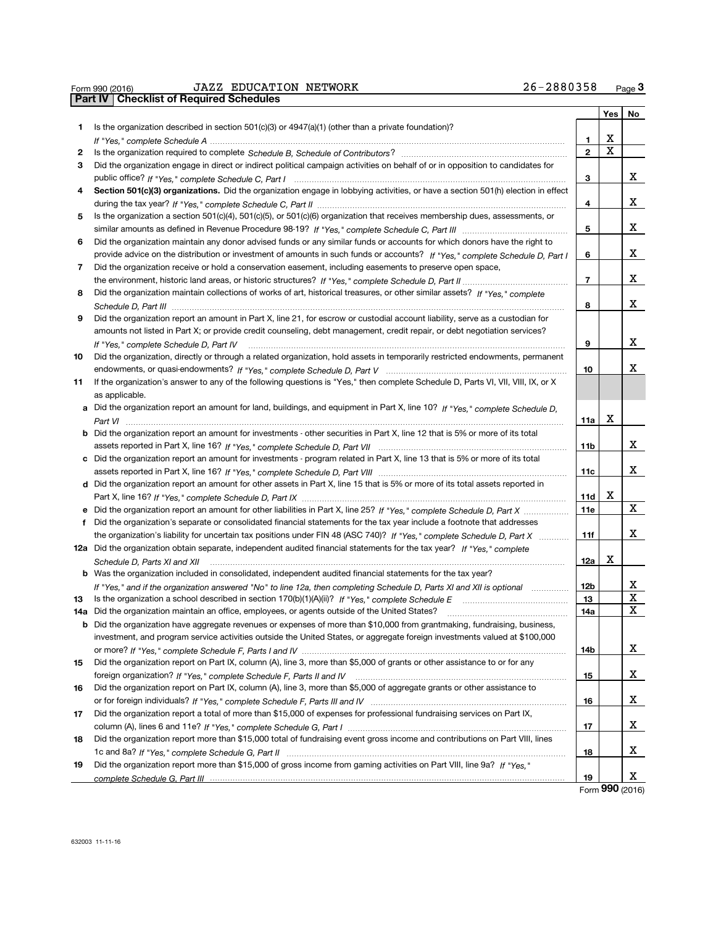|    | Part IV   Checklist of Required Schedules                                                                                            |                          | Yes | No |
|----|--------------------------------------------------------------------------------------------------------------------------------------|--------------------------|-----|----|
| 1. | Is the organization described in section 501(c)(3) or 4947(a)(1) (other than a private foundation)?                                  |                          |     |    |
|    |                                                                                                                                      | 1                        | х   |    |
| 2  |                                                                                                                                      | $\overline{2}$           | x   |    |
| З  | Did the organization engage in direct or indirect political campaign activities on behalf of or in opposition to candidates for      |                          |     |    |
|    |                                                                                                                                      | 3                        |     | x  |
| 4  | Section 501(c)(3) organizations. Did the organization engage in lobbying activities, or have a section 501(h) election in effect     |                          |     |    |
|    |                                                                                                                                      | 4                        |     | x  |
| 5  | Is the organization a section 501(c)(4), 501(c)(5), or 501(c)(6) organization that receives membership dues, assessments, or         |                          |     |    |
|    |                                                                                                                                      | 5                        |     | x  |
| 6  | Did the organization maintain any donor advised funds or any similar funds or accounts for which donors have the right to            |                          |     |    |
|    | provide advice on the distribution or investment of amounts in such funds or accounts? If "Yes," complete Schedule D, Part I         | 6                        |     | х  |
| 7  | Did the organization receive or hold a conservation easement, including easements to preserve open space,                            |                          |     |    |
|    |                                                                                                                                      | $\overline{\phantom{a}}$ |     | х  |
| 8  | Did the organization maintain collections of works of art, historical treasures, or other similar assets? If "Yes." complete         |                          |     |    |
|    |                                                                                                                                      | 8                        |     | х  |
|    |                                                                                                                                      |                          |     |    |
| 9  | Did the organization report an amount in Part X, line 21, for escrow or custodial account liability, serve as a custodian for        |                          |     |    |
|    | amounts not listed in Part X; or provide credit counseling, debt management, credit repair, or debt negotiation services?            |                          |     |    |
|    | If "Yes," complete Schedule D, Part IV                                                                                               | 9                        |     | x  |
| 10 | Did the organization, directly or through a related organization, hold assets in temporarily restricted endowments, permanent        |                          |     | x. |
|    |                                                                                                                                      | 10                       |     |    |
| 11 | If the organization's answer to any of the following questions is "Yes," then complete Schedule D, Parts VI, VII, VIII, IX, or X     |                          |     |    |
|    | as applicable.                                                                                                                       |                          |     |    |
|    | a Did the organization report an amount for land, buildings, and equipment in Part X, line 10? If "Yes," complete Schedule D,        |                          |     |    |
|    |                                                                                                                                      | 11a                      | х   |    |
|    | <b>b</b> Did the organization report an amount for investments - other securities in Part X, line 12 that is 5% or more of its total |                          |     |    |
|    |                                                                                                                                      | 11 <sub>b</sub>          |     | X  |
|    | c Did the organization report an amount for investments - program related in Part X, line 13 that is 5% or more of its total         |                          |     |    |
|    |                                                                                                                                      | 11c                      |     | x  |
|    | d Did the organization report an amount for other assets in Part X, line 15 that is 5% or more of its total assets reported in       |                          |     |    |
|    |                                                                                                                                      | 11d                      | х   |    |
|    | e Did the organization report an amount for other liabilities in Part X, line 25? If "Yes," complete Schedule D, Part X              | 11e                      |     | X  |
| f  | Did the organization's separate or consolidated financial statements for the tax year include a footnote that addresses              |                          |     |    |
|    | the organization's liability for uncertain tax positions under FIN 48 (ASC 740)? If "Yes," complete Schedule D, Part X               | 11f                      |     | x  |
|    | 12a Did the organization obtain separate, independent audited financial statements for the tax year? If "Yes," complete              |                          |     |    |
|    | Schedule D, Parts XI and XII                                                                                                         | 12a                      | х   |    |
|    | <b>b</b> Was the organization included in consolidated, independent audited financial statements for the tax year?                   |                          |     |    |
|    | If "Yes," and if the organization answered "No" to line 12a, then completing Schedule D, Parts XI and XII is optional                | 12 <sub>b</sub>          |     | х  |
| 13 | Is the organization a school described in section $170(b)(1)(A)(ii)?$ If "Yes." complete Schedule E                                  | 13                       |     | х  |
|    | 14a Did the organization maintain an office, employees, or agents outside of the United States?                                      | 14a                      |     | X  |
|    | <b>b</b> Did the organization have aggregate revenues or expenses of more than \$10,000 from grantmaking, fundraising, business,     |                          |     |    |
|    | investment, and program service activities outside the United States, or aggregate foreign investments valued at \$100,000           |                          |     |    |
|    |                                                                                                                                      | 14b                      |     | x  |
| 15 | Did the organization report on Part IX, column (A), line 3, more than \$5,000 of grants or other assistance to or for any            |                          |     |    |
|    |                                                                                                                                      | 15                       |     | х  |
| 16 | Did the organization report on Part IX, column (A), line 3, more than \$5,000 of aggregate grants or other assistance to             |                          |     |    |
|    |                                                                                                                                      | 16                       |     | х  |
| 17 | Did the organization report a total of more than \$15,000 of expenses for professional fundraising services on Part IX,              |                          |     |    |
|    |                                                                                                                                      | 17                       |     | х  |
| 18 | Did the organization report more than \$15,000 total of fundraising event gross income and contributions on Part VIII, lines         |                          |     |    |
|    |                                                                                                                                      | 18                       |     | x  |
| 19 | Did the organization report more than \$15,000 of gross income from gaming activities on Part VIII, line 9a? If "Yes."               |                          |     |    |
|    |                                                                                                                                      | 19                       |     | х  |

 $\frac{1}{26}$  =  $\frac{1}{26}$  =  $\frac{1}{26}$  =  $\frac{1}{26}$  =  $\frac{1}{26}$  =  $\frac{1}{26}$  =  $\frac{1}{26}$  =  $\frac{1}{26}$  =  $\frac{1}{26}$  =  $\frac{1}{26}$  =  $\frac{1}{26}$  =  $\frac{1}{26}$  =  $\frac{1}{26}$  =  $\frac{1}{26}$  =  $\frac{1}{26}$  =  $\frac{1}{26}$  =  $\frac{1}{26}$  =

Form 990 (2016)

26-2880358 Page 3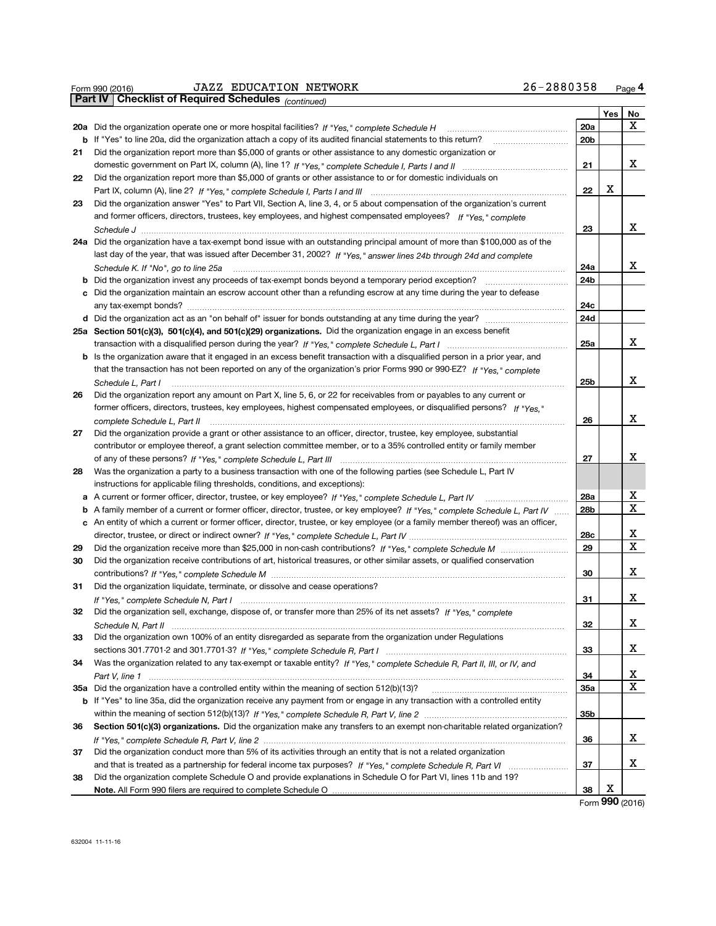|    | <b>JAZZ EDUCATION NETWORK</b><br>Form 990 (2016)                                                                                                                                                                                                | 26-2880358 |     | Page 4                  |
|----|-------------------------------------------------------------------------------------------------------------------------------------------------------------------------------------------------------------------------------------------------|------------|-----|-------------------------|
|    | <b>Checklist of Required Schedules (continued)</b><br>Part IV I                                                                                                                                                                                 |            |     |                         |
|    |                                                                                                                                                                                                                                                 |            | Yes | No                      |
|    |                                                                                                                                                                                                                                                 | 20a        |     | х                       |
|    | <b>b</b> If "Yes" to line 20a, did the organization attach a copy of its audited financial statements to this return?                                                                                                                           | 20b        |     |                         |
| 21 | Did the organization report more than \$5,000 of grants or other assistance to any domestic organization or                                                                                                                                     |            |     |                         |
|    |                                                                                                                                                                                                                                                 | 21         |     | х                       |
| 22 | Did the organization report more than \$5,000 of grants or other assistance to or for domestic individuals on                                                                                                                                   |            |     |                         |
|    |                                                                                                                                                                                                                                                 | 22         | х   |                         |
| 23 | Did the organization answer "Yes" to Part VII, Section A, line 3, 4, or 5 about compensation of the organization's current                                                                                                                      |            |     |                         |
|    | and former officers, directors, trustees, key employees, and highest compensated employees? If "Yes," complete                                                                                                                                  |            |     |                         |
|    |                                                                                                                                                                                                                                                 | 23         |     | x                       |
|    | 24a Did the organization have a tax-exempt bond issue with an outstanding principal amount of more than \$100,000 as of the                                                                                                                     |            |     |                         |
|    | last day of the year, that was issued after December 31, 2002? If "Yes," answer lines 24b through 24d and complete                                                                                                                              |            |     |                         |
|    |                                                                                                                                                                                                                                                 | 24a        |     | x                       |
|    | <b>b</b> Did the organization invest any proceeds of tax-exempt bonds beyond a temporary period exception?                                                                                                                                      | 24b        |     |                         |
|    | c Did the organization maintain an escrow account other than a refunding escrow at any time during the year to defease                                                                                                                          |            |     |                         |
|    |                                                                                                                                                                                                                                                 | 24с        |     |                         |
|    | d Did the organization act as an "on behalf of" issuer for bonds outstanding at any time during the year?                                                                                                                                       | 24d        |     |                         |
|    | 25a Section 501(c)(3), 501(c)(4), and 501(c)(29) organizations. Did the organization engage in an excess benefit                                                                                                                                |            |     | х                       |
|    |                                                                                                                                                                                                                                                 | 25a        |     |                         |
|    | <b>b</b> Is the organization aware that it engaged in an excess benefit transaction with a disqualified person in a prior year, and                                                                                                             |            |     |                         |
|    | that the transaction has not been reported on any of the organization's prior Forms 990 or 990-EZ? If "Yes." complete                                                                                                                           |            |     | x                       |
|    | Schedule L, Part I                                                                                                                                                                                                                              | 25b        |     |                         |
| 26 | Did the organization report any amount on Part X, line 5, 6, or 22 for receivables from or payables to any current or<br>former officers, directors, trustees, key employees, highest compensated employees, or disqualified persons? If "Yes." |            |     |                         |
|    |                                                                                                                                                                                                                                                 | 26         |     | х                       |
| 27 | Did the organization provide a grant or other assistance to an officer, director, trustee, key employee, substantial                                                                                                                            |            |     |                         |
|    | contributor or employee thereof, a grant selection committee member, or to a 35% controlled entity or family member                                                                                                                             |            |     |                         |
|    |                                                                                                                                                                                                                                                 | 27         |     | х                       |
| 28 | Was the organization a party to a business transaction with one of the following parties (see Schedule L, Part IV                                                                                                                               |            |     |                         |
|    | instructions for applicable filing thresholds, conditions, and exceptions):                                                                                                                                                                     |            |     |                         |
|    | a A current or former officer, director, trustee, or key employee? If "Yes," complete Schedule L, Part IV                                                                                                                                       | 28a        |     | $\overline{\mathbf{x}}$ |
|    | b A family member of a current or former officer, director, trustee, or key employee? If "Yes," complete Schedule L, Part IV                                                                                                                    | 28b        |     | X                       |
|    | c An entity of which a current or former officer, director, trustee, or key employee (or a family member thereof) was an officer,                                                                                                               |            |     |                         |
|    |                                                                                                                                                                                                                                                 | 28c        |     | х                       |
| 29 |                                                                                                                                                                                                                                                 | 29         |     | x                       |
| 30 | Did the organization receive contributions of art, historical treasures, or other similar assets, or qualified conservation                                                                                                                     |            |     |                         |
|    |                                                                                                                                                                                                                                                 | 30         |     | х                       |
| 31 | Did the organization liquidate, terminate, or dissolve and cease operations?                                                                                                                                                                    |            |     |                         |
|    |                                                                                                                                                                                                                                                 | 31         |     | x                       |
| 32 | Did the organization sell, exchange, dispose of, or transfer more than 25% of its net assets? If "Yes," complete                                                                                                                                |            |     |                         |
|    |                                                                                                                                                                                                                                                 | 32         |     | х                       |
| 33 | Did the organization own 100% of an entity disregarded as separate from the organization under Regulations                                                                                                                                      |            |     |                         |
|    |                                                                                                                                                                                                                                                 | 33         |     | x                       |
| 34 | Was the organization related to any tax-exempt or taxable entity? If "Yes," complete Schedule R, Part II, III, or IV, and                                                                                                                       |            |     |                         |
|    |                                                                                                                                                                                                                                                 | 34         |     | х                       |
|    | 35a Did the organization have a controlled entity within the meaning of section 512(b)(13)?                                                                                                                                                     | 35a        |     | X                       |
|    | b If "Yes" to line 35a, did the organization receive any payment from or engage in any transaction with a controlled entity                                                                                                                     |            |     |                         |
|    |                                                                                                                                                                                                                                                 | 35b        |     |                         |
| 36 | Section 501(c)(3) organizations. Did the organization make any transfers to an exempt non-charitable related organization?                                                                                                                      |            |     |                         |
|    |                                                                                                                                                                                                                                                 | 36         |     | х                       |
| 37 | Did the organization conduct more than 5% of its activities through an entity that is not a related organization                                                                                                                                |            |     |                         |
|    |                                                                                                                                                                                                                                                 | 37         |     | x                       |
| 38 | Did the organization complete Schedule O and provide explanations in Schedule O for Part VI, lines 11b and 19?                                                                                                                                  |            |     |                         |
|    |                                                                                                                                                                                                                                                 | 38         | х   |                         |
|    |                                                                                                                                                                                                                                                 |            |     | Form 990 (2016)         |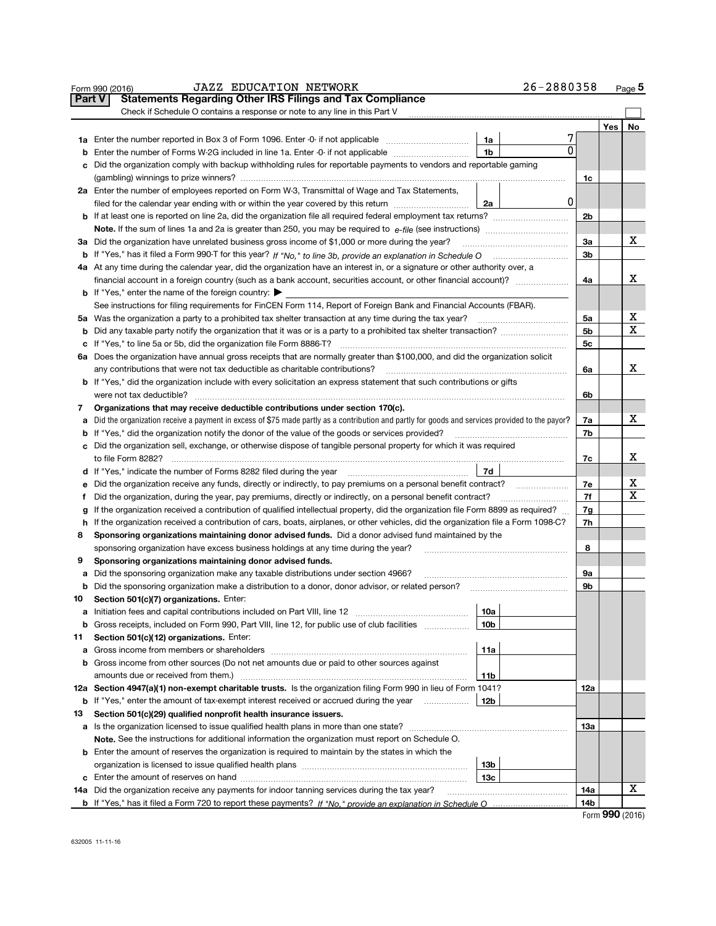|               | <b>JAZZ EDUCATION NETWORK</b><br>Form 990 (2016)                                                                                                                                                                                                        |     | 26-2880358 |          |            | Page 5 |  |  |  |
|---------------|---------------------------------------------------------------------------------------------------------------------------------------------------------------------------------------------------------------------------------------------------------|-----|------------|----------|------------|--------|--|--|--|
| <b>Part V</b> | <b>Statements Regarding Other IRS Filings and Tax Compliance</b>                                                                                                                                                                                        |     |            |          |            |        |  |  |  |
|               | Check if Schedule O contains a response or note to any line in this Part V                                                                                                                                                                              |     |            |          |            |        |  |  |  |
|               |                                                                                                                                                                                                                                                         |     |            |          | <b>Yes</b> | No     |  |  |  |
|               | 1a Enter the number reported in Box 3 of Form 1096. Enter -0- if not applicable                                                                                                                                                                         | 1a  | 7          |          |            |        |  |  |  |
| b             | Enter the number of Forms W-2G included in line 1a. Enter -0- if not applicable <i>manumumumum</i>                                                                                                                                                      | 1b  | 0          |          |            |        |  |  |  |
| c             | Did the organization comply with backup withholding rules for reportable payments to vendors and reportable gaming                                                                                                                                      |     |            |          |            |        |  |  |  |
|               |                                                                                                                                                                                                                                                         |     |            | 1c       |            |        |  |  |  |
|               | 2a Enter the number of employees reported on Form W-3, Transmittal of Wage and Tax Statements,                                                                                                                                                          |     |            |          |            |        |  |  |  |
|               | filed for the calendar year ending with or within the year covered by this return                                                                                                                                                                       | 2a  | 0          |          |            |        |  |  |  |
|               |                                                                                                                                                                                                                                                         |     |            | 2b       |            |        |  |  |  |
|               | <b>Note.</b> If the sum of lines 1a and 2a is greater than 250, you may be required to $e$ -file (see instructions) <i>marrouum</i> manus                                                                                                               |     |            |          |            |        |  |  |  |
|               | 3a Did the organization have unrelated business gross income of \$1,000 or more during the year?                                                                                                                                                        |     |            | За       |            | х      |  |  |  |
|               |                                                                                                                                                                                                                                                         |     |            | 3b       |            |        |  |  |  |
|               | 4a At any time during the calendar year, did the organization have an interest in, or a signature or other authority over, a                                                                                                                            |     |            |          |            |        |  |  |  |
|               | financial account in a foreign country (such as a bank account, securities account, or other financial account)?                                                                                                                                        |     |            | 4a       |            | x      |  |  |  |
|               | <b>b</b> If "Yes," enter the name of the foreign country: $\blacktriangleright$                                                                                                                                                                         |     |            |          |            |        |  |  |  |
|               | See instructions for filing requirements for FinCEN Form 114, Report of Foreign Bank and Financial Accounts (FBAR).                                                                                                                                     |     |            |          |            |        |  |  |  |
|               | 5a Was the organization a party to a prohibited tax shelter transaction at any time during the tax year?                                                                                                                                                |     |            | 5a       |            | х      |  |  |  |
| b             | Did any taxable party notify the organization that it was or is a party to a prohibited tax shelter transaction?                                                                                                                                        |     |            | 5b       |            | x      |  |  |  |
| с             | If "Yes," to line 5a or 5b, did the organization file Form 8886-T?                                                                                                                                                                                      |     |            | 5c       |            |        |  |  |  |
|               | 6a Does the organization have annual gross receipts that are normally greater than \$100,000, and did the organization solicit                                                                                                                          |     |            |          |            |        |  |  |  |
|               | any contributions that were not tax deductible as charitable contributions?                                                                                                                                                                             |     |            | 6a       |            | x      |  |  |  |
| b             | If "Yes," did the organization include with every solicitation an express statement that such contributions or gifts                                                                                                                                    |     |            |          |            |        |  |  |  |
|               | were not tax deductible?                                                                                                                                                                                                                                |     |            | 6b       |            |        |  |  |  |
| 7             | Organizations that may receive deductible contributions under section 170(c).                                                                                                                                                                           |     |            |          |            |        |  |  |  |
|               | Did the organization receive a payment in excess of \$75 made partly as a contribution and partly for goods and services provided to the payor?<br>а<br>If "Yes," did the organization notify the donor of the value of the goods or services provided? |     |            |          |            |        |  |  |  |
| b             | c Did the organization sell, exchange, or otherwise dispose of tangible personal property for which it was required                                                                                                                                     |     |            | 7b       |            |        |  |  |  |
|               |                                                                                                                                                                                                                                                         |     |            | 7c       |            | x      |  |  |  |
|               | 7d<br>d If "Yes," indicate the number of Forms 8282 filed during the year                                                                                                                                                                               |     |            |          |            |        |  |  |  |
| е             | Did the organization receive any funds, directly or indirectly, to pay premiums on a personal benefit contract?                                                                                                                                         |     |            |          |            |        |  |  |  |
| f             | Did the organization, during the year, pay premiums, directly or indirectly, on a personal benefit contract?                                                                                                                                            |     |            |          |            |        |  |  |  |
| g             | If the organization received a contribution of qualified intellectual property, did the organization file Form 8899 as required?                                                                                                                        |     |            | 7f<br>7g |            | Х      |  |  |  |
| h             | If the organization received a contribution of cars, boats, airplanes, or other vehicles, did the organization file a Form 1098-C?                                                                                                                      |     |            | 7h       |            |        |  |  |  |
| 8             | Sponsoring organizations maintaining donor advised funds. Did a donor advised fund maintained by the                                                                                                                                                    |     |            |          |            |        |  |  |  |
|               | sponsoring organization have excess business holdings at any time during the year?                                                                                                                                                                      |     |            | 8        |            |        |  |  |  |
| 9             | Sponsoring organizations maintaining donor advised funds.                                                                                                                                                                                               |     |            |          |            |        |  |  |  |
| a             | Did the sponsoring organization make any taxable distributions under section 4966?                                                                                                                                                                      |     |            | 9а       |            |        |  |  |  |
| b             |                                                                                                                                                                                                                                                         |     |            | 9b       |            |        |  |  |  |
| 10            | Section 501(c)(7) organizations. Enter:                                                                                                                                                                                                                 |     |            |          |            |        |  |  |  |
|               |                                                                                                                                                                                                                                                         | 10a |            |          |            |        |  |  |  |
| b             | Gross receipts, included on Form 990, Part VIII, line 12, for public use of club facilities                                                                                                                                                             | 10b |            |          |            |        |  |  |  |
| 11            | Section 501(c)(12) organizations. Enter:                                                                                                                                                                                                                |     |            |          |            |        |  |  |  |
| a             | Gross income from members or shareholders                                                                                                                                                                                                               | 11a |            |          |            |        |  |  |  |
| b             | Gross income from other sources (Do not net amounts due or paid to other sources against                                                                                                                                                                |     |            |          |            |        |  |  |  |
|               | amounts due or received from them.)                                                                                                                                                                                                                     | 11b |            |          |            |        |  |  |  |
|               | 12a Section 4947(a)(1) non-exempt charitable trusts. Is the organization filing Form 990 in lieu of Form 1041?                                                                                                                                          |     |            | 12a      |            |        |  |  |  |
|               | <b>b</b> If "Yes," enter the amount of tax-exempt interest received or accrued during the year                                                                                                                                                          | 12b |            |          |            |        |  |  |  |
| 13            | Section 501(c)(29) qualified nonprofit health insurance issuers.                                                                                                                                                                                        |     |            |          |            |        |  |  |  |
|               |                                                                                                                                                                                                                                                         |     |            | 13a      |            |        |  |  |  |
|               | Note. See the instructions for additional information the organization must report on Schedule O.                                                                                                                                                       |     |            |          |            |        |  |  |  |
|               | <b>b</b> Enter the amount of reserves the organization is required to maintain by the states in which the                                                                                                                                               |     |            |          |            |        |  |  |  |
|               |                                                                                                                                                                                                                                                         | 13b |            |          |            |        |  |  |  |
|               |                                                                                                                                                                                                                                                         | 13c |            |          |            |        |  |  |  |
|               | 14a Did the organization receive any payments for indoor tanning services during the tax year?                                                                                                                                                          |     |            | 14a      |            | х      |  |  |  |
|               |                                                                                                                                                                                                                                                         |     |            | 14b      |            |        |  |  |  |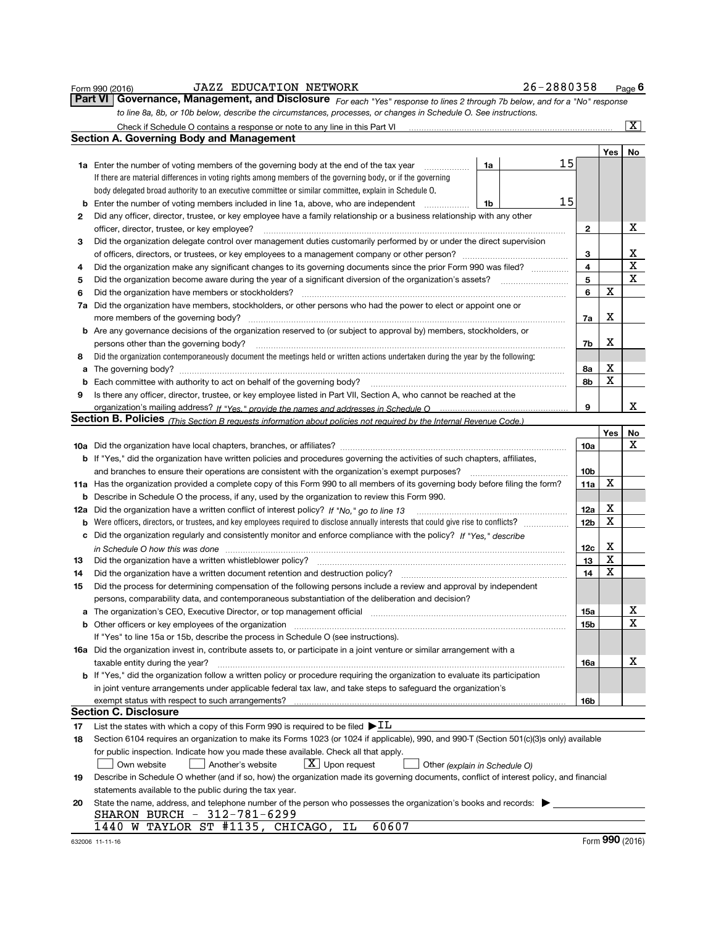|     | <b>JAZZ EDUCATION NETWORK</b><br>Form 990 (2016)                                                                                                                       | 26-2880358      |            | Page 6                  |
|-----|------------------------------------------------------------------------------------------------------------------------------------------------------------------------|-----------------|------------|-------------------------|
|     | <b>Part VI</b><br>Governance, Management, and Disclosure For each "Yes" response to lines 2 through 7b below, and for a "No" response                                  |                 |            |                         |
|     | to line 8a, 8b, or 10b below, describe the circumstances, processes, or changes in Schedule O. See instructions.                                                       |                 |            |                         |
|     | Check if Schedule O contains a response or note to any line in this Part VI [11] [12] [13] Check if Schedule O contains a response or note to any line in this Part VI |                 |            | $\overline{\mathbf{x}}$ |
|     | <b>Section A. Governing Body and Management</b>                                                                                                                        |                 |            |                         |
|     |                                                                                                                                                                        |                 | <b>Yes</b> | No                      |
|     | <b>1a</b> Enter the number of voting members of the governing body at the end of the tax year<br>1a                                                                    | 15              |            |                         |
|     | If there are material differences in voting rights among members of the governing body, or if the governing                                                            |                 |            |                         |
|     | body delegated broad authority to an executive committee or similar committee, explain in Schedule O.                                                                  |                 |            |                         |
| b   | Enter the number of voting members included in line 1a, above, who are independent<br>1b                                                                               | 15              |            |                         |
| 2   | Did any officer, director, trustee, or key employee have a family relationship or a business relationship with any other                                               |                 |            |                         |
|     | officer, director, trustee, or key employee?                                                                                                                           | 2               |            | х                       |
| 3   | Did the organization delegate control over management duties customarily performed by or under the direct supervision                                                  |                 |            |                         |
|     |                                                                                                                                                                        | 3               |            | х                       |
| 4   | Did the organization make any significant changes to its governing documents since the prior Form 990 was filed?                                                       | 4               |            | х                       |
| 5   |                                                                                                                                                                        | 5               |            | X                       |
| 6   | Did the organization have members or stockholders?                                                                                                                     | 6               | х          |                         |
| 7a  | Did the organization have members, stockholders, or other persons who had the power to elect or appoint one or                                                         |                 |            |                         |
|     | more members of the governing body?                                                                                                                                    | 7a              | х          |                         |
|     | <b>b</b> Are any governance decisions of the organization reserved to (or subject to approval by) members, stockholders, or                                            |                 |            |                         |
|     | persons other than the governing body?                                                                                                                                 | 7b              | х          |                         |
| 8   | Did the organization contemporaneously document the meetings held or written actions undertaken during the year by the following:                                      |                 |            |                         |
| а   |                                                                                                                                                                        | 8a              | х<br>х     |                         |
| b   |                                                                                                                                                                        | 8b              |            |                         |
| 9   | Is there any officer, director, trustee, or key employee listed in Part VII, Section A, who cannot be reached at the                                                   | 9               |            | х                       |
|     | Section B. Policies (This Section B requests information about policies not required by the Internal Revenue Code.)                                                    |                 |            |                         |
|     |                                                                                                                                                                        |                 | Yes        | No                      |
|     |                                                                                                                                                                        | 10a             |            | x                       |
|     | <b>b</b> If "Yes," did the organization have written policies and procedures governing the activities of such chapters, affiliates,                                    |                 |            |                         |
|     | and branches to ensure their operations are consistent with the organization's exempt purposes?                                                                        | 10b             |            |                         |
|     | 11a Has the organization provided a complete copy of this Form 990 to all members of its governing body before filing the form?                                        | 11a             | х          |                         |
|     | <b>b</b> Describe in Schedule O the process, if any, used by the organization to review this Form 990.                                                                 |                 |            |                         |
| 12a |                                                                                                                                                                        | 12a             | х          |                         |
| b   | Were officers, directors, or trustees, and key employees required to disclose annually interests that could give rise to conflicts?                                    | 12 <sub>b</sub> | X          |                         |
| c   | Did the organization regularly and consistently monitor and enforce compliance with the policy? If "Yes." describe                                                     |                 |            |                         |
|     | in Schedule O how this was done manufactured and continuum control of the state of the state of the state of t                                                         | 12c             | х          |                         |
| 13  | Did the organization have a written whistleblower policy?                                                                                                              | 13              | х          |                         |
| 14  | Did the organization have a written document retention and destruction policy?                                                                                         | 14              | х          |                         |
| 15  | Did the process for determining compensation of the following persons include a review and approval by independent                                                     |                 |            |                         |
|     | persons, comparability data, and contemporaneous substantiation of the deliberation and decision?                                                                      |                 |            |                         |
|     | a The organization's CEO, Executive Director, or top management official [100011] [100011] The organization's CEO, Executive Director, or top management official      | <b>15a</b>      |            | х                       |
| b   |                                                                                                                                                                        | 15b             |            | X                       |
|     | If "Yes" to line 15a or 15b, describe the process in Schedule O (see instructions).                                                                                    |                 |            |                         |
|     | 16a Did the organization invest in, contribute assets to, or participate in a joint venture or similar arrangement with a                                              |                 |            |                         |
|     | taxable entity during the year?                                                                                                                                        | 16a             |            | x                       |
|     | <b>b</b> If "Yes," did the organization follow a written policy or procedure requiring the organization to evaluate its participation                                  |                 |            |                         |
|     | in joint venture arrangements under applicable federal tax law, and take steps to safeguard the organization's                                                         |                 |            |                         |
|     | exempt status with respect to such arrangements?                                                                                                                       | 16b             |            |                         |
|     | <b>Section C. Disclosure</b>                                                                                                                                           |                 |            |                         |
| 17  | List the states with which a copy of this Form 990 is required to be filed $\blacktriangleright \underline{\text{IL}}$                                                 |                 |            |                         |
| 18  | Section 6104 requires an organization to make its Forms 1023 (or 1024 if applicable), 990, and 990-T (Section 501(c)(3)s only) available                               |                 |            |                         |
|     | for public inspection. Indicate how you made these available. Check all that apply.                                                                                    |                 |            |                         |
|     | $\lfloor x \rfloor$ Upon request<br>Own website<br>Another's website<br>Other (explain in Schedule O)                                                                  |                 |            |                         |
| 19  | Describe in Schedule O whether (and if so, how) the organization made its governing documents, conflict of interest policy, and financial                              |                 |            |                         |
|     | statements available to the public during the tax year.                                                                                                                |                 |            |                         |
| 20  | State the name, address, and telephone number of the person who possesses the organization's books and records:                                                        |                 |            |                         |
|     | SHARON BURCH - 312-781-6299                                                                                                                                            |                 |            |                         |
|     | 1440 W TAYLOR ST #1135, CHICAGO,<br>60607<br>ΙL                                                                                                                        |                 |            |                         |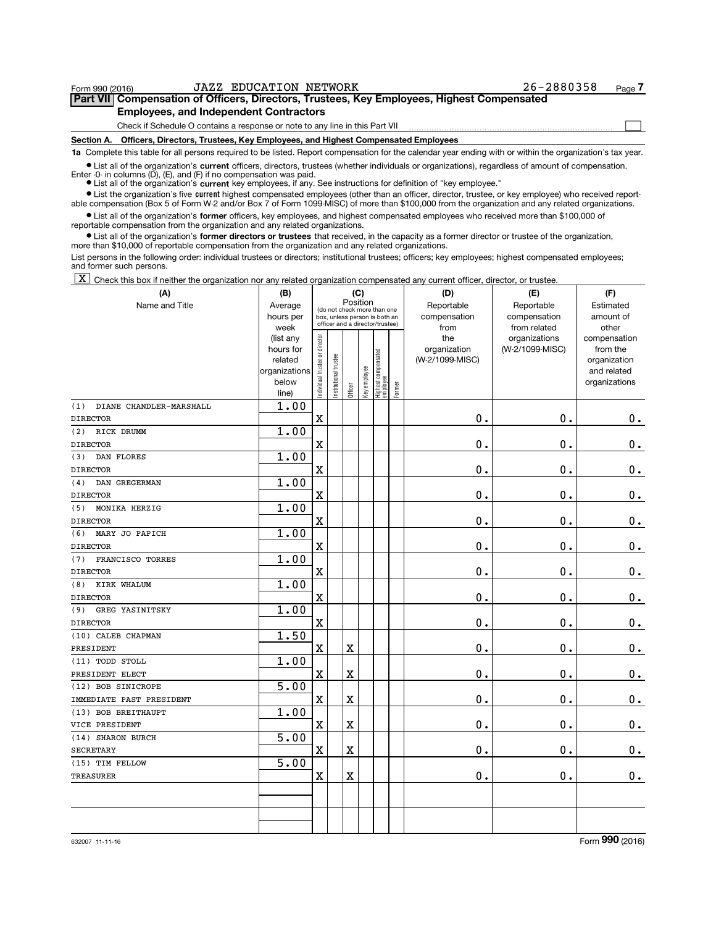| Form 990 (2016)                               | <b>JAZZ EDUCATION NETWORK</b>                                                                                                                              | 26-2880358 | Page - |  |  |  |  |  |  |  |
|-----------------------------------------------|------------------------------------------------------------------------------------------------------------------------------------------------------------|------------|--------|--|--|--|--|--|--|--|
|                                               | Part VII Compensation of Officers, Directors, Trustees, Key Employees, Highest Compensated                                                                 |            |        |  |  |  |  |  |  |  |
| <b>Employees, and Independent Contractors</b> |                                                                                                                                                            |            |        |  |  |  |  |  |  |  |
|                                               | Check if Schedule O contains a response or note to any line in this Part VII                                                                               |            |        |  |  |  |  |  |  |  |
|                                               | Section A. Officers, Directors, Trustees, Key Employees, and Highest Compensated Employees                                                                 |            |        |  |  |  |  |  |  |  |
|                                               | 1a Complete this table for all persons required to be listed. Report compensation for the calendar year ending with or within the organization's tax year. |            |        |  |  |  |  |  |  |  |

current ● List all of the organization's current officers, directors, trustees (whether individuals or organizations), regardless of amount of compensation.<br>Enter -0- in columns (D), (E), and (F) if no compensation was paid.

**•** List all of the organization's current key employees, if any. See instructions for definition of "key employee."

Ist the organization's five current highest compensated employees (other than an officer, director, trustee, or key employee) who received report-List all of the organization's former officers, key employees, and highest compensated employees who received more than \$100,000 of able compensation (Box 5 of Form W-2 and/or Box 7 of Form 1099-MISC) of more than \$100,000 from the organization and any related organizations. reportable compensation from the organization and any related organizations.

• List all of the organization's former directors or trustees that received, in the capacity as a former director or trustee of the organization, more than \$10,000 of reportable compensation from the organization and any related organizations.

List persons in the following order: individual trustees or directors; institutional trustees; officers; key employees; highest compensated employees; and former such persons.

X Check this box if neither the organization nor any related organization compensated any current officer, director, or trustee.

| (A)                                     | (B)                    |                               |                      | (C)      |              |                                                              |        | (D)                 | (E)                              | (F)                      |
|-----------------------------------------|------------------------|-------------------------------|----------------------|----------|--------------|--------------------------------------------------------------|--------|---------------------|----------------------------------|--------------------------|
| Name and Title                          | Average                |                               |                      | Position |              |                                                              |        | Reportable          | Reportable                       | Estimated                |
|                                         | hours per              |                               |                      |          |              | (do not check more than one<br>box, unless person is both an |        | compensation        | compensation                     | amount of                |
|                                         | week                   |                               |                      |          |              | officer and a director/trustee)                              |        | from                | from related                     | other                    |
|                                         | (list any<br>hours for | ndividual trustee or director |                      |          |              |                                                              |        | the<br>organization | organizations<br>(W-2/1099-MISC) | compensation<br>from the |
|                                         | related                |                               |                      |          |              | Highest compensated<br>employee                              |        | (W-2/1099-MISC)     |                                  | organization             |
|                                         | organizations          |                               |                      |          |              |                                                              |        |                     |                                  | and related              |
|                                         | below                  |                               | nstitutional trustee |          | Key employee |                                                              |        |                     |                                  | organizations            |
|                                         | line)                  |                               |                      | Officer  |              |                                                              | Former |                     |                                  |                          |
| DIANE CHANDLER-MARSHALL<br>(1)          | 1.00                   |                               |                      |          |              |                                                              |        |                     |                                  |                          |
| <b>DIRECTOR</b>                         |                        | $\mathbf X$                   |                      |          |              |                                                              |        | $\mathbf{0}$ .      | 0.                               | 0.                       |
| RICK DRUMM<br>(2)                       | 1.00                   |                               |                      |          |              |                                                              |        |                     |                                  |                          |
| <b>DIRECTOR</b>                         |                        | $\mathbf X$                   |                      |          |              |                                                              |        | 0.                  | $\mathbf 0$ .                    | $\mathbf 0$ .            |
| (3)<br>DAN FLORES                       | 1.00                   |                               |                      |          |              |                                                              |        |                     |                                  |                          |
| <b>DIRECTOR</b>                         |                        | $\mathbf X$                   |                      |          |              |                                                              |        | О.                  | 0.                               | 0.                       |
| DAN GREGERMAN<br>(4)<br><b>DIRECTOR</b> | 1.00                   | $\overline{\mathbf{X}}$       |                      |          |              |                                                              |        | $\mathbf{0}$ .      | $\mathbf 0$ .                    | $\mathbf 0$ .            |
| MONIKA HERZIG<br>(5)                    | 1.00                   |                               |                      |          |              |                                                              |        |                     |                                  |                          |
| <b>DIRECTOR</b>                         |                        | $\rm X$                       |                      |          |              |                                                              |        | $\mathbf 0$ .       | 0.                               | $\mathbf 0$ .            |
| (6)<br>MARY JO PAPICH                   | 1.00                   |                               |                      |          |              |                                                              |        |                     |                                  |                          |
| <b>DIRECTOR</b>                         |                        | $\mathbf x$                   |                      |          |              |                                                              |        | $\mathbf 0$ .       | $\mathbf 0$ .                    | $\mathbf 0$ .            |
| (7)<br>FRANCISCO TORRES                 | 1.00                   |                               |                      |          |              |                                                              |        |                     |                                  |                          |
| <b>DIRECTOR</b>                         |                        | X                             |                      |          |              |                                                              |        | О.                  | $\mathbf 0$ .                    | $\mathbf 0$ .            |
| KIRK WHALUM<br>(8)                      | 1.00                   |                               |                      |          |              |                                                              |        |                     |                                  |                          |
| <b>DIRECTOR</b>                         |                        | $\mathbf x$                   |                      |          |              |                                                              |        | $\mathbf{0}$ .      | 0.                               | $\mathbf 0$ .            |
| (9)<br>GREG YASINITSKY                  | 1.00                   |                               |                      |          |              |                                                              |        |                     |                                  |                          |
| <b>DIRECTOR</b>                         |                        | X                             |                      |          |              |                                                              |        | $\mathbf 0$ .       | 0.                               | $\mathbf 0$ .            |
| (10) CALEB CHAPMAN                      | 1.50                   |                               |                      |          |              |                                                              |        |                     |                                  |                          |
| PRESIDENT                               |                        | $\mathbf x$                   |                      | X        |              |                                                              |        | $\mathbf 0$ .       | 0.                               | $\mathbf 0$ .            |
| (11) TODD STOLL                         | 1.00                   |                               |                      |          |              |                                                              |        |                     |                                  |                          |
| PRESIDENT ELECT                         |                        | $\rm X$                       |                      | X        |              |                                                              |        | $\mathbf 0$ .       | 0.                               | $0$ .                    |
| (12) BOB SINICROPE                      | 5.00                   |                               |                      |          |              |                                                              |        |                     |                                  |                          |
| IMMEDIATE PAST PRESIDENT                |                        | $\rm X$                       |                      | X        |              |                                                              |        | $\mathbf 0$ .       | 0.                               | $0$ .                    |
| (13) BOB BREITHAUPT                     | 1.00                   |                               |                      |          |              |                                                              |        |                     |                                  |                          |
| VICE PRESIDENT                          |                        | $\rm X$                       |                      | X        |              |                                                              |        | $\mathbf 0$ .       | 0.                               | 0.                       |
| (14) SHARON BURCH                       | 5.00                   |                               |                      |          |              |                                                              |        |                     |                                  |                          |
| <b>SECRETARY</b>                        |                        | $\mathbf x$                   |                      | X        |              |                                                              |        | $\mathbf 0$ .       | 0.                               | $0$ .                    |
| (15) TIM FELLOW                         | 5.00                   |                               |                      |          |              |                                                              |        |                     |                                  |                          |
| <b>TREASURER</b>                        |                        | $\mathbf X$                   |                      | X        |              |                                                              |        | $\mathbf 0$ .       | 0.                               | $0_{.}$                  |
|                                         |                        |                               |                      |          |              |                                                              |        |                     |                                  |                          |
|                                         |                        |                               |                      |          |              |                                                              |        |                     |                                  |                          |
|                                         |                        |                               |                      |          |              |                                                              |        |                     |                                  |                          |
|                                         |                        |                               |                      |          |              |                                                              |        |                     |                                  |                          |

632007 11-11-16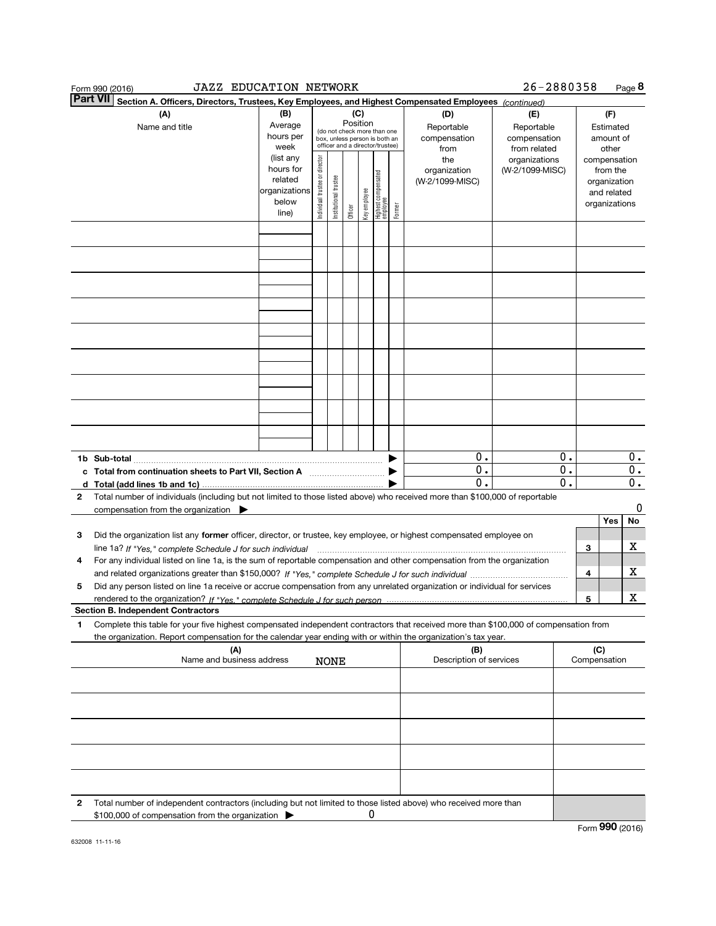| <b>JAZZ EDUCATION NETWORK</b><br>Form 990 (2016)                                                                                                   |                                                                                                    |                                   |                                                                                                                          |         |                          |                                   |        |                                                                                     | 26-2880358                                                                            |                  |                     | Page 8                                                                                                             |
|----------------------------------------------------------------------------------------------------------------------------------------------------|----------------------------------------------------------------------------------------------------|-----------------------------------|--------------------------------------------------------------------------------------------------------------------------|---------|--------------------------|-----------------------------------|--------|-------------------------------------------------------------------------------------|---------------------------------------------------------------------------------------|------------------|---------------------|--------------------------------------------------------------------------------------------------------------------|
| <b>Part VII</b><br>Section A. Officers, Directors, Trustees, Key Employees, and Highest Compensated Employees (continued)                          |                                                                                                    |                                   |                                                                                                                          |         |                          |                                   |        |                                                                                     |                                                                                       |                  |                     |                                                                                                                    |
| (A)<br>Name and title                                                                                                                              | (B)<br>Average<br>hours per<br>week<br>(list any<br>hours for<br>related<br>organizations<br>below | director<br>Individual trustee or | (do not check more than one<br>box, unless person is both an<br>officer and a director/trustee)<br>Institutional trustee | (C)     | Position<br>Key employee | Highest compensated<br>  employee |        | (D)<br>Reportable<br>compensation<br>from<br>the<br>organization<br>(W-2/1099-MISC) | (E)<br>Reportable<br>compensation<br>from related<br>organizations<br>(W-2/1099-MISC) |                  |                     | (F)<br>Estimated<br>amount of<br>other<br>compensation<br>from the<br>organization<br>and related<br>organizations |
|                                                                                                                                                    | line)                                                                                              |                                   |                                                                                                                          | Officer |                          |                                   | Former |                                                                                     |                                                                                       |                  |                     |                                                                                                                    |
|                                                                                                                                                    |                                                                                                    |                                   |                                                                                                                          |         |                          |                                   |        |                                                                                     |                                                                                       |                  |                     |                                                                                                                    |
|                                                                                                                                                    |                                                                                                    |                                   |                                                                                                                          |         |                          |                                   |        |                                                                                     |                                                                                       |                  |                     |                                                                                                                    |
|                                                                                                                                                    |                                                                                                    |                                   |                                                                                                                          |         |                          |                                   |        |                                                                                     |                                                                                       |                  |                     |                                                                                                                    |
|                                                                                                                                                    |                                                                                                    |                                   |                                                                                                                          |         |                          |                                   |        |                                                                                     |                                                                                       |                  |                     |                                                                                                                    |
|                                                                                                                                                    |                                                                                                    |                                   |                                                                                                                          |         |                          |                                   |        |                                                                                     |                                                                                       |                  |                     |                                                                                                                    |
|                                                                                                                                                    |                                                                                                    |                                   |                                                                                                                          |         |                          |                                   |        |                                                                                     |                                                                                       |                  |                     |                                                                                                                    |
|                                                                                                                                                    |                                                                                                    |                                   |                                                                                                                          |         |                          |                                   |        |                                                                                     |                                                                                       |                  |                     |                                                                                                                    |
|                                                                                                                                                    |                                                                                                    |                                   |                                                                                                                          |         |                          |                                   |        |                                                                                     |                                                                                       |                  |                     |                                                                                                                    |
|                                                                                                                                                    |                                                                                                    |                                   |                                                                                                                          |         |                          |                                   |        |                                                                                     |                                                                                       |                  |                     |                                                                                                                    |
|                                                                                                                                                    |                                                                                                    |                                   |                                                                                                                          |         |                          |                                   |        |                                                                                     |                                                                                       |                  |                     |                                                                                                                    |
|                                                                                                                                                    |                                                                                                    |                                   |                                                                                                                          |         |                          |                                   | ▶      | 0.<br>0.                                                                            |                                                                                       | 0.<br>0.         |                     | $0$ .<br>$\overline{0}$ .                                                                                          |
| c Total from continuation sheets to Part VII, Section A [111] [12] [20]<br>d Total (add lines 1b and 1c)                                           |                                                                                                    |                                   |                                                                                                                          |         |                          |                                   |        | $\overline{0}$ .                                                                    |                                                                                       | $\overline{0}$ . |                     | $\overline{0}$ .                                                                                                   |
| Total number of individuals (including but not limited to those listed above) who received more than \$100,000 of reportable<br>2                  |                                                                                                    |                                   |                                                                                                                          |         |                          |                                   |        |                                                                                     |                                                                                       |                  |                     | 0                                                                                                                  |
| compensation from the organization                                                                                                                 |                                                                                                    |                                   |                                                                                                                          |         |                          |                                   |        |                                                                                     |                                                                                       |                  |                     | Yes<br>No                                                                                                          |
| Did the organization list any former officer, director, or trustee, key employee, or highest compensated employee on<br>з                          |                                                                                                    |                                   |                                                                                                                          |         |                          |                                   |        |                                                                                     |                                                                                       |                  |                     |                                                                                                                    |
| For any individual listed on line 1a, is the sum of reportable compensation and other compensation from the organization<br>4                      |                                                                                                    |                                   |                                                                                                                          |         |                          |                                   |        |                                                                                     |                                                                                       |                  | З                   | х                                                                                                                  |
|                                                                                                                                                    |                                                                                                    |                                   |                                                                                                                          |         |                          |                                   |        |                                                                                     |                                                                                       |                  | 4                   | х                                                                                                                  |
| Did any person listed on line 1a receive or accrue compensation from any unrelated organization or individual for services<br>5                    |                                                                                                    |                                   |                                                                                                                          |         |                          |                                   |        |                                                                                     |                                                                                       |                  |                     |                                                                                                                    |
| <b>Section B. Independent Contractors</b>                                                                                                          |                                                                                                    |                                   |                                                                                                                          |         |                          |                                   |        |                                                                                     |                                                                                       |                  | 5                   | x                                                                                                                  |
| Complete this table for your five highest compensated independent contractors that received more than \$100,000 of compensation from<br>1          |                                                                                                    |                                   |                                                                                                                          |         |                          |                                   |        |                                                                                     |                                                                                       |                  |                     |                                                                                                                    |
| the organization. Report compensation for the calendar year ending with or within the organization's tax year.<br>(A)<br>Name and business address |                                                                                                    |                                   | NONE                                                                                                                     |         |                          |                                   |        | (B)<br>Description of services                                                      |                                                                                       |                  | (C)<br>Compensation |                                                                                                                    |
|                                                                                                                                                    |                                                                                                    |                                   |                                                                                                                          |         |                          |                                   |        |                                                                                     |                                                                                       |                  |                     |                                                                                                                    |
|                                                                                                                                                    |                                                                                                    |                                   |                                                                                                                          |         |                          |                                   |        |                                                                                     |                                                                                       |                  |                     |                                                                                                                    |
|                                                                                                                                                    |                                                                                                    |                                   |                                                                                                                          |         |                          |                                   |        |                                                                                     |                                                                                       |                  |                     |                                                                                                                    |
|                                                                                                                                                    |                                                                                                    |                                   |                                                                                                                          |         |                          |                                   |        |                                                                                     |                                                                                       |                  |                     |                                                                                                                    |
|                                                                                                                                                    |                                                                                                    |                                   |                                                                                                                          |         |                          |                                   |        |                                                                                     |                                                                                       |                  |                     |                                                                                                                    |
| Total number of independent contractors (including but not limited to those listed above) who received more than<br>2                              |                                                                                                    |                                   |                                                                                                                          |         |                          |                                   |        |                                                                                     |                                                                                       |                  |                     |                                                                                                                    |
| \$100,000 of compensation from the organization                                                                                                    |                                                                                                    |                                   |                                                                                                                          |         |                          |                                   |        |                                                                                     |                                                                                       |                  |                     |                                                                                                                    |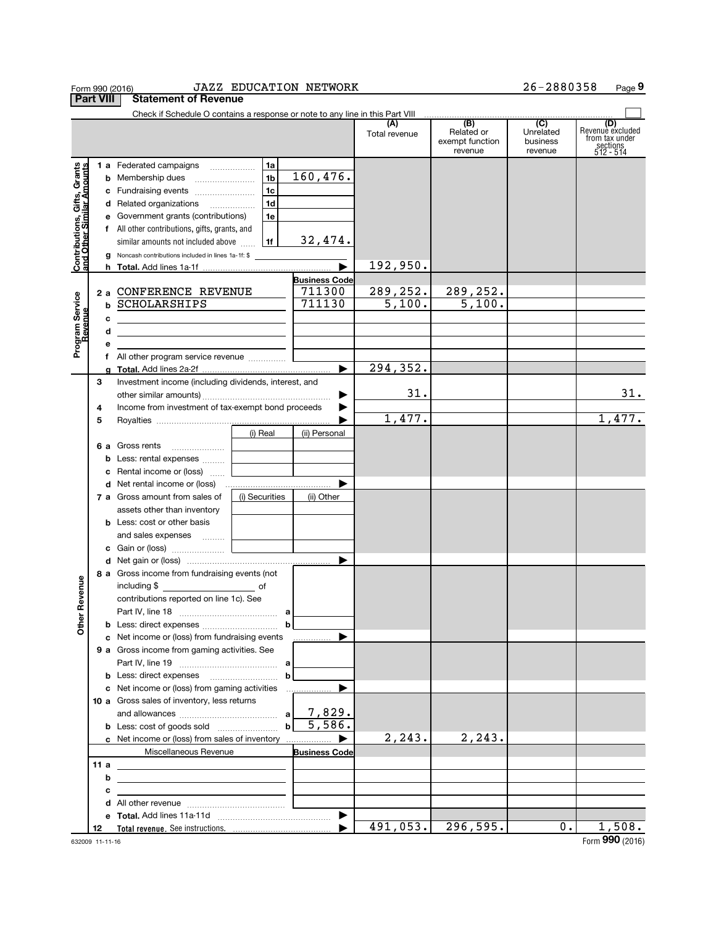|                                                           |                                                         |   | Form 990 (2016)                                                                                |                | <b>JAZZ EDUCATION NETWORK</b>  |               |                                          | 26-2880358                       | Page 9                                                             |
|-----------------------------------------------------------|---------------------------------------------------------|---|------------------------------------------------------------------------------------------------|----------------|--------------------------------|---------------|------------------------------------------|----------------------------------|--------------------------------------------------------------------|
| <b>Part VIII</b>                                          |                                                         |   | <b>Statement of Revenue</b>                                                                    |                |                                |               |                                          |                                  |                                                                    |
|                                                           |                                                         |   |                                                                                                |                |                                | (A)           | (B)                                      | $\overline{C}$                   |                                                                    |
|                                                           |                                                         |   |                                                                                                |                |                                | Total revenue | Related or<br>exempt function<br>revenue | Unrelated<br>business<br>revenue | (D)<br>Revenue excluded<br>from tax under<br>sections<br>512 - 514 |
|                                                           |                                                         |   | 1 a Federated campaigns                                                                        | 1a             |                                |               |                                          |                                  |                                                                    |
|                                                           |                                                         |   |                                                                                                | 1 <sub>b</sub> | 160,476.                       |               |                                          |                                  |                                                                    |
|                                                           |                                                         |   |                                                                                                | 1 <sub>c</sub> |                                |               |                                          |                                  |                                                                    |
|                                                           |                                                         |   | d Related organizations                                                                        | 1 <sub>d</sub> |                                |               |                                          |                                  |                                                                    |
|                                                           |                                                         |   | <b>e</b> Government grants (contributions)                                                     | 1e             |                                |               |                                          |                                  |                                                                    |
|                                                           |                                                         |   | f All other contributions, gifts, grants, and                                                  |                |                                |               |                                          |                                  |                                                                    |
|                                                           |                                                         |   | similar amounts not included above                                                             | 1f             | <u>32,474.</u>                 |               |                                          |                                  |                                                                    |
| Contributions, Gifts, Grants<br>and Other Similar Amounts |                                                         |   | g Noncash contributions included in lines 1a-1f: \$                                            |                |                                |               |                                          |                                  |                                                                    |
|                                                           |                                                         |   |                                                                                                |                |                                | 192,950.      |                                          |                                  |                                                                    |
|                                                           |                                                         |   | 2 a CONFERENCE REVENUE                                                                         |                | <b>Business Code</b><br>711300 | 289,252.      | 289,252.                                 |                                  |                                                                    |
| Program Service                                           |                                                         |   | <b>b SCHOLARSHIPS</b>                                                                          |                | 711130                         | 5,100.        | 5,100.                                   |                                  |                                                                    |
|                                                           |                                                         | с |                                                                                                |                |                                |               |                                          |                                  |                                                                    |
|                                                           |                                                         | d | <u> 1989 - Andrea Andrew Maria (h. 1989).</u><br><u> 1980 - Andrea Andrew Maria (h. 1980).</u> |                |                                |               |                                          |                                  |                                                                    |
|                                                           |                                                         | е |                                                                                                |                |                                |               |                                          |                                  |                                                                    |
|                                                           |                                                         |   |                                                                                                |                |                                |               |                                          |                                  |                                                                    |
|                                                           |                                                         |   |                                                                                                |                | ▶                              | 294,352.      |                                          |                                  |                                                                    |
|                                                           | 3                                                       |   | Investment income (including dividends, interest, and                                          |                |                                |               |                                          |                                  |                                                                    |
|                                                           |                                                         |   |                                                                                                |                | ▶                              | 31.           |                                          |                                  | 31.                                                                |
|                                                           | Income from investment of tax-exempt bond proceeds<br>4 |   |                                                                                                |                | ▶                              |               |                                          |                                  |                                                                    |
|                                                           | 5                                                       |   |                                                                                                |                |                                | 1,477.        |                                          |                                  | 1,477.                                                             |
|                                                           |                                                         |   |                                                                                                | (i) Real       | (ii) Personal                  |               |                                          |                                  |                                                                    |
|                                                           |                                                         |   | 6 a Gross rents                                                                                |                |                                |               |                                          |                                  |                                                                    |
|                                                           |                                                         |   | <b>b</b> Less: rental expenses                                                                 |                |                                |               |                                          |                                  |                                                                    |
|                                                           |                                                         |   | <b>c</b> Rental income or (loss)                                                               |                | ▶                              |               |                                          |                                  |                                                                    |
|                                                           |                                                         |   | 7 a Gross amount from sales of                                                                 | (i) Securities | (ii) Other                     |               |                                          |                                  |                                                                    |
|                                                           |                                                         |   | assets other than inventory                                                                    |                |                                |               |                                          |                                  |                                                                    |
|                                                           |                                                         |   | <b>b</b> Less: cost or other basis                                                             |                |                                |               |                                          |                                  |                                                                    |
|                                                           |                                                         |   | and sales expenses                                                                             |                |                                |               |                                          |                                  |                                                                    |
|                                                           |                                                         |   |                                                                                                |                |                                |               |                                          |                                  |                                                                    |
|                                                           |                                                         |   |                                                                                                |                | $\blacktriangleright$          |               |                                          |                                  |                                                                    |
|                                                           |                                                         |   | 8 a Gross income from fundraising events (not                                                  |                |                                |               |                                          |                                  |                                                                    |
| evenue                                                    |                                                         |   | including \$<br><u>of</u> of                                                                   |                |                                |               |                                          |                                  |                                                                    |
|                                                           |                                                         |   | contributions reported on line 1c). See                                                        |                |                                |               |                                          |                                  |                                                                    |
| Other                                                     |                                                         |   |                                                                                                |                |                                |               |                                          |                                  |                                                                    |
|                                                           |                                                         |   | c Net income or (loss) from fundraising events                                                 |                |                                |               |                                          |                                  |                                                                    |
|                                                           |                                                         |   | 9 a Gross income from gaming activities. See                                                   |                |                                |               |                                          |                                  |                                                                    |
|                                                           |                                                         |   |                                                                                                |                |                                |               |                                          |                                  |                                                                    |
|                                                           |                                                         |   |                                                                                                | b              |                                |               |                                          |                                  |                                                                    |
|                                                           |                                                         |   | c Net income or (loss) from gaming activities                                                  |                | ▶<br>. <u>.</u>                |               |                                          |                                  |                                                                    |
|                                                           |                                                         |   | 10 a Gross sales of inventory, less returns                                                    |                |                                |               |                                          |                                  |                                                                    |
|                                                           |                                                         |   |                                                                                                | а              | 7,829.                         |               |                                          |                                  |                                                                    |
|                                                           |                                                         |   |                                                                                                | b              | 5,586.                         |               |                                          |                                  |                                                                    |
|                                                           |                                                         |   | c Net income or (loss) from sales of inventory                                                 |                |                                | 2,243.        | 2, 243.                                  |                                  |                                                                    |
|                                                           |                                                         |   | Miscellaneous Revenue                                                                          |                | <b>Business Code</b>           |               |                                          |                                  |                                                                    |
|                                                           | 11 a                                                    | b |                                                                                                |                |                                |               |                                          |                                  |                                                                    |
|                                                           |                                                         | с |                                                                                                |                |                                |               |                                          |                                  |                                                                    |
|                                                           |                                                         |   |                                                                                                |                |                                |               |                                          |                                  |                                                                    |
|                                                           |                                                         |   |                                                                                                |                | ▶                              |               |                                          |                                  |                                                                    |
|                                                           | 12                                                      |   |                                                                                                |                |                                | 491,053.      | 296,595.                                 | 0.                               | 1,508.                                                             |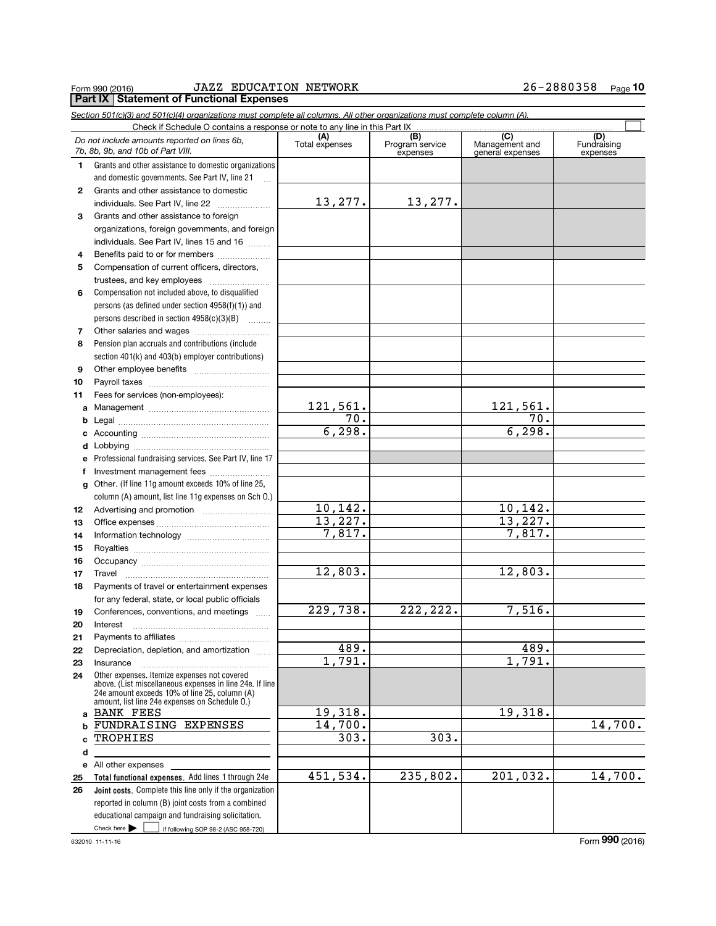#### Form 990 (2016) JAZZ EDUCATION NETWORK 2.6~2.8.8.0.3.5.8 Page<br>| **Part IX** | Statement of Functional Expenses JAZZ EDUCATION NETWORK 26-2880358

# 26-2880358 Page 10

|    | Section 501(c)(3) and 501(c)(4) organizations must complete all columns. All other organizations must complete column (A).                                                                                  |                       |                                    |                                    |                         |
|----|-------------------------------------------------------------------------------------------------------------------------------------------------------------------------------------------------------------|-----------------------|------------------------------------|------------------------------------|-------------------------|
|    | Check if Schedule O contains a response or note to any line in this Part IX                                                                                                                                 |                       |                                    | (C)                                | (D)                     |
|    | Do not include amounts reported on lines 6b,<br>7b, 8b, 9b, and 10b of Part VIII.                                                                                                                           | (A)<br>Total expenses | (B)<br>Program service<br>expenses | Management and<br>general expenses | Fundraising<br>expenses |
| 1. | Grants and other assistance to domestic organizations                                                                                                                                                       |                       |                                    |                                    |                         |
|    | and domestic governments. See Part IV, line 21                                                                                                                                                              |                       |                                    |                                    |                         |
| 2  | Grants and other assistance to domestic                                                                                                                                                                     |                       |                                    |                                    |                         |
|    | individuals. See Part IV, line 22                                                                                                                                                                           | 13, 277.              | 13,277.                            |                                    |                         |
| 3  | Grants and other assistance to foreign                                                                                                                                                                      |                       |                                    |                                    |                         |
|    | organizations, foreign governments, and foreign                                                                                                                                                             |                       |                                    |                                    |                         |
|    | individuals. See Part IV, lines 15 and 16                                                                                                                                                                   |                       |                                    |                                    |                         |
| 4  | Benefits paid to or for members                                                                                                                                                                             |                       |                                    |                                    |                         |
| 5  | Compensation of current officers, directors,                                                                                                                                                                |                       |                                    |                                    |                         |
|    | trustees, and key employees                                                                                                                                                                                 |                       |                                    |                                    |                         |
| 6  | Compensation not included above, to disqualified                                                                                                                                                            |                       |                                    |                                    |                         |
|    | persons (as defined under section 4958(f)(1)) and                                                                                                                                                           |                       |                                    |                                    |                         |
|    | persons described in section 4958(c)(3)(B)                                                                                                                                                                  |                       |                                    |                                    |                         |
| 7  |                                                                                                                                                                                                             |                       |                                    |                                    |                         |
| 8  | Pension plan accruals and contributions (include                                                                                                                                                            |                       |                                    |                                    |                         |
|    | section 401(k) and 403(b) employer contributions)                                                                                                                                                           |                       |                                    |                                    |                         |
| 9  |                                                                                                                                                                                                             |                       |                                    |                                    |                         |
| 10 |                                                                                                                                                                                                             |                       |                                    |                                    |                         |
| 11 | Fees for services (non-employees):                                                                                                                                                                          |                       |                                    |                                    |                         |
|    |                                                                                                                                                                                                             | 121,561.              |                                    | <u>121,561.</u>                    |                         |
| b  |                                                                                                                                                                                                             | 70.                   |                                    | 70.                                |                         |
|    |                                                                                                                                                                                                             | 6, 298.               |                                    | 6, 298.                            |                         |
| c  |                                                                                                                                                                                                             |                       |                                    |                                    |                         |
| d  |                                                                                                                                                                                                             |                       |                                    |                                    |                         |
| е  | Professional fundraising services. See Part IV, line 17                                                                                                                                                     |                       |                                    |                                    |                         |
| f  | Investment management fees                                                                                                                                                                                  |                       |                                    |                                    |                         |
| g  | Other. (If line 11g amount exceeds 10% of line 25,                                                                                                                                                          |                       |                                    |                                    |                         |
|    | column (A) amount, list line 11g expenses on Sch 0.)                                                                                                                                                        |                       |                                    |                                    |                         |
| 12 | Advertising and promotion <i></i>                                                                                                                                                                           | 10,142.<br>13,227.    |                                    | 10,142.<br>13,227.                 |                         |
| 13 |                                                                                                                                                                                                             |                       |                                    |                                    |                         |
| 14 |                                                                                                                                                                                                             | 7,817.                |                                    | 7,817.                             |                         |
| 15 |                                                                                                                                                                                                             |                       |                                    |                                    |                         |
| 16 |                                                                                                                                                                                                             |                       |                                    |                                    |                         |
| 17 |                                                                                                                                                                                                             | 12,803.               |                                    | 12,803.                            |                         |
| 18 | Payments of travel or entertainment expenses                                                                                                                                                                |                       |                                    |                                    |                         |
|    | for any federal, state, or local public officials                                                                                                                                                           |                       |                                    |                                    |                         |
| 19 | Conferences, conventions, and meetings                                                                                                                                                                      | 229,738.              | 222, 222.                          | 7,516.                             |                         |
| 20 |                                                                                                                                                                                                             |                       |                                    |                                    |                         |
| 21 |                                                                                                                                                                                                             |                       |                                    |                                    |                         |
| 22 | Depreciation, depletion, and amortization                                                                                                                                                                   | 489.                  |                                    | 489.                               |                         |
| 23 | Insurance                                                                                                                                                                                                   | 1,791.                |                                    | 1,791.                             |                         |
| 24 | Other expenses. Itemize expenses not covered<br>above. (List miscellaneous expenses in line 24e. If line<br>24e amount exceeds 10% of line 25, column (A)<br>amount, list line 24e expenses on Schedule 0.) |                       |                                    |                                    |                         |
| a  | <b>BANK FEES</b>                                                                                                                                                                                            | 19,318.               |                                    | 19,318.                            |                         |
| b  | FUNDRAISING EXPENSES                                                                                                                                                                                        | $\overline{14,700}$ . |                                    |                                    | 14,700.                 |
| C  | TROPHIES                                                                                                                                                                                                    | 303.                  | 303.                               |                                    |                         |
| d  |                                                                                                                                                                                                             |                       |                                    |                                    |                         |
| е  | All other expenses                                                                                                                                                                                          |                       |                                    |                                    |                         |
| 25 | Total functional expenses. Add lines 1 through 24e                                                                                                                                                          | 451,534.              | 235,802.                           | 201,032.                           | 14,700.                 |
| 26 | Joint costs. Complete this line only if the organization                                                                                                                                                    |                       |                                    |                                    |                         |
|    | reported in column (B) joint costs from a combined                                                                                                                                                          |                       |                                    |                                    |                         |
|    | educational campaign and fundraising solicitation.                                                                                                                                                          |                       |                                    |                                    |                         |
|    | Check here $\blacktriangleright$<br>if following SOP 98-2 (ASC 958-720)                                                                                                                                     |                       |                                    |                                    |                         |

632010 11-11-16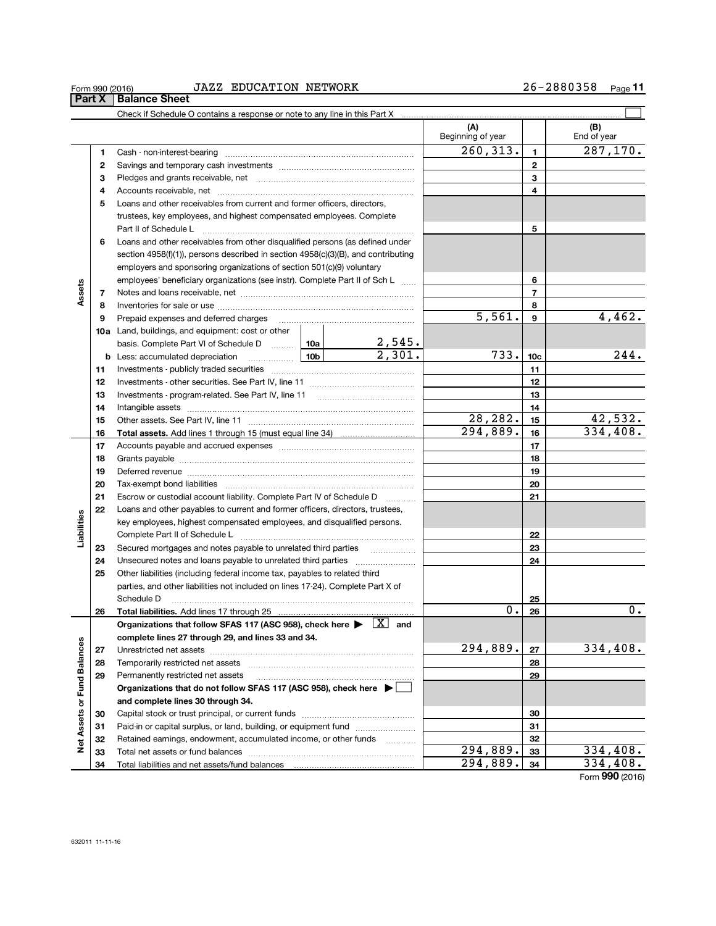#### Form 990 (2016) JAZZ\_EDUCATION\_NETWORK 26-2880358 Page<br>| **Part X** | Balance Sheet JAZZ EDUCATION NETWORK 26-2880358

# 26-2880358 Page 11

|                             |    | Check if Schedule O contains a response or note to any line in this Part X                                                                                                                                                                                                                                                                                                                                                                                             |                          |                 |                    |
|-----------------------------|----|------------------------------------------------------------------------------------------------------------------------------------------------------------------------------------------------------------------------------------------------------------------------------------------------------------------------------------------------------------------------------------------------------------------------------------------------------------------------|--------------------------|-----------------|--------------------|
|                             |    |                                                                                                                                                                                                                                                                                                                                                                                                                                                                        | (A)<br>Beginning of year |                 | (B)<br>End of year |
|                             | 1  |                                                                                                                                                                                                                                                                                                                                                                                                                                                                        | 260, 313.                | 1               | 287, 170.          |
|                             | 2  |                                                                                                                                                                                                                                                                                                                                                                                                                                                                        |                          | $\mathbf{2}$    |                    |
|                             | 3  |                                                                                                                                                                                                                                                                                                                                                                                                                                                                        |                          | 3               |                    |
|                             | 4  |                                                                                                                                                                                                                                                                                                                                                                                                                                                                        |                          | 4               |                    |
|                             | 5  | Loans and other receivables from current and former officers, directors,                                                                                                                                                                                                                                                                                                                                                                                               |                          |                 |                    |
|                             |    | trustees, key employees, and highest compensated employees. Complete                                                                                                                                                                                                                                                                                                                                                                                                   |                          |                 |                    |
|                             |    | Part II of Schedule L<br>$\begin{minipage}{0.5\textwidth} \begin{tabular}{ l l l } \hline & \multicolumn{1}{ l l } \hline & \multicolumn{1}{ l } \multicolumn{1}{ l } \hline \multicolumn{1}{ l } \multicolumn{1}{ l } \multicolumn{1}{ l } \multicolumn{1}{ l } \multicolumn{1}{ l } \multicolumn{1}{ l } \multicolumn{1}{ l } \multicolumn{1}{ l } \multicolumn{1}{ l } \multicolumn{1}{ l } \multicolumn{1}{ l } \multicolumn{1}{ l } \multicolumn{1}{ l } \multic$ |                          | 5               |                    |
|                             | 6  | Loans and other receivables from other disqualified persons (as defined under                                                                                                                                                                                                                                                                                                                                                                                          |                          |                 |                    |
|                             |    | section $4958(f)(1)$ , persons described in section $4958(c)(3)(B)$ , and contributing                                                                                                                                                                                                                                                                                                                                                                                 |                          |                 |                    |
|                             |    | employers and sponsoring organizations of section 501(c)(9) voluntary                                                                                                                                                                                                                                                                                                                                                                                                  |                          |                 |                    |
|                             |    | employees' beneficiary organizations (see instr). Complete Part II of Sch L                                                                                                                                                                                                                                                                                                                                                                                            |                          | 6               |                    |
| Assets                      | 7  |                                                                                                                                                                                                                                                                                                                                                                                                                                                                        |                          | $\overline{7}$  |                    |
|                             | 8  |                                                                                                                                                                                                                                                                                                                                                                                                                                                                        |                          | 8               |                    |
|                             | 9  | Prepaid expenses and deferred charges                                                                                                                                                                                                                                                                                                                                                                                                                                  | 5,561.                   | 9               | 4,462.             |
|                             |    | <b>10a</b> Land, buildings, and equipment: cost or other                                                                                                                                                                                                                                                                                                                                                                                                               |                          |                 |                    |
|                             |    | basis. Complete Part VI of Schedule D $\begin{array}{ c c c c c }\n\hline\n10a & 2,545. \\ \hline\n\text{Less: accumulated depreciation} & 10b & 2,301. \\ \hline\n\end{array}$                                                                                                                                                                                                                                                                                        |                          |                 |                    |
|                             |    |                                                                                                                                                                                                                                                                                                                                                                                                                                                                        | 733.                     | 10 <sub>c</sub> | 244.               |
|                             | 11 |                                                                                                                                                                                                                                                                                                                                                                                                                                                                        |                          | 11              |                    |
|                             | 12 |                                                                                                                                                                                                                                                                                                                                                                                                                                                                        |                          | 12              |                    |
|                             | 13 |                                                                                                                                                                                                                                                                                                                                                                                                                                                                        |                          | 13              |                    |
|                             | 14 |                                                                                                                                                                                                                                                                                                                                                                                                                                                                        |                          | 14              |                    |
|                             | 15 |                                                                                                                                                                                                                                                                                                                                                                                                                                                                        | 28,282.                  | 15              | 42,532.            |
|                             | 16 |                                                                                                                                                                                                                                                                                                                                                                                                                                                                        | 294,889.                 | 16              | 334,408.           |
|                             | 17 |                                                                                                                                                                                                                                                                                                                                                                                                                                                                        |                          | 17              |                    |
|                             | 18 |                                                                                                                                                                                                                                                                                                                                                                                                                                                                        |                          | 18              |                    |
|                             | 19 |                                                                                                                                                                                                                                                                                                                                                                                                                                                                        |                          | 19              |                    |
|                             | 20 |                                                                                                                                                                                                                                                                                                                                                                                                                                                                        |                          | 20              |                    |
|                             | 21 | Escrow or custodial account liability. Complete Part IV of Schedule D<br>.                                                                                                                                                                                                                                                                                                                                                                                             |                          | 21              |                    |
|                             | 22 | Loans and other payables to current and former officers, directors, trustees,                                                                                                                                                                                                                                                                                                                                                                                          |                          |                 |                    |
| Liabilities                 |    | key employees, highest compensated employees, and disqualified persons.                                                                                                                                                                                                                                                                                                                                                                                                |                          |                 |                    |
|                             |    |                                                                                                                                                                                                                                                                                                                                                                                                                                                                        |                          | 22              |                    |
|                             | 23 | Secured mortgages and notes payable to unrelated third parties <i>manumum</i>                                                                                                                                                                                                                                                                                                                                                                                          |                          | 23              |                    |
|                             | 24 |                                                                                                                                                                                                                                                                                                                                                                                                                                                                        |                          | 24              |                    |
|                             | 25 | Other liabilities (including federal income tax, payables to related third                                                                                                                                                                                                                                                                                                                                                                                             |                          |                 |                    |
|                             |    | parties, and other liabilities not included on lines 17-24). Complete Part X of                                                                                                                                                                                                                                                                                                                                                                                        |                          |                 |                    |
|                             |    | Schedule D                                                                                                                                                                                                                                                                                                                                                                                                                                                             |                          | 25              |                    |
|                             | 26 | Total liabilities. Add lines 17 through 25                                                                                                                                                                                                                                                                                                                                                                                                                             | Ο.                       | 26              | 0.                 |
|                             |    | Organizations that follow SFAS 117 (ASC 958), check here $\blacktriangleright \quad \boxed{X}$ and                                                                                                                                                                                                                                                                                                                                                                     |                          |                 |                    |
|                             |    | complete lines 27 through 29, and lines 33 and 34.                                                                                                                                                                                                                                                                                                                                                                                                                     |                          |                 |                    |
| Net Assets or Fund Balances | 27 |                                                                                                                                                                                                                                                                                                                                                                                                                                                                        | 294,889.                 | 27              | 334,408.           |
|                             | 28 |                                                                                                                                                                                                                                                                                                                                                                                                                                                                        |                          | 28              |                    |
|                             | 29 | Permanently restricted net assets                                                                                                                                                                                                                                                                                                                                                                                                                                      |                          | 29              |                    |
|                             |    | Organizations that do not follow SFAS 117 (ASC 958), check here ▶ □                                                                                                                                                                                                                                                                                                                                                                                                    |                          |                 |                    |
|                             |    | and complete lines 30 through 34.                                                                                                                                                                                                                                                                                                                                                                                                                                      |                          |                 |                    |
|                             | 30 |                                                                                                                                                                                                                                                                                                                                                                                                                                                                        |                          | 30              |                    |
|                             | 31 | Paid-in or capital surplus, or land, building, or equipment fund                                                                                                                                                                                                                                                                                                                                                                                                       |                          | 31              |                    |
|                             | 32 | Retained earnings, endowment, accumulated income, or other funds                                                                                                                                                                                                                                                                                                                                                                                                       |                          | 32              |                    |
|                             | 33 |                                                                                                                                                                                                                                                                                                                                                                                                                                                                        | 294,889.                 | 33              | 334,408.           |
|                             | 34 | Total liabilities and net assets/fund balances                                                                                                                                                                                                                                                                                                                                                                                                                         | 294,889.                 | 34              | 334,408.           |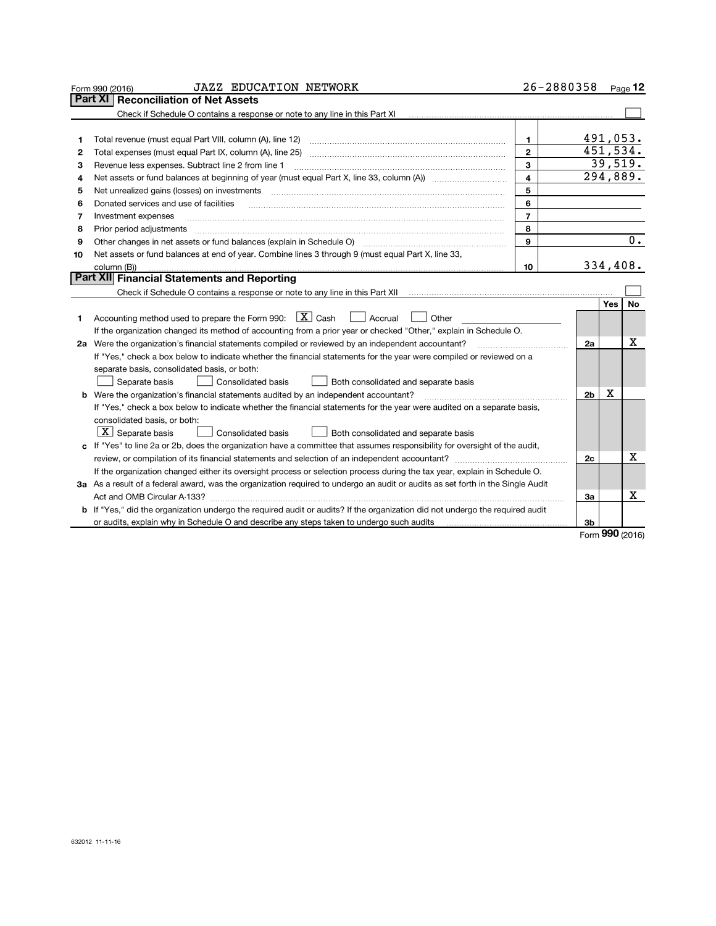|    | <b>JAZZ EDUCATION NETWORK</b><br>Form 990 (2016)                                                                                                                                                                                                                                                                                                                                                                                                                             |                         | 26-2880358      |          | Page $12$              |
|----|------------------------------------------------------------------------------------------------------------------------------------------------------------------------------------------------------------------------------------------------------------------------------------------------------------------------------------------------------------------------------------------------------------------------------------------------------------------------------|-------------------------|-----------------|----------|------------------------|
|    | <b>Reconciliation of Net Assets</b><br>Part XI                                                                                                                                                                                                                                                                                                                                                                                                                               |                         |                 |          |                        |
|    |                                                                                                                                                                                                                                                                                                                                                                                                                                                                              |                         |                 |          |                        |
|    |                                                                                                                                                                                                                                                                                                                                                                                                                                                                              |                         |                 |          |                        |
| 1  | Total revenue (must equal Part VIII, column (A), line 12)                                                                                                                                                                                                                                                                                                                                                                                                                    | 1.                      |                 | 491,053. |                        |
| 2  |                                                                                                                                                                                                                                                                                                                                                                                                                                                                              | $\overline{2}$          | 451,534.        |          |                        |
| з  | Revenue less expenses. Subtract line 2 from line 1                                                                                                                                                                                                                                                                                                                                                                                                                           | $\mathbf{3}$            |                 |          | 39,519.                |
| 4  | Net assets or fund balances at beginning of year (must equal Part X, line 33, column (A))                                                                                                                                                                                                                                                                                                                                                                                    | $\overline{\mathbf{4}}$ |                 |          | $\overline{294,889}$ . |
| 5  | Net unrealized gains (losses) on investments                                                                                                                                                                                                                                                                                                                                                                                                                                 | 5                       |                 |          |                        |
| 6  | Donated services and use of facilities                                                                                                                                                                                                                                                                                                                                                                                                                                       | 6                       |                 |          |                        |
| 7  | Investment expenses                                                                                                                                                                                                                                                                                                                                                                                                                                                          | $\overline{7}$          |                 |          |                        |
| 8  | Prior period adjustments<br>$\begin{minipage}{0.5\textwidth} \begin{tabular}{ l l l } \hline \multicolumn{1}{ l l l } \hline \multicolumn{1}{ l l } \hline \multicolumn{1}{ l } \multicolumn{1}{ l } \hline \multicolumn{1}{ l } \multicolumn{1}{ l } \multicolumn{1}{ l } \hline \multicolumn{1}{ l } \multicolumn{1}{ l } \multicolumn{1}{ l } \hline \multicolumn{1}{ l } \multicolumn{1}{ l } \hline \multicolumn{1}{ l } \multicolumn{1}{ l } \hline \multicolumn{1}{ $ | 8                       |                 |          |                        |
| 9  | Other changes in net assets or fund balances (explain in Schedule O)                                                                                                                                                                                                                                                                                                                                                                                                         | 9                       |                 |          | $\overline{0}$ .       |
| 10 | Net assets or fund balances at end of year. Combine lines 3 through 9 (must equal Part X, line 33,                                                                                                                                                                                                                                                                                                                                                                           |                         |                 |          |                        |
|    | column (B))                                                                                                                                                                                                                                                                                                                                                                                                                                                                  | 10                      |                 | 334,408. |                        |
|    | Part XII Financial Statements and Reporting                                                                                                                                                                                                                                                                                                                                                                                                                                  |                         |                 |          |                        |
|    |                                                                                                                                                                                                                                                                                                                                                                                                                                                                              |                         |                 |          |                        |
|    |                                                                                                                                                                                                                                                                                                                                                                                                                                                                              |                         |                 | Yes      | No                     |
| 1  | Accounting method used to prepare the Form 990: $X$ Cash<br>  Accrual<br>Other                                                                                                                                                                                                                                                                                                                                                                                               |                         |                 |          |                        |
|    | If the organization changed its method of accounting from a prior year or checked "Other," explain in Schedule O.                                                                                                                                                                                                                                                                                                                                                            |                         |                 |          |                        |
|    | 2a Were the organization's financial statements compiled or reviewed by an independent accountant?                                                                                                                                                                                                                                                                                                                                                                           |                         | 2a              |          | х                      |
|    | If "Yes," check a box below to indicate whether the financial statements for the year were compiled or reviewed on a                                                                                                                                                                                                                                                                                                                                                         |                         |                 |          |                        |
|    | separate basis, consolidated basis, or both:                                                                                                                                                                                                                                                                                                                                                                                                                                 |                         |                 |          |                        |
|    | Separate basis<br>Consolidated basis<br>Both consolidated and separate basis                                                                                                                                                                                                                                                                                                                                                                                                 |                         |                 |          |                        |
|    | <b>b</b> Were the organization's financial statements audited by an independent accountant?                                                                                                                                                                                                                                                                                                                                                                                  |                         | 2 <sub>b</sub>  | x        |                        |
|    | If "Yes," check a box below to indicate whether the financial statements for the year were audited on a separate basis,                                                                                                                                                                                                                                                                                                                                                      |                         |                 |          |                        |
|    | consolidated basis, or both:                                                                                                                                                                                                                                                                                                                                                                                                                                                 |                         |                 |          |                        |
|    | $ X $ Separate basis<br>Consolidated basis<br>Both consolidated and separate basis                                                                                                                                                                                                                                                                                                                                                                                           |                         |                 |          |                        |
|    | c If "Yes" to line 2a or 2b, does the organization have a committee that assumes responsibility for oversight of the audit,                                                                                                                                                                                                                                                                                                                                                  |                         |                 |          |                        |
|    |                                                                                                                                                                                                                                                                                                                                                                                                                                                                              |                         | 2с              |          | x                      |
|    | If the organization changed either its oversight process or selection process during the tax year, explain in Schedule O.                                                                                                                                                                                                                                                                                                                                                    |                         |                 |          |                        |
|    | 3a As a result of a federal award, was the organization required to undergo an audit or audits as set forth in the Single Audit                                                                                                                                                                                                                                                                                                                                              |                         |                 |          |                        |
|    | Act and OMB Circular A-133?                                                                                                                                                                                                                                                                                                                                                                                                                                                  |                         | За              |          | x                      |
|    | <b>b</b> If "Yes," did the organization undergo the required audit or audits? If the organization did not undergo the required audit                                                                                                                                                                                                                                                                                                                                         |                         |                 |          |                        |
|    | or audits, explain why in Schedule O and describe any steps taken to undergo such audits                                                                                                                                                                                                                                                                                                                                                                                     |                         | Зb              |          |                        |
|    |                                                                                                                                                                                                                                                                                                                                                                                                                                                                              |                         | Form 990 (2016) |          |                        |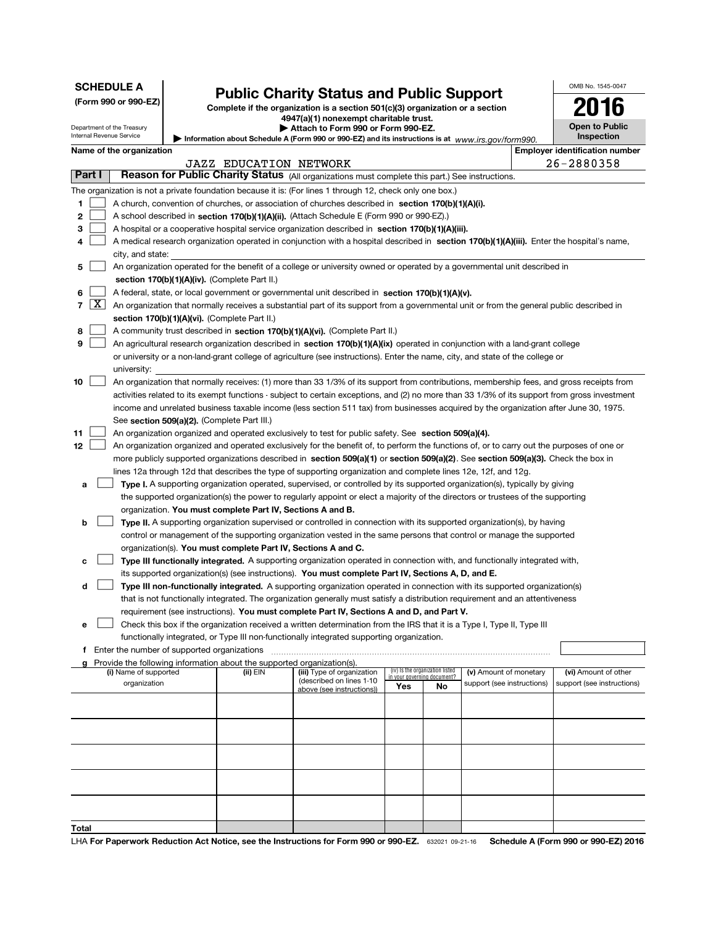| <b>SCHEDULE A</b><br>(Form 990 or 990-EZ)<br>Department of the Treasury<br>Internal Revenue Service |                                                                                                                                                                                    |  | <b>Public Charity Status and Public Support</b><br>Complete if the organization is a section 501(c)(3) organization or a section<br>4947(a)(1) nonexempt charitable trust.<br>Attach to Form 990 or Form 990-EZ.<br>Information about Schedule A (Form 990 or 990-EZ) and its instructions is at www.irs.gov/form990. |                                                                                                                                               | OMB No. 1545-0047<br><b>Open to Public</b><br>Inspection |                                 |                            |  |                                                    |
|-----------------------------------------------------------------------------------------------------|------------------------------------------------------------------------------------------------------------------------------------------------------------------------------------|--|-----------------------------------------------------------------------------------------------------------------------------------------------------------------------------------------------------------------------------------------------------------------------------------------------------------------------|-----------------------------------------------------------------------------------------------------------------------------------------------|----------------------------------------------------------|---------------------------------|----------------------------|--|----------------------------------------------------|
|                                                                                                     | Name of the organization                                                                                                                                                           |  |                                                                                                                                                                                                                                                                                                                       |                                                                                                                                               |                                                          |                                 |                            |  | <b>Employer identification number</b>              |
|                                                                                                     |                                                                                                                                                                                    |  | <b>JAZZ EDUCATION NETWORK</b>                                                                                                                                                                                                                                                                                         |                                                                                                                                               |                                                          |                                 |                            |  | 26-2880358                                         |
| Part I                                                                                              |                                                                                                                                                                                    |  |                                                                                                                                                                                                                                                                                                                       | Reason for Public Charity Status (All organizations must complete this part.) See instructions.                                               |                                                          |                                 |                            |  |                                                    |
|                                                                                                     |                                                                                                                                                                                    |  |                                                                                                                                                                                                                                                                                                                       | The organization is not a private foundation because it is: (For lines 1 through 12, check only one box.)                                     |                                                          |                                 |                            |  |                                                    |
| 1                                                                                                   |                                                                                                                                                                                    |  |                                                                                                                                                                                                                                                                                                                       | A church, convention of churches, or association of churches described in section 170(b)(1)(A)(i).                                            |                                                          |                                 |                            |  |                                                    |
| 2                                                                                                   |                                                                                                                                                                                    |  |                                                                                                                                                                                                                                                                                                                       | A school described in section 170(b)(1)(A)(ii). (Attach Schedule E (Form 990 or 990-EZ).)                                                     |                                                          |                                 |                            |  |                                                    |
| з                                                                                                   |                                                                                                                                                                                    |  |                                                                                                                                                                                                                                                                                                                       | A hospital or a cooperative hospital service organization described in section 170(b)(1)(A)(iii).                                             |                                                          |                                 |                            |  |                                                    |
| 4                                                                                                   |                                                                                                                                                                                    |  |                                                                                                                                                                                                                                                                                                                       | A medical research organization operated in conjunction with a hospital described in section 170(b)(1)(A)(iii). Enter the hospital's name,    |                                                          |                                 |                            |  |                                                    |
|                                                                                                     | city, and state:                                                                                                                                                                   |  |                                                                                                                                                                                                                                                                                                                       |                                                                                                                                               |                                                          |                                 |                            |  |                                                    |
|                                                                                                     | An organization operated for the benefit of a college or university owned or operated by a governmental unit described in<br>5<br>section $170(b)(1)(A)(iv)$ . (Complete Part II.) |  |                                                                                                                                                                                                                                                                                                                       |                                                                                                                                               |                                                          |                                 |                            |  |                                                    |
| 6                                                                                                   |                                                                                                                                                                                    |  |                                                                                                                                                                                                                                                                                                                       | A federal, state, or local government or governmental unit described in section 170(b)(1)(A)(v).                                              |                                                          |                                 |                            |  |                                                    |
| $\lfloor x \rfloor$<br>7                                                                            |                                                                                                                                                                                    |  |                                                                                                                                                                                                                                                                                                                       | An organization that normally receives a substantial part of its support from a governmental unit or from the general public described in     |                                                          |                                 |                            |  |                                                    |
|                                                                                                     |                                                                                                                                                                                    |  | section 170(b)(1)(A)(vi). (Complete Part II.)                                                                                                                                                                                                                                                                         |                                                                                                                                               |                                                          |                                 |                            |  |                                                    |
| 8                                                                                                   |                                                                                                                                                                                    |  |                                                                                                                                                                                                                                                                                                                       | A community trust described in section 170(b)(1)(A)(vi). (Complete Part II.)                                                                  |                                                          |                                 |                            |  |                                                    |
| 9                                                                                                   |                                                                                                                                                                                    |  |                                                                                                                                                                                                                                                                                                                       | An agricultural research organization described in section 170(b)(1)(A)(ix) operated in conjunction with a land-grant college                 |                                                          |                                 |                            |  |                                                    |
|                                                                                                     |                                                                                                                                                                                    |  |                                                                                                                                                                                                                                                                                                                       | or university or a non-land-grant college of agriculture (see instructions). Enter the name, city, and state of the college or                |                                                          |                                 |                            |  |                                                    |
|                                                                                                     | university:                                                                                                                                                                        |  |                                                                                                                                                                                                                                                                                                                       |                                                                                                                                               |                                                          |                                 |                            |  |                                                    |
| 10                                                                                                  |                                                                                                                                                                                    |  |                                                                                                                                                                                                                                                                                                                       | An organization that normally receives: (1) more than 33 1/3% of its support from contributions, membership fees, and gross receipts from     |                                                          |                                 |                            |  |                                                    |
|                                                                                                     |                                                                                                                                                                                    |  |                                                                                                                                                                                                                                                                                                                       | activities related to its exempt functions - subject to certain exceptions, and (2) no more than 33 1/3% of its support from gross investment |                                                          |                                 |                            |  |                                                    |
|                                                                                                     |                                                                                                                                                                                    |  |                                                                                                                                                                                                                                                                                                                       | income and unrelated business taxable income (less section 511 tax) from businesses acquired by the organization after June 30, 1975.         |                                                          |                                 |                            |  |                                                    |
|                                                                                                     |                                                                                                                                                                                    |  | See section 509(a)(2). (Complete Part III.)                                                                                                                                                                                                                                                                           |                                                                                                                                               |                                                          |                                 |                            |  |                                                    |
| 11                                                                                                  |                                                                                                                                                                                    |  |                                                                                                                                                                                                                                                                                                                       | An organization organized and operated exclusively to test for public safety. See section 509(a)(4).                                          |                                                          |                                 |                            |  |                                                    |
| 12                                                                                                  |                                                                                                                                                                                    |  |                                                                                                                                                                                                                                                                                                                       | An organization organized and operated exclusively for the benefit of, to perform the functions of, or to carry out the purposes of one or    |                                                          |                                 |                            |  |                                                    |
|                                                                                                     |                                                                                                                                                                                    |  |                                                                                                                                                                                                                                                                                                                       | more publicly supported organizations described in section 509(a)(1) or section 509(a)(2). See section 509(a)(3). Check the box in            |                                                          |                                 |                            |  |                                                    |
|                                                                                                     |                                                                                                                                                                                    |  |                                                                                                                                                                                                                                                                                                                       | lines 12a through 12d that describes the type of supporting organization and complete lines 12e, 12f, and 12g.                                |                                                          |                                 |                            |  |                                                    |
| а                                                                                                   |                                                                                                                                                                                    |  |                                                                                                                                                                                                                                                                                                                       | <b>Type I.</b> A supporting organization operated, supervised, or controlled by its supported organization(s), typically by giving            |                                                          |                                 |                            |  |                                                    |
|                                                                                                     |                                                                                                                                                                                    |  |                                                                                                                                                                                                                                                                                                                       | the supported organization(s) the power to regularly appoint or elect a majority of the directors or trustees of the supporting               |                                                          |                                 |                            |  |                                                    |
|                                                                                                     |                                                                                                                                                                                    |  | organization. You must complete Part IV, Sections A and B.                                                                                                                                                                                                                                                            |                                                                                                                                               |                                                          |                                 |                            |  |                                                    |
| b                                                                                                   |                                                                                                                                                                                    |  |                                                                                                                                                                                                                                                                                                                       | <b>Type II.</b> A supporting organization supervised or controlled in connection with its supported organization(s), by having                |                                                          |                                 |                            |  |                                                    |
|                                                                                                     |                                                                                                                                                                                    |  | organization(s). You must complete Part IV, Sections A and C.                                                                                                                                                                                                                                                         | control or management of the supporting organization vested in the same persons that control or manage the supported                          |                                                          |                                 |                            |  |                                                    |
| c                                                                                                   |                                                                                                                                                                                    |  |                                                                                                                                                                                                                                                                                                                       | Type III functionally integrated. A supporting organization operated in connection with, and functionally integrated with,                    |                                                          |                                 |                            |  |                                                    |
|                                                                                                     |                                                                                                                                                                                    |  |                                                                                                                                                                                                                                                                                                                       | its supported organization(s) (see instructions). You must complete Part IV, Sections A, D, and E.                                            |                                                          |                                 |                            |  |                                                    |
| d                                                                                                   |                                                                                                                                                                                    |  |                                                                                                                                                                                                                                                                                                                       | Type III non-functionally integrated. A supporting organization operated in connection with its supported organization(s)                     |                                                          |                                 |                            |  |                                                    |
|                                                                                                     |                                                                                                                                                                                    |  |                                                                                                                                                                                                                                                                                                                       | that is not functionally integrated. The organization generally must satisfy a distribution requirement and an attentiveness                  |                                                          |                                 |                            |  |                                                    |
|                                                                                                     |                                                                                                                                                                                    |  |                                                                                                                                                                                                                                                                                                                       | requirement (see instructions). You must complete Part IV, Sections A and D, and Part V.                                                      |                                                          |                                 |                            |  |                                                    |
| е                                                                                                   |                                                                                                                                                                                    |  |                                                                                                                                                                                                                                                                                                                       | Check this box if the organization received a written determination from the IRS that it is a Type I, Type II, Type III                       |                                                          |                                 |                            |  |                                                    |
|                                                                                                     |                                                                                                                                                                                    |  |                                                                                                                                                                                                                                                                                                                       | functionally integrated, or Type III non-functionally integrated supporting organization.                                                     |                                                          |                                 |                            |  |                                                    |
|                                                                                                     | Enter the number of supported organizations                                                                                                                                        |  |                                                                                                                                                                                                                                                                                                                       |                                                                                                                                               |                                                          |                                 |                            |  |                                                    |
| a                                                                                                   |                                                                                                                                                                                    |  | Provide the following information about the supported organization(s).                                                                                                                                                                                                                                                | (iii) Type of organization                                                                                                                    |                                                          | (iv) Is the organization listed | (v) Amount of monetary     |  |                                                    |
|                                                                                                     | (i) Name of supported<br>organization                                                                                                                                              |  | (ii) EIN                                                                                                                                                                                                                                                                                                              | (described on lines 1-10                                                                                                                      | in your governing document?                              |                                 | support (see instructions) |  | (vi) Amount of other<br>support (see instructions) |
|                                                                                                     |                                                                                                                                                                                    |  |                                                                                                                                                                                                                                                                                                                       | above (see instructions))                                                                                                                     | Yes                                                      | No                              |                            |  |                                                    |
|                                                                                                     |                                                                                                                                                                                    |  |                                                                                                                                                                                                                                                                                                                       |                                                                                                                                               |                                                          |                                 |                            |  |                                                    |
|                                                                                                     |                                                                                                                                                                                    |  |                                                                                                                                                                                                                                                                                                                       |                                                                                                                                               |                                                          |                                 |                            |  |                                                    |
|                                                                                                     |                                                                                                                                                                                    |  |                                                                                                                                                                                                                                                                                                                       |                                                                                                                                               |                                                          |                                 |                            |  |                                                    |
|                                                                                                     |                                                                                                                                                                                    |  |                                                                                                                                                                                                                                                                                                                       |                                                                                                                                               |                                                          |                                 |                            |  |                                                    |
|                                                                                                     |                                                                                                                                                                                    |  |                                                                                                                                                                                                                                                                                                                       |                                                                                                                                               |                                                          |                                 |                            |  |                                                    |
|                                                                                                     |                                                                                                                                                                                    |  |                                                                                                                                                                                                                                                                                                                       |                                                                                                                                               |                                                          |                                 |                            |  |                                                    |
|                                                                                                     |                                                                                                                                                                                    |  |                                                                                                                                                                                                                                                                                                                       |                                                                                                                                               |                                                          |                                 |                            |  |                                                    |
|                                                                                                     |                                                                                                                                                                                    |  |                                                                                                                                                                                                                                                                                                                       |                                                                                                                                               |                                                          |                                 |                            |  |                                                    |
|                                                                                                     |                                                                                                                                                                                    |  |                                                                                                                                                                                                                                                                                                                       |                                                                                                                                               |                                                          |                                 |                            |  |                                                    |
| <u>Total</u>                                                                                        |                                                                                                                                                                                    |  |                                                                                                                                                                                                                                                                                                                       |                                                                                                                                               |                                                          |                                 |                            |  |                                                    |

LHA For Paperwork Reduction Act Notice, see the Instructions for Form 990 or 990-EZ. 632021 09-21-16 Schedule A (Form 990 or 990-EZ) 2016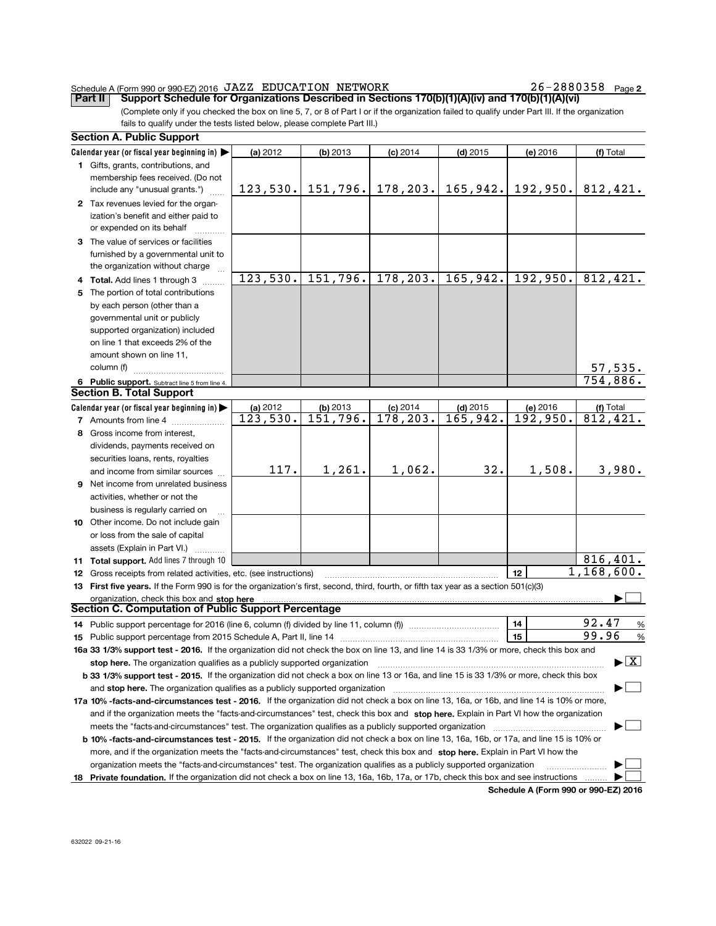#### Schedule A (Form 990 or 990-EZ) 2016  $JAZZ$  EDUCATION NETWORK  $26-2880358$  Page

26-2880358 Page 2

(Complete only if you checked the box on line 5, 7, or 8 of Part I or if the organization failed to qualify under Part III. If the organization fails to qualify under the tests listed below, please complete Part III.) Part II Support Schedule for Organizations Described in Sections 170(b)(1)(A)(iv) and 170(b)(1)(A)(vi)

|    | <b>Section A. Public Support</b>                                                                                                                |            |                                 |                       |            |                       |                                    |  |  |
|----|-------------------------------------------------------------------------------------------------------------------------------------------------|------------|---------------------------------|-----------------------|------------|-----------------------|------------------------------------|--|--|
|    | Calendar year (or fiscal year beginning in) $\blacktriangleright$                                                                               | (a) $2012$ | $(b)$ 2013                      | $(c)$ 2014            | $(d)$ 2015 | (e) 2016              | (f) Total                          |  |  |
|    | 1 Gifts, grants, contributions, and                                                                                                             |            |                                 |                       |            |                       |                                    |  |  |
|    | membership fees received. (Do not                                                                                                               |            |                                 |                       |            |                       |                                    |  |  |
|    | include any "unusual grants.")                                                                                                                  |            | $123, 530.$ 151, 796. 178, 203. |                       |            | 165, 942.   192, 950. | 812,421.                           |  |  |
|    | 2 Tax revenues levied for the organ-                                                                                                            |            |                                 |                       |            |                       |                                    |  |  |
|    | ization's benefit and either paid to                                                                                                            |            |                                 |                       |            |                       |                                    |  |  |
|    | or expended on its behalf                                                                                                                       |            |                                 |                       |            |                       |                                    |  |  |
|    | 3 The value of services or facilities                                                                                                           |            |                                 |                       |            |                       |                                    |  |  |
|    | furnished by a governmental unit to                                                                                                             |            |                                 |                       |            |                       |                                    |  |  |
|    | the organization without charge                                                                                                                 |            |                                 |                       |            |                       |                                    |  |  |
|    | 4 Total. Add lines 1 through 3                                                                                                                  | 123,530.   |                                 | $151, 796.$ 178, 203. | 165,942.   | 192,950.              | 812,421.                           |  |  |
| 5  | The portion of total contributions                                                                                                              |            |                                 |                       |            |                       |                                    |  |  |
|    | by each person (other than a                                                                                                                    |            |                                 |                       |            |                       |                                    |  |  |
|    | governmental unit or publicly                                                                                                                   |            |                                 |                       |            |                       |                                    |  |  |
|    | supported organization) included                                                                                                                |            |                                 |                       |            |                       |                                    |  |  |
|    | on line 1 that exceeds 2% of the                                                                                                                |            |                                 |                       |            |                       |                                    |  |  |
|    | amount shown on line 11,                                                                                                                        |            |                                 |                       |            |                       |                                    |  |  |
|    | column (f)                                                                                                                                      |            |                                 |                       |            |                       | 57,535.                            |  |  |
|    | 6 Public support. Subtract line 5 from line 4.                                                                                                  |            |                                 |                       |            |                       | 754,886.                           |  |  |
|    | <b>Section B. Total Support</b>                                                                                                                 |            |                                 |                       |            |                       |                                    |  |  |
|    | Calendar year (or fiscal year beginning in)                                                                                                     | (a) 2012   | $(b)$ 2013                      | $(c)$ 2014            | $(d)$ 2015 | (e) 2016              | (f) Total                          |  |  |
|    | 7 Amounts from line 4                                                                                                                           | 123,530.   | 151,796.                        | 178, 203.             | 165,942.   | 192,950.              | $\overline{81}2,421.$              |  |  |
|    | 8 Gross income from interest,                                                                                                                   |            |                                 |                       |            |                       |                                    |  |  |
|    | dividends, payments received on                                                                                                                 |            |                                 |                       |            |                       |                                    |  |  |
|    | securities loans, rents, royalties                                                                                                              |            |                                 |                       |            |                       |                                    |  |  |
|    | and income from similar sources                                                                                                                 | 117.       | 1,261.                          | 1,062.                | 32.        | 1,508.                | 3,980.                             |  |  |
|    | 9 Net income from unrelated business                                                                                                            |            |                                 |                       |            |                       |                                    |  |  |
|    | activities, whether or not the                                                                                                                  |            |                                 |                       |            |                       |                                    |  |  |
|    | business is regularly carried on                                                                                                                |            |                                 |                       |            |                       |                                    |  |  |
|    | 10 Other income. Do not include gain                                                                                                            |            |                                 |                       |            |                       |                                    |  |  |
|    | or loss from the sale of capital                                                                                                                |            |                                 |                       |            |                       |                                    |  |  |
|    | assets (Explain in Part VI.)                                                                                                                    |            |                                 |                       |            |                       |                                    |  |  |
|    | <b>11 Total support.</b> Add lines 7 through 10                                                                                                 |            |                                 |                       |            |                       | 816,401.                           |  |  |
|    | 12 Gross receipts from related activities, etc. (see instructions)                                                                              |            |                                 |                       |            | 12                    | 1,168,600.                         |  |  |
|    | 13 First five years. If the Form 990 is for the organization's first, second, third, fourth, or fifth tax year as a section 501(c)(3)           |            |                                 |                       |            |                       |                                    |  |  |
|    | organization, check this box and stop here                                                                                                      |            |                                 |                       |            |                       |                                    |  |  |
|    | Section C. Computation of Public Support Percentage                                                                                             |            |                                 |                       |            |                       |                                    |  |  |
|    |                                                                                                                                                 |            |                                 |                       |            | 14                    | 92.47<br>%                         |  |  |
|    | 15 Public support percentage from 2015 Schedule A, Part II, line 14                                                                             |            |                                 |                       |            | 15                    | 99.96<br>$\%$                      |  |  |
|    | 16a 33 1/3% support test - 2016. If the organization did not check the box on line 13, and line 14 is 33 1/3% or more, check this box and       |            |                                 |                       |            |                       |                                    |  |  |
|    | stop here. The organization qualifies as a publicly supported organization                                                                      |            |                                 |                       |            |                       | $\blacktriangleright$ $\mathbf{X}$ |  |  |
|    | <b>b 33 1/3% support test - 2015.</b> If the organization did not check a box on line 13 or 16a, and line 15 is 33 1/3% or more, check this box |            |                                 |                       |            |                       |                                    |  |  |
|    | and stop here. The organization qualifies as a publicly supported organization                                                                  |            |                                 |                       |            |                       |                                    |  |  |
|    | 17a 10% -facts-and-circumstances test - 2016. If the organization did not check a box on line 13, 16a, or 16b, and line 14 is 10% or more,      |            |                                 |                       |            |                       |                                    |  |  |
|    | and if the organization meets the "facts-and-circumstances" test, check this box and stop here. Explain in Part VI how the organization         |            |                                 |                       |            |                       |                                    |  |  |
|    |                                                                                                                                                 |            |                                 |                       |            |                       |                                    |  |  |
|    | <b>b 10% -facts-and-circumstances test - 2015.</b> If the organization did not check a box on line 13, 16a, 16b, or 17a, and line 15 is 10% or  |            |                                 |                       |            |                       |                                    |  |  |
|    | more, and if the organization meets the "facts-and-circumstances" test, check this box and stop here. Explain in Part VI how the                |            |                                 |                       |            |                       |                                    |  |  |
|    | organization meets the "facts-and-circumstances" test. The organization qualifies as a publicly supported organization                          |            |                                 |                       |            |                       |                                    |  |  |
| 18 | Private foundation. If the organization did not check a box on line 13, 16a, 16b, 17a, or 17b, check this box and see instructions              |            |                                 |                       |            |                       |                                    |  |  |

Schedule A (Form 990 or 990-EZ) 2016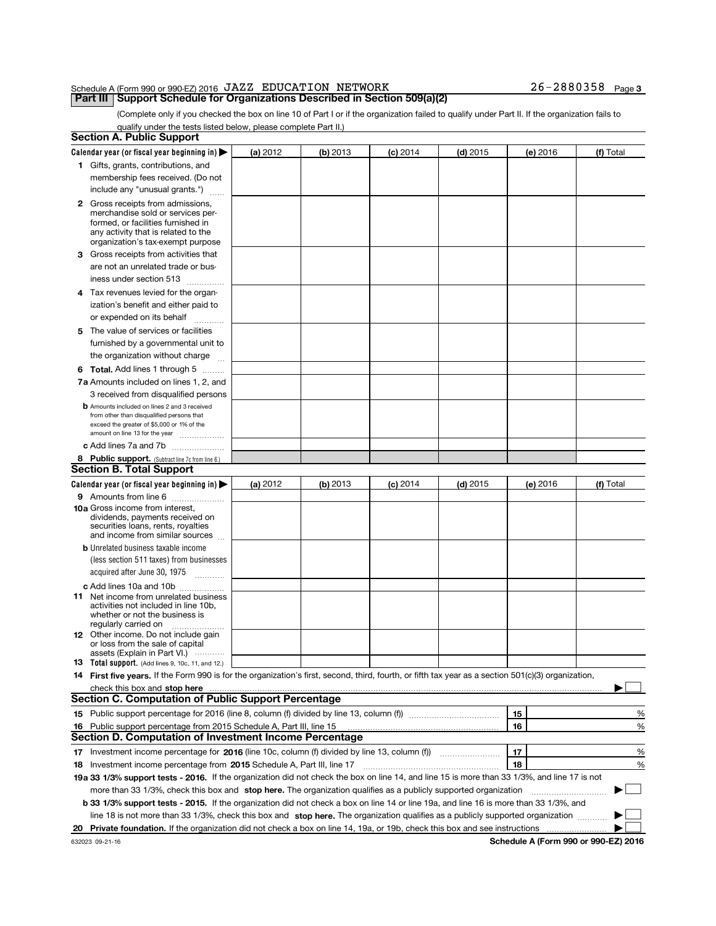#### Schedule A (Form 990 or 990-EZ) 2016 Page Part III Support Schedule for Organizations Described in Section 509(a)(2) JAZZ EDUCATION NETWORK 26-2880358

(Complete only if you checked the box on line 10 of Part I or if the organization failed to qualify under Part II. If the organization fails to qualify under the tests listed below, please complete Part II.)

|    | <b>Section A. Public Support</b>                                                                                                                    |          |            |            |            |          |           |
|----|-----------------------------------------------------------------------------------------------------------------------------------------------------|----------|------------|------------|------------|----------|-----------|
|    | Calendar year (or fiscal year beginning in) $\blacktriangleright$                                                                                   | (a) 2012 | $(b)$ 2013 | $(c)$ 2014 | $(d)$ 2015 | (e) 2016 | (f) Total |
|    | 1 Gifts, grants, contributions, and                                                                                                                 |          |            |            |            |          |           |
|    | membership fees received. (Do not                                                                                                                   |          |            |            |            |          |           |
|    | include any "unusual grants.")                                                                                                                      |          |            |            |            |          |           |
|    | 2 Gross receipts from admissions,                                                                                                                   |          |            |            |            |          |           |
|    | merchandise sold or services per-                                                                                                                   |          |            |            |            |          |           |
|    | formed, or facilities furnished in                                                                                                                  |          |            |            |            |          |           |
|    | any activity that is related to the<br>organization's tax-exempt purpose                                                                            |          |            |            |            |          |           |
| 3  | Gross receipts from activities that                                                                                                                 |          |            |            |            |          |           |
|    | are not an unrelated trade or bus-                                                                                                                  |          |            |            |            |          |           |
|    | iness under section 513<br>.                                                                                                                        |          |            |            |            |          |           |
|    | 4 Tax revenues levied for the organ-                                                                                                                |          |            |            |            |          |           |
|    | ization's benefit and either paid to                                                                                                                |          |            |            |            |          |           |
|    | or expended on its behalf                                                                                                                           |          |            |            |            |          |           |
|    | 5 The value of services or facilities                                                                                                               |          |            |            |            |          |           |
|    | furnished by a governmental unit to                                                                                                                 |          |            |            |            |          |           |
|    | the organization without charge                                                                                                                     |          |            |            |            |          |           |
|    | <b>6 Total.</b> Add lines 1 through 5                                                                                                               |          |            |            |            |          |           |
|    | <b>7a</b> Amounts included on lines 1, 2, and                                                                                                       |          |            |            |            |          |           |
|    | 3 received from disqualified persons                                                                                                                |          |            |            |            |          |           |
|    | <b>b</b> Amounts included on lines 2 and 3 received                                                                                                 |          |            |            |            |          |           |
|    | from other than disqualified persons that                                                                                                           |          |            |            |            |          |           |
|    | exceed the greater of \$5,000 or 1% of the                                                                                                          |          |            |            |            |          |           |
|    | amount on line 13 for the year<br>c Add lines 7a and 7b                                                                                             |          |            |            |            |          |           |
|    |                                                                                                                                                     |          |            |            |            |          |           |
|    | 8 Public support. (Subtract line 7c from line 6.)<br><b>Section B. Total Support</b>                                                                |          |            |            |            |          |           |
|    | Calendar year (or fiscal year beginning in) $\blacktriangleright$                                                                                   | (a) 2012 | (b) 2013   | (c) 2014   | $(d)$ 2015 | (e) 2016 | (f) Total |
|    |                                                                                                                                                     |          |            |            |            |          |           |
|    | <b>9</b> Amounts from line 6<br>10a Gross income from interest,                                                                                     |          |            |            |            |          |           |
|    | dividends, payments received on                                                                                                                     |          |            |            |            |          |           |
|    | securities loans, rents, royalties<br>and income from similar sources                                                                               |          |            |            |            |          |           |
|    | <b>b</b> Unrelated business taxable income                                                                                                          |          |            |            |            |          |           |
|    | (less section 511 taxes) from businesses                                                                                                            |          |            |            |            |          |           |
|    | acquired after June 30, 1975                                                                                                                        |          |            |            |            |          |           |
|    |                                                                                                                                                     |          |            |            |            |          |           |
|    | c Add lines 10a and 10b<br><b>11</b> Net income from unrelated business                                                                             |          |            |            |            |          |           |
|    | activities not included in line 10b,                                                                                                                |          |            |            |            |          |           |
|    | whether or not the business is                                                                                                                      |          |            |            |            |          |           |
|    | regularly carried on<br>12 Other income. Do not include gain                                                                                        |          |            |            |            |          |           |
|    | or loss from the sale of capital                                                                                                                    |          |            |            |            |          |           |
|    | assets (Explain in Part VI.)                                                                                                                        |          |            |            |            |          |           |
|    | <b>13</b> Total support. (Add lines 9, 10c, 11, and 12.)                                                                                            |          |            |            |            |          |           |
|    | 14 First five years. If the Form 990 is for the organization's first, second, third, fourth, or fifth tax year as a section 501(c)(3) organization, |          |            |            |            |          |           |
|    | check this box and stop here                                                                                                                        |          |            |            |            |          |           |
|    | <b>Section C. Computation of Public Support Percentage</b>                                                                                          |          |            |            |            |          |           |
|    | 15 Public support percentage for 2016 (line 8, column (f) divided by line 13, column (f) <i>manageroum</i>                                          |          |            |            |            | 15       | %         |
|    | 16 Public support percentage from 2015 Schedule A, Part III, line 15                                                                                |          |            |            |            | 16       | %         |
|    | Section D. Computation of Investment Income Percentage                                                                                              |          |            |            |            |          |           |
| 17 | Investment income percentage for 2016 (line 10c, column (f) divided by line 13, column (f))                                                         |          |            |            |            | 17       | %         |
| 18 | Investment income percentage from 2015 Schedule A, Part III, line 17                                                                                |          |            |            |            | 18       | %         |
|    | 19a 33 1/3% support tests - 2016. If the organization did not check the box on line 14, and line 15 is more than 33 1/3%, and line 17 is not        |          |            |            |            |          |           |
|    | more than 33 1/3%, check this box and stop here. The organization qualifies as a publicly supported organization                                    |          |            |            |            |          |           |
|    | <b>b 33 1/3% support tests - 2015.</b> If the organization did not check a box on line 14 or line 19a, and line 16 is more than 33 1/3%, and        |          |            |            |            |          |           |
|    | line 18 is not more than 33 1/3%, check this box and stop here. The organization qualifies as a publicly supported organization                     |          |            |            |            |          |           |
| 20 | Private foundation. If the organization did not check a box on line 14, 19a, or 19b, check this box and see instructions                            |          |            |            |            |          |           |

Schedule A (Form 990 or 990-EZ) 2016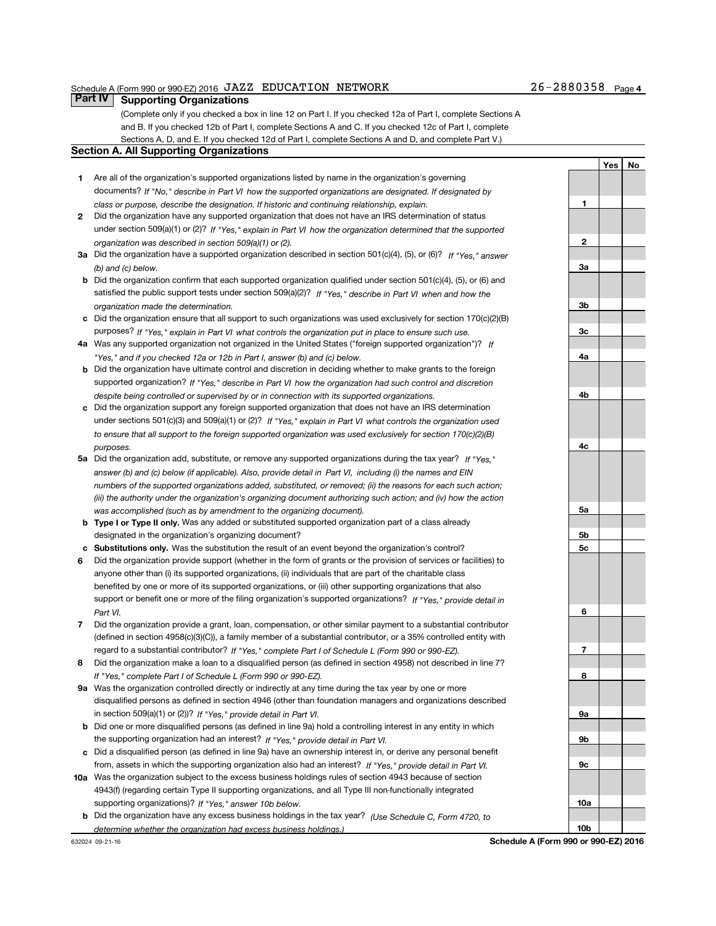#### Schedule A (Form 990 or 990-EZ) 2016  $JAZZ$  EDUCATION NETWORK  $26-2880358$  Page

1

 $\overline{2}$ 

3a

3b

3c

4a

4b

4c

5a

5b 5c

6

7

8

9a

9b

9c

10a

10b

Yes | No

(Complete only if you checked a box in line 12 on Part I. If you checked 12a of Part I, complete Sections A and B. If you checked 12b of Part I, complete Sections A and C. If you checked 12c of Part I, complete Sections A, D, and E. If you checked 12d of Part I, complete Sections A and D, and complete Part V.)

### Section A. All Supporting Organizations

**Part IV | Supporting Organizations** 

- 1 Are all of the organization's supported organizations listed by name in the organization's governing documents? If "No," describe in Part VI how the supported organizations are designated. If designated by class or purpose, describe the designation. If historic and continuing relationship, explain.
- 2 under section 509(a)(1) or (2)? If "Yes," explain in Part VI how the organization determined that the supported organization was described in section 509(a)(1) or (2). Did the organization have any supported organization that does not have an IRS determination of status
- 3a Did the organization have a supported organization described in section 501(c)(4), (5), or (6)? If "Yes," answer (b) and (c) below.
- b Did the organization confirm that each supported organization qualified under section 501(c)(4), (5), or (6) and satisfied the public support tests under section 509(a)(2)? If "Yes," describe in Part VI when and how the organization made the determination.
- c Did the organization ensure that all support to such organizations was used exclusively for section 170(c)(2)(B) purposes? If "Yes," explain in Part VI what controls the organization put in place to ensure such use.
- 4a Was any supported organization not organized in the United States ("foreign supported organization")? If "Yes," and if you checked 12a or 12b in Part I, answer (b) and (c) below.
- b Did the organization have ultimate control and discretion in deciding whether to make grants to the foreign supported organization? If "Yes," describe in Part VI how the organization had such control and discretion despite being controlled or supervised by or in connection with its supported organizations.
- c Did the organization support any foreign supported organization that does not have an IRS determination under sections 501(c)(3) and 509(a)(1) or (2)? If "Yes," explain in Part VI what controls the organization used to ensure that all support to the foreign supported organization was used exclusively for section 170(c)(2)(B) purposes.
- 5a Did the organization add, substitute, or remove any supported organizations during the tax year? If "Yes," answer (b) and (c) below (if applicable). Also, provide detail in Part VI, including (i) the names and EIN numbers of the supported organizations added, substituted, or removed; (ii) the reasons for each such action; (iii) the authority under the organization's organizing document authorizing such action; and (iv) how the action was accomplished (such as by amendment to the organizing document).
- **b** Type I or Type II only. Was any added or substituted supported organization part of a class already designated in the organization's organizing document?
- c Substitutions only. Was the substitution the result of an event beyond the organization's control?
- 6 Did the organization provide support (whether in the form of grants or the provision of services or facilities) to support or benefit one or more of the filing organization's supported organizations? If "Yes," provide detail in anyone other than (i) its supported organizations, (ii) individuals that are part of the charitable class benefited by one or more of its supported organizations, or (iii) other supporting organizations that also Part VI.
- 7 Did the organization provide a grant, loan, compensation, or other similar payment to a substantial contributor regard to a substantial contributor? If "Yes," complete Part I of Schedule L (Form 990 or 990-EZ). (defined in section 4958(c)(3)(C)), a family member of a substantial contributor, or a 35% controlled entity with
- 8 Did the organization make a loan to a disqualified person (as defined in section 4958) not described in line 7? If "Yes," complete Part I of Schedule L (Form 990 or 990-EZ).
- **9a** Was the organization controlled directly or indirectly at any time during the tax year by one or more in section 509(a)(1) or (2))? If "Yes," provide detail in Part VI. disqualified persons as defined in section 4946 (other than foundation managers and organizations described
- b Did one or more disqualified persons (as defined in line 9a) hold a controlling interest in any entity in which the supporting organization had an interest? If "Yes," provide detail in Part VI.
- c Did a disqualified person (as defined in line 9a) have an ownership interest in, or derive any personal benefit from, assets in which the supporting organization also had an interest? If "Yes," provide detail in Part VI.
- 10a Was the organization subject to the excess business holdings rules of section 4943 because of section supporting organizations)? If "Yes," answer 10b below. 4943(f) (regarding certain Type II supporting organizations, and all Type III non-functionally integrated
- **b** Did the organization have any excess business holdings in the tax year? (Use Schedule C, Form 4720, to determine whether the organization had excess business holdings.)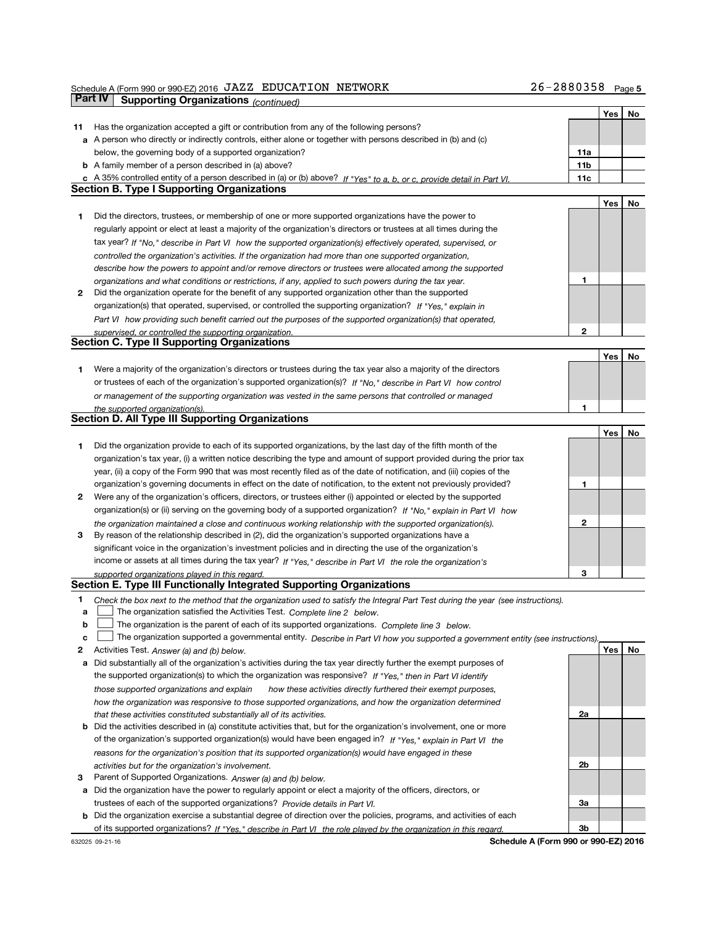| Schedule A (Form 990 or 990-EZ) 2016 JAZZ EDUCATION NETWORK   |  | $26 - 2880358$ Page 5 |  |
|---------------------------------------------------------------|--|-----------------------|--|
| <b>Part IV</b> Supporting Organizations $_{\text{Continued}}$ |  |                       |  |

Yes No

|    |                                                   |                                                                                                                         |  |  |  | 10011010001 |  |  |  |  |  |  |                 |     |  |
|----|---------------------------------------------------|-------------------------------------------------------------------------------------------------------------------------|--|--|--|-------------|--|--|--|--|--|--|-----------------|-----|--|
|    |                                                   |                                                                                                                         |  |  |  |             |  |  |  |  |  |  |                 | Yes |  |
| 11 |                                                   | Has the organization accepted a gift or contribution from any of the following persons?                                 |  |  |  |             |  |  |  |  |  |  |                 |     |  |
|    |                                                   | a A person who directly or indirectly controls, either alone or together with persons described in (b) and (c)          |  |  |  |             |  |  |  |  |  |  |                 |     |  |
|    |                                                   | below, the governing body of a supported organization?                                                                  |  |  |  |             |  |  |  |  |  |  | 11a             |     |  |
|    |                                                   | <b>b</b> A family member of a person described in (a) above?                                                            |  |  |  |             |  |  |  |  |  |  | 11 <sub>b</sub> |     |  |
|    |                                                   | c A 35% controlled entity of a person described in (a) or (b) above? If "Yes" to a, b, or c, provide detail in Part VI. |  |  |  |             |  |  |  |  |  |  | 11c             |     |  |
|    | <b>Section B. Type I Supporting Organizations</b> |                                                                                                                         |  |  |  |             |  |  |  |  |  |  |                 |     |  |

|   |                                                                                                                    |   | Yes | No |
|---|--------------------------------------------------------------------------------------------------------------------|---|-----|----|
|   | Did the directors, trustees, or membership of one or more supported organizations have the power to                |   |     |    |
|   | regularly appoint or elect at least a majority of the organization's directors or trustees at all times during the |   |     |    |
|   | tax year? If "No," describe in Part VI how the supported organization(s) effectively operated, supervised, or      |   |     |    |
|   | controlled the organization's activities. If the organization had more than one supported organization,            |   |     |    |
|   | describe how the powers to appoint and/or remove directors or trustees were allocated among the supported          |   |     |    |
|   | organizations and what conditions or restrictions, if any, applied to such powers during the tax year.             |   |     |    |
| 2 | Did the organization operate for the benefit of any supported organization other than the supported                |   |     |    |
|   | organization(s) that operated, supervised, or controlled the supporting organization? If "Yes." explain in         |   |     |    |
|   | Part VI how providing such benefit carried out the purposes of the supported organization(s) that operated,        |   |     |    |
|   | supervised, or controlled the supporting organization.                                                             | ົ |     |    |
|   | <b>Section C. Type II Supporting Organizations</b>                                                                 |   |     |    |

|                                                                                                                  |  | No |
|------------------------------------------------------------------------------------------------------------------|--|----|
| Were a majority of the organization's directors or trustees during the tax year also a majority of the directors |  |    |
| or trustees of each of the organization's supported organization(s)? If "No," describe in Part VI how control    |  |    |
| or management of the supporting organization was vested in the same persons that controlled or managed           |  |    |
| the supported organization(s).                                                                                   |  |    |

|              | <b>Section D. All Type III Supporting Organizations</b>                                                                |   |     |  |
|--------------|------------------------------------------------------------------------------------------------------------------------|---|-----|--|
|              |                                                                                                                        |   | Yes |  |
|              | Did the organization provide to each of its supported organizations, by the last day of the fifth month of the         |   |     |  |
|              | organization's tax year, (i) a written notice describing the type and amount of support provided during the prior tax  |   |     |  |
|              | year, (ii) a copy of the Form 990 that was most recently filed as of the date of notification, and (iii) copies of the |   |     |  |
|              | organization's governing documents in effect on the date of notification, to the extent not previously provided?       |   |     |  |
| $\mathbf{2}$ | Were any of the organization's officers, directors, or trustees either (i) appointed or elected by the supported       |   |     |  |
|              | organization(s) or (ii) serving on the governing body of a supported organization? If "No," explain in Part VI how     |   |     |  |
|              | the organization maintained a close and continuous working relationship with the supported organization(s).            | 2 |     |  |
| 3            | By reason of the relationship described in (2), did the organization's supported organizations have a                  |   |     |  |
|              | significant voice in the organization's investment policies and in directing the use of the organization's             |   |     |  |
|              | income or assets at all times during the tax year? If "Yes," describe in Part VI the role the organization's           |   |     |  |

#### supported organizations played in this regard. Section E. Type III Functionally Integrated Supporting Organizations

- 1 Check the box next to the method that the organization used to satisfy the Integral Part Test during the year (see instructions).
- a The organization satisfied the Activities Test. Complete line 2 below.
- b The organization is the parent of each of its supported organizations. Complete line  $3$  below.
- c I The organization supported a governmental entity. Describe in Part VI how you supported a government entity (see instructions).
- 2 Activities Test. Answer (a) and (b) below.
- a Did substantially all of the organization's activities during the tax year directly further the exempt purposes of the supported organization(s) to which the organization was responsive? If "Yes," then in Part VI identify those supported organizations and explain bow these activities directly furthered their exempt purposes, how the organization was responsive to those supported organizations, and how the organization determined that these activities constituted substantially all of its activities.
- b Did the activities described in (a) constitute activities that, but for the organization's involvement, one or more of the organization's supported organization(s) would have been engaged in? If "Yes," explain in Part VI the reasons for the organization's position that its supported organization(s) would have engaged in these activities but for the organization's involvement.
- 3 Parent of Supported Organizations. Answer (a) and (b) below. a Did the organization have the power to regularly appoint or elect a majority of the officers, directors, or trustees of each of the supported organizations? Provide details in Part VI.
- b Did the organization exercise a substantial degree of direction over the policies, programs, and activities of each of its supported organizations? If "Yes," describe in Part VI the role played by the organization in this regard.

Schedule A (Form 990 or 990-EZ) 2016

 $\overline{2}$ 

2a

2b

3a

3b

Yes | No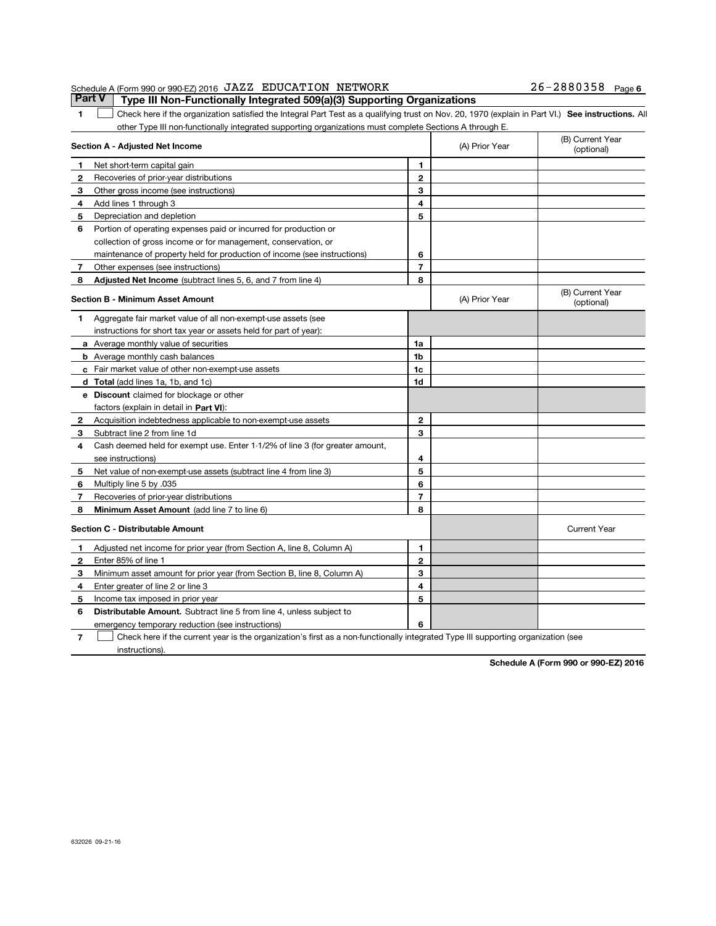#### Schedule A (Form 990 or 990-EZ) 2016 J.A.Z.Z EDUCAT LON NETWORK<br>| Part V | Type III Non-Functionally Integrated 509(a)(3) Supporting Organizations JAZZ EDUCATION NETWORK 26-2880358

26-2880358 Page 6

1 Check here if the organization satisfied the Integral Part Test as a qualifying trust on Nov. 20, 1970 (explain in Part VI.) See instructions. All other Type III non-functionally integrated supporting organizations must complete Sections A through E.

|                | Section A - Adjusted Net Income                                                                                                   |                | (A) Prior Year | (B) Current Year<br>(optional) |
|----------------|-----------------------------------------------------------------------------------------------------------------------------------|----------------|----------------|--------------------------------|
| 1              | Net short-term capital gain                                                                                                       | 1              |                |                                |
| 2              | Recoveries of prior-year distributions                                                                                            | $\overline{2}$ |                |                                |
| З              | Other gross income (see instructions)                                                                                             | 3              |                |                                |
| 4              | Add lines 1 through 3                                                                                                             | 4              |                |                                |
| 5              | Depreciation and depletion                                                                                                        | 5              |                |                                |
| 6              | Portion of operating expenses paid or incurred for production or                                                                  |                |                |                                |
|                | collection of gross income or for management, conservation, or                                                                    |                |                |                                |
|                | maintenance of property held for production of income (see instructions)                                                          | 6              |                |                                |
| 7              | Other expenses (see instructions)                                                                                                 | $\overline{7}$ |                |                                |
| 8              | <b>Adjusted Net Income</b> (subtract lines 5, 6, and 7 from line 4)                                                               | 8              |                |                                |
|                | <b>Section B - Minimum Asset Amount</b>                                                                                           |                | (A) Prior Year | (B) Current Year<br>(optional) |
| 1              | Aggregate fair market value of all non-exempt-use assets (see                                                                     |                |                |                                |
|                | instructions for short tax year or assets held for part of year):                                                                 |                |                |                                |
|                | <b>a</b> Average monthly value of securities                                                                                      | 1a             |                |                                |
|                | <b>b</b> Average monthly cash balances                                                                                            | 1 <sub>b</sub> |                |                                |
|                | c Fair market value of other non-exempt-use assets                                                                                | 1c             |                |                                |
|                | d Total (add lines 1a, 1b, and 1c)                                                                                                | 1d             |                |                                |
|                | e Discount claimed for blockage or other                                                                                          |                |                |                                |
|                | factors (explain in detail in Part VI):                                                                                           |                |                |                                |
| $\mathbf{2}$   | Acquisition indebtedness applicable to non-exempt-use assets                                                                      | 2              |                |                                |
| 3              | Subtract line 2 from line 1d                                                                                                      | 3              |                |                                |
| 4              | Cash deemed held for exempt use. Enter 1-1/2% of line 3 (for greater amount,                                                      |                |                |                                |
|                | see instructions)                                                                                                                 | 4              |                |                                |
| 5              | Net value of non-exempt-use assets (subtract line 4 from line 3)                                                                  | 5              |                |                                |
| 6              | Multiply line 5 by .035                                                                                                           | 6              |                |                                |
| 7              | Recoveries of prior-year distributions                                                                                            | $\overline{7}$ |                |                                |
| 8              | Minimum Asset Amount (add line 7 to line 6)                                                                                       | 8              |                |                                |
|                | <b>Section C - Distributable Amount</b>                                                                                           |                |                | <b>Current Year</b>            |
| 1.             | Adjusted net income for prior year (from Section A, line 8, Column A)                                                             | 1              |                |                                |
| 2              | Enter 85% of line 1                                                                                                               | $\overline{2}$ |                |                                |
| 3              | Minimum asset amount for prior year (from Section B, line 8, Column A)                                                            | 3              |                |                                |
| 4              | Enter greater of line 2 or line 3                                                                                                 | 4              |                |                                |
| 5              | Income tax imposed in prior year                                                                                                  | 5              |                |                                |
| 6              | <b>Distributable Amount.</b> Subtract line 5 from line 4, unless subject to                                                       |                |                |                                |
|                | emergency temporary reduction (see instructions)                                                                                  | 6              |                |                                |
| $\overline{7}$ | Check here if the current year is the organization's first as a non-functionally integrated Type III supporting organization (see |                |                |                                |

instructions).

Schedule A (Form 990 or 990-EZ) 2016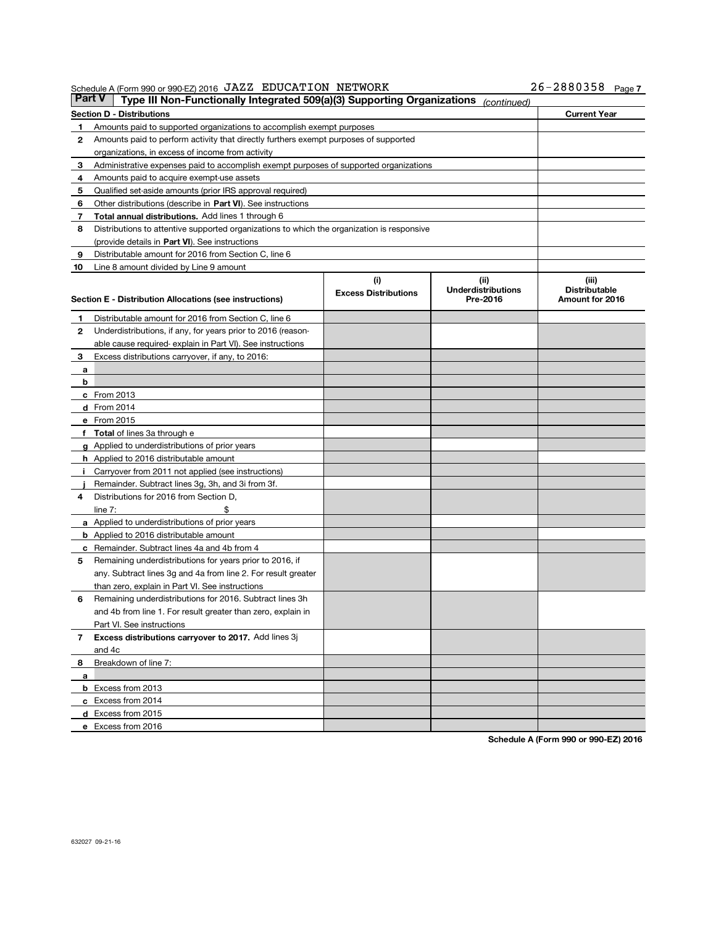JAZZ EDUCATION NETWORK 26-2880358

26-2880358 Page 7

| <b>Part V</b> | Schedule A (Form 990 or 990-EZ) 2016 JAZZ EDUCATION NETWORK<br>Type III Non-Functionally Integrated 509(a)(3) Supporting Organizations |                             |                                       | 26-2880358 Page7                        |
|---------------|----------------------------------------------------------------------------------------------------------------------------------------|-----------------------------|---------------------------------------|-----------------------------------------|
|               | <b>Section D - Distributions</b>                                                                                                       |                             | (continued)                           | <b>Current Year</b>                     |
| 1             | Amounts paid to supported organizations to accomplish exempt purposes                                                                  |                             |                                       |                                         |
| 2             | Amounts paid to perform activity that directly furthers exempt purposes of supported                                                   |                             |                                       |                                         |
|               | organizations, in excess of income from activity                                                                                       |                             |                                       |                                         |
| з             | Administrative expenses paid to accomplish exempt purposes of supported organizations                                                  |                             |                                       |                                         |
| 4             | Amounts paid to acquire exempt-use assets                                                                                              |                             |                                       |                                         |
| 5             | Qualified set-aside amounts (prior IRS approval required)                                                                              |                             |                                       |                                         |
| 6             | Other distributions (describe in Part VI). See instructions                                                                            |                             |                                       |                                         |
| 7             | Total annual distributions. Add lines 1 through 6                                                                                      |                             |                                       |                                         |
| 8             | Distributions to attentive supported organizations to which the organization is responsive                                             |                             |                                       |                                         |
|               | (provide details in Part VI). See instructions                                                                                         |                             |                                       |                                         |
| 9             | Distributable amount for 2016 from Section C, line 6                                                                                   |                             |                                       |                                         |
| 10            | Line 8 amount divided by Line 9 amount                                                                                                 |                             |                                       |                                         |
|               |                                                                                                                                        | (i)                         | (ii)                                  | (iii)                                   |
|               | Section E - Distribution Allocations (see instructions)                                                                                | <b>Excess Distributions</b> | <b>Underdistributions</b><br>Pre-2016 | <b>Distributable</b><br>Amount for 2016 |
| 1             | Distributable amount for 2016 from Section C, line 6                                                                                   |                             |                                       |                                         |
| 2             | Underdistributions, if any, for years prior to 2016 (reason-                                                                           |                             |                                       |                                         |
|               | able cause required-explain in Part VI). See instructions                                                                              |                             |                                       |                                         |
| 3             | Excess distributions carryover, if any, to 2016:                                                                                       |                             |                                       |                                         |
| а             |                                                                                                                                        |                             |                                       |                                         |
| b             |                                                                                                                                        |                             |                                       |                                         |
|               | $c$ From 2013                                                                                                                          |                             |                                       |                                         |
|               | $d$ From 2014                                                                                                                          |                             |                                       |                                         |
|               | e From 2015                                                                                                                            |                             |                                       |                                         |
|               | f Total of lines 3a through e                                                                                                          |                             |                                       |                                         |
|               | g Applied to underdistributions of prior years                                                                                         |                             |                                       |                                         |
|               | <b>h</b> Applied to 2016 distributable amount                                                                                          |                             |                                       |                                         |
| Ť.            | Carryover from 2011 not applied (see instructions)                                                                                     |                             |                                       |                                         |
|               | Remainder. Subtract lines 3g, 3h, and 3i from 3f.                                                                                      |                             |                                       |                                         |
| 4             | Distributions for 2016 from Section D,                                                                                                 |                             |                                       |                                         |
|               | \$<br>line $7:$                                                                                                                        |                             |                                       |                                         |
|               | <b>a</b> Applied to underdistributions of prior years                                                                                  |                             |                                       |                                         |
|               | <b>b</b> Applied to 2016 distributable amount                                                                                          |                             |                                       |                                         |
|               | c Remainder. Subtract lines 4a and 4b from 4                                                                                           |                             |                                       |                                         |
| 5             | Remaining underdistributions for years prior to 2016, if                                                                               |                             |                                       |                                         |
|               | any. Subtract lines 3g and 4a from line 2. For result greater                                                                          |                             |                                       |                                         |
|               | than zero, explain in Part VI. See instructions                                                                                        |                             |                                       |                                         |
| 6             | Remaining underdistributions for 2016. Subtract lines 3h                                                                               |                             |                                       |                                         |
|               | and 4b from line 1. For result greater than zero, explain in                                                                           |                             |                                       |                                         |
|               | Part VI. See instructions                                                                                                              |                             |                                       |                                         |
| $\mathbf{7}$  | Excess distributions carryover to 2017. Add lines 3j                                                                                   |                             |                                       |                                         |
|               | and 4c                                                                                                                                 |                             |                                       |                                         |
| 8             | Breakdown of line 7:                                                                                                                   |                             |                                       |                                         |
| a             |                                                                                                                                        |                             |                                       |                                         |
|               | <b>b</b> Excess from 2013                                                                                                              |                             |                                       |                                         |
|               | c Excess from 2014                                                                                                                     |                             |                                       |                                         |
|               | d Excess from 2015                                                                                                                     |                             |                                       |                                         |
|               | e Excess from 2016                                                                                                                     |                             |                                       |                                         |

Schedule A (Form 990 or 990-EZ) 2016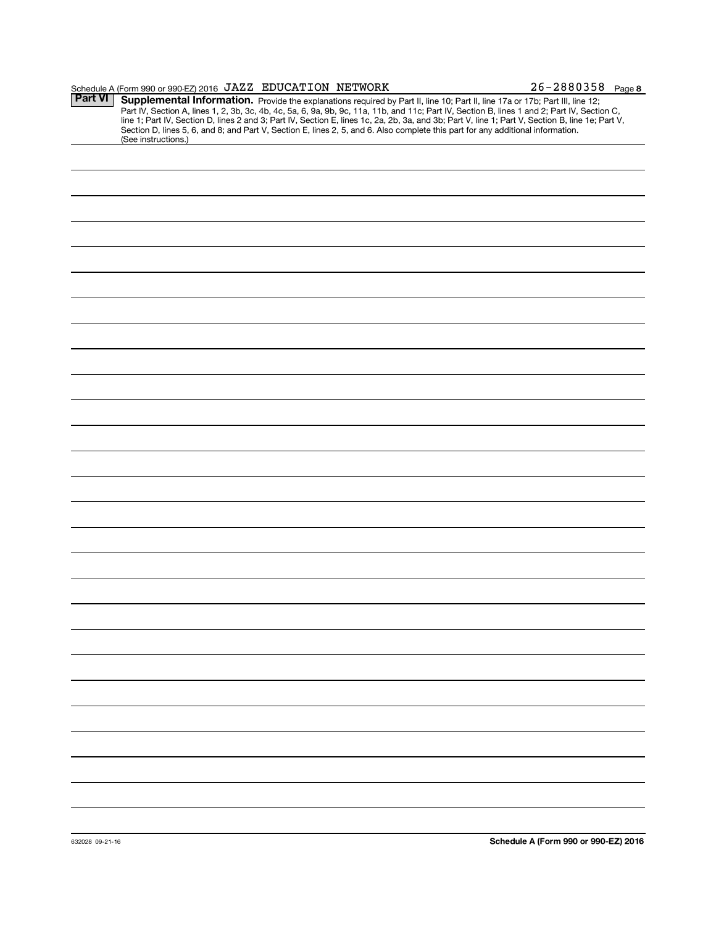|         | Schedule A (Form 990 or 990-EZ) 2016 JAZZ EDUCATION NETWORK                                                                                                                                                                                                                                                                                                                                                                                                                                                                                                          |  | $26 - 2880358$ Page 8 |
|---------|----------------------------------------------------------------------------------------------------------------------------------------------------------------------------------------------------------------------------------------------------------------------------------------------------------------------------------------------------------------------------------------------------------------------------------------------------------------------------------------------------------------------------------------------------------------------|--|-----------------------|
| Part VI | Supplemental Information. Provide the explanations required by Part II, line 10; Part II, line 17a or 17b; Part III, line 12;<br>Part IV, Section A, lines 1, 2, 3b, 3c, 4b, 4c, 5a, 6, 9a, 9b, 9c, 11a, 11b, and 11c; Part IV, Section B, lines 1 and 2; Part IV, Section C,<br>line 1; Part IV, Section D, lines 2 and 3; Part IV, Section E, lines 1c, 2a, 2b, 3a, and 3b; Part V, line 1; Part V, Section B, line 1e; Part V,<br>Section D, lines 5, 6, and 8; and Part V, Section E, lines 2, 5, and 6. Also complete this part for any additional information. |  |                       |
|         | (See instructions.)                                                                                                                                                                                                                                                                                                                                                                                                                                                                                                                                                  |  |                       |
|         |                                                                                                                                                                                                                                                                                                                                                                                                                                                                                                                                                                      |  |                       |
|         |                                                                                                                                                                                                                                                                                                                                                                                                                                                                                                                                                                      |  |                       |
|         |                                                                                                                                                                                                                                                                                                                                                                                                                                                                                                                                                                      |  |                       |
|         |                                                                                                                                                                                                                                                                                                                                                                                                                                                                                                                                                                      |  |                       |
|         |                                                                                                                                                                                                                                                                                                                                                                                                                                                                                                                                                                      |  |                       |
|         |                                                                                                                                                                                                                                                                                                                                                                                                                                                                                                                                                                      |  |                       |
|         |                                                                                                                                                                                                                                                                                                                                                                                                                                                                                                                                                                      |  |                       |
|         |                                                                                                                                                                                                                                                                                                                                                                                                                                                                                                                                                                      |  |                       |
|         |                                                                                                                                                                                                                                                                                                                                                                                                                                                                                                                                                                      |  |                       |
|         |                                                                                                                                                                                                                                                                                                                                                                                                                                                                                                                                                                      |  |                       |
|         |                                                                                                                                                                                                                                                                                                                                                                                                                                                                                                                                                                      |  |                       |
|         |                                                                                                                                                                                                                                                                                                                                                                                                                                                                                                                                                                      |  |                       |
|         |                                                                                                                                                                                                                                                                                                                                                                                                                                                                                                                                                                      |  |                       |
|         |                                                                                                                                                                                                                                                                                                                                                                                                                                                                                                                                                                      |  |                       |
|         |                                                                                                                                                                                                                                                                                                                                                                                                                                                                                                                                                                      |  |                       |
|         |                                                                                                                                                                                                                                                                                                                                                                                                                                                                                                                                                                      |  |                       |
|         |                                                                                                                                                                                                                                                                                                                                                                                                                                                                                                                                                                      |  |                       |
|         |                                                                                                                                                                                                                                                                                                                                                                                                                                                                                                                                                                      |  |                       |
|         |                                                                                                                                                                                                                                                                                                                                                                                                                                                                                                                                                                      |  |                       |
|         |                                                                                                                                                                                                                                                                                                                                                                                                                                                                                                                                                                      |  |                       |
|         |                                                                                                                                                                                                                                                                                                                                                                                                                                                                                                                                                                      |  |                       |
|         |                                                                                                                                                                                                                                                                                                                                                                                                                                                                                                                                                                      |  |                       |
|         |                                                                                                                                                                                                                                                                                                                                                                                                                                                                                                                                                                      |  |                       |
|         |                                                                                                                                                                                                                                                                                                                                                                                                                                                                                                                                                                      |  |                       |
|         |                                                                                                                                                                                                                                                                                                                                                                                                                                                                                                                                                                      |  |                       |
|         |                                                                                                                                                                                                                                                                                                                                                                                                                                                                                                                                                                      |  |                       |
|         |                                                                                                                                                                                                                                                                                                                                                                                                                                                                                                                                                                      |  |                       |
|         |                                                                                                                                                                                                                                                                                                                                                                                                                                                                                                                                                                      |  |                       |
|         |                                                                                                                                                                                                                                                                                                                                                                                                                                                                                                                                                                      |  |                       |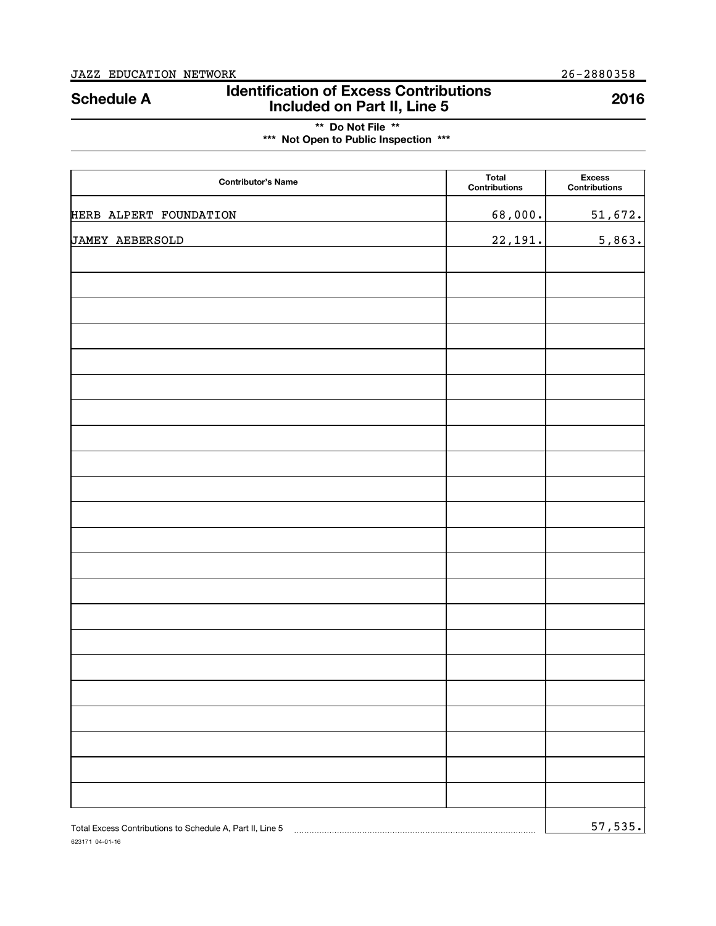623171 04-01-16

# Identification of Excess Contributions Included on Part II, Line 5 Schedule A <sup>2016</sup>

\*\* Do Not File \*\* \*\*\* Not Open to Public Inspection \*\*\*

| <b>Contributor's Name</b> | <b>Total</b><br>Contributions | <b>Excess</b><br><b>Contributions</b> |
|---------------------------|-------------------------------|---------------------------------------|
| HERB ALPERT FOUNDATION    | 68,000.                       | 51,672.                               |
| <b>JAMEY AEBERSOLD</b>    | 22,191.                       | 5,863.                                |
|                           |                               |                                       |
|                           |                               |                                       |
|                           |                               |                                       |
|                           |                               |                                       |
|                           |                               |                                       |
|                           |                               |                                       |
|                           |                               |                                       |
|                           |                               |                                       |
|                           |                               |                                       |
|                           |                               |                                       |
|                           |                               |                                       |
|                           |                               |                                       |
|                           |                               |                                       |
|                           |                               |                                       |
|                           |                               |                                       |
|                           |                               |                                       |
|                           |                               |                                       |
|                           |                               |                                       |
|                           |                               |                                       |
|                           |                               |                                       |
|                           |                               |                                       |
|                           |                               |                                       |
|                           |                               | 57,535.                               |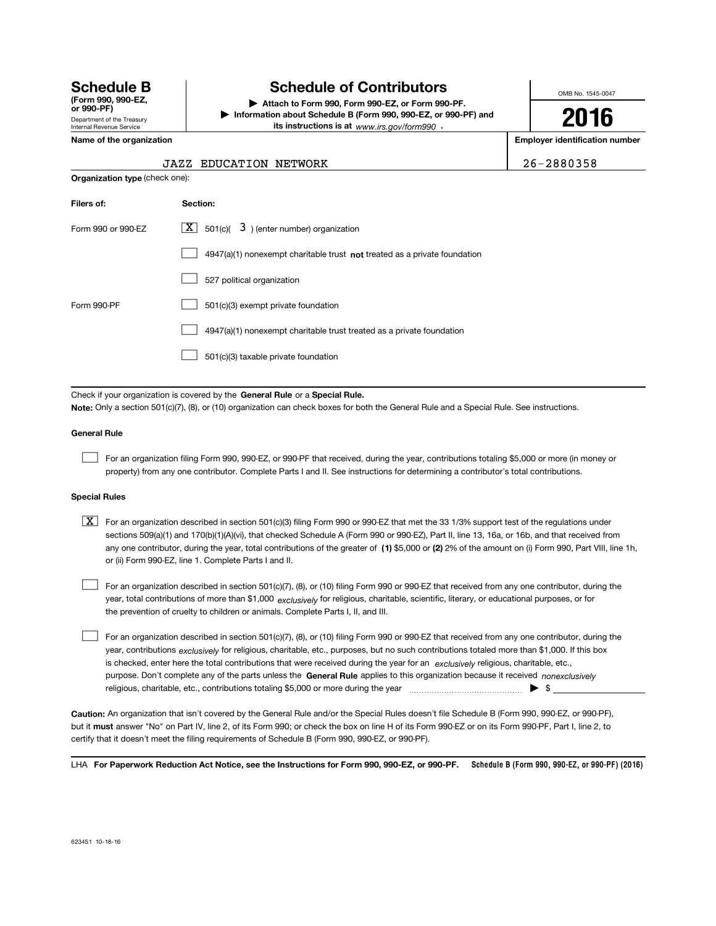| <b>Schedule B</b><br>(Form 990, 990-EZ.<br>or 990-PF) |
|-------------------------------------------------------|
| Department of the Treasury                            |
| Internal Revenue Service                              |

# **Schedule of Contributors**

Attach to Form 990, Form 990-EZ, or Form 990-PF. | Information about Schedule B (Form 990, 990-EZ, or 990-PF) and its instructions is at www.irs.gov/form990.

OMB No. 1545-0047

16

Name of the organization extensive properties and the original extensive properties of the organization number

|                                | <b>JAZZ EDUCATION NETWORK</b>                                               | 26-2880358 |
|--------------------------------|-----------------------------------------------------------------------------|------------|
| Organization type (check one): |                                                                             |            |
| Filers of:                     | Section:                                                                    |            |
| Form 990 or 990-EZ             | ΧI<br>$501(c)$ $\overline{3}$ ) (enter number) organization                 |            |
|                                | $4947(a)(1)$ nonexempt charitable trust not treated as a private foundation |            |
|                                | 527 political organization                                                  |            |
| Form 990-PF                    | 501(c)(3) exempt private foundation                                         |            |

4947(a)(1) nonexempt charitable trust treated as a private foundation  $\mathcal{L}(\mathcal{A})$ 

501(c)(3) taxable private foundation  $\mathcal{L}(\mathcal{A})$ 

Check if your organization is covered by the General Rule or a Special Rule.

Note: Only a section 501(c)(7), (8), or (10) organization can check boxes for both the General Rule and a Special Rule. See instructions.

#### General Rule

For an organization filing Form 990, 990-EZ, or 990-PF that received, during the year, contributions totaling \$5,000 or more (in money or property) from any one contributor. Complete Parts I and II. See instructions for determining a contributor's total contributions.

#### Special Rules

any one contributor, during the year, total contributions of the greater of  $\,$  (1) \$5,000 or (2) 2% of the amount on (i) Form 990, Part VIII, line 1h,  $\boxed{\textbf{X}}$  For an organization described in section 501(c)(3) filing Form 990 or 990-EZ that met the 33 1/3% support test of the regulations under sections 509(a)(1) and 170(b)(1)(A)(vi), that checked Schedule A (Form 990 or 990-EZ), Part II, line 13, 16a, or 16b, and that received from or (ii) Form 990-EZ, line 1. Complete Parts I and II.

year, total contributions of more than \$1,000 *exclusively* for religious, charitable, scientific, literary, or educational purposes, or for For an organization described in section 501(c)(7), (8), or (10) filing Form 990 or 990-EZ that received from any one contributor, during the the prevention of cruelty to children or animals. Complete Parts I, II, and III.

purpose. Don't complete any of the parts unless the **General Rule** applies to this organization because it received *nonexclusively* year, contributions <sub>exclusively</sub> for religious, charitable, etc., purposes, but no such contributions totaled more than \$1,000. If this box is checked, enter here the total contributions that were received during the year for an exclusively religious, charitable, etc., For an organization described in section 501(c)(7), (8), or (10) filing Form 990 or 990-EZ that received from any one contributor, during the religious, charitable, etc., contributions totaling \$5,000 or more during the year ~~~~~~~~~~~~~~~ | \$

Caution: An organization that isn't covered by the General Rule and/or the Special Rules doesn't file Schedule B (Form 990, 990-EZ, or 990-PF), but it must answer "No" on Part IV, line 2, of its Form 990; or check the box on line H of its Form 990-EZ or on its Form 990-PF, Part I, line 2, to certify that it doesn't meet the filing requirements of Schedule B (Form 990, 990-EZ, or 990-PF).

LHA For Paperwork Reduction Act Notice, see the Instructions for Form 990, 990-EZ, or 990-PF. Schedule B (Form 990, 990-EZ, or 990-PF) (2016)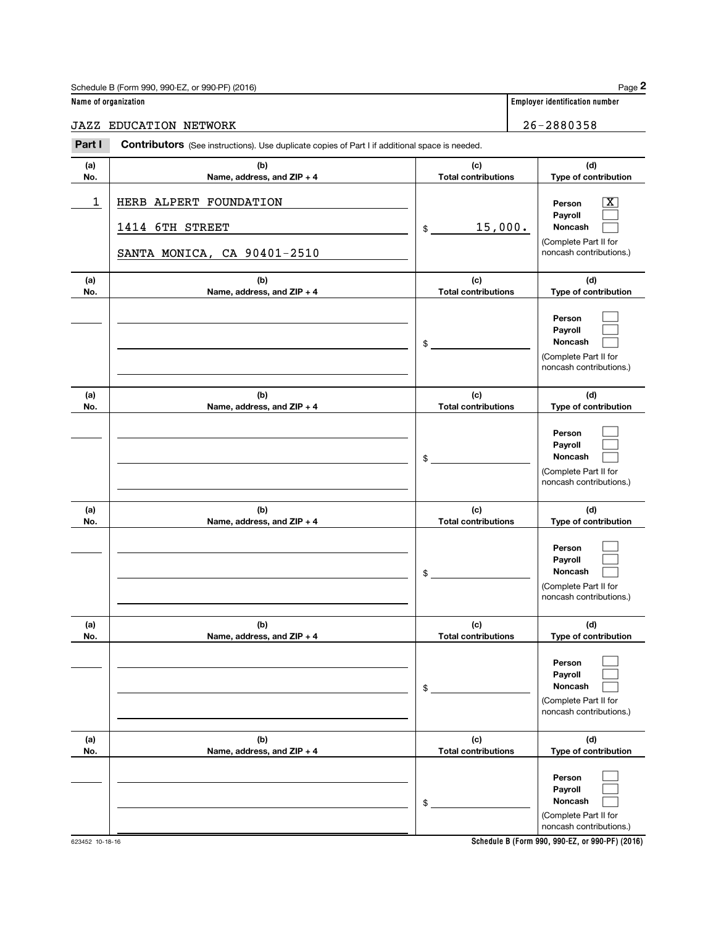| Schedule B (Form 990, 990-EZ, or 990-PF) (2016) | Page                                  |
|-------------------------------------------------|---------------------------------------|
| Name of organization                            | <b>Employer identification number</b> |

Page 2

| JAZZ | EDUCATION | NETWORK | 26-2880358 |
|------|-----------|---------|------------|

|  | $26 - 288035$ |  |  |  |
|--|---------------|--|--|--|

| Part I Contributors (See instructions). Use duplicate copies of Part I if additional space is needed. |  |  |
|-------------------------------------------------------------------------------------------------------|--|--|
|                                                                                                       |  |  |

| (a)         | (b)                                                                      | (c)                               | (d)                                                                                                         |
|-------------|--------------------------------------------------------------------------|-----------------------------------|-------------------------------------------------------------------------------------------------------------|
| No.         | Name, address, and ZIP + 4                                               | <b>Total contributions</b>        | Type of contribution                                                                                        |
| $\mathbf 1$ | HERB ALPERT FOUNDATION<br>1414 6TH STREET<br>SANTA MONICA, CA 90401-2510 | 15,000.<br>$\frac{1}{2}$          | $\overline{\mathbf{x}}$<br>Person<br>Payroll<br>Noncash<br>(Complete Part II for<br>noncash contributions.) |
| (a)         | (b)                                                                      | (c)                               | (d)                                                                                                         |
| No.         | Name, address, and ZIP + 4                                               | <b>Total contributions</b>        | Type of contribution                                                                                        |
|             |                                                                          | \$                                | Person<br>Payroll<br>Noncash<br>(Complete Part II for<br>noncash contributions.)                            |
| (a)         | (b)                                                                      | (c)                               | (d)                                                                                                         |
| No.         | Name, address, and ZIP + 4                                               | <b>Total contributions</b><br>\$  | Type of contribution<br>Person<br>Payroll<br>Noncash<br>(Complete Part II for<br>noncash contributions.)    |
| (a)<br>No.  | (b)<br>Name, address, and ZIP + 4                                        | (c)<br><b>Total contributions</b> | (d)<br>Type of contribution                                                                                 |
|             |                                                                          | \$                                | Person<br>Payroll<br>Noncash<br>(Complete Part II for<br>noncash contributions.)                            |
| (a)<br>No.  | (b)<br>Name, address, and ZIP + 4                                        | (c)<br><b>Total contributions</b> | (d)<br>Type of contribution                                                                                 |
|             |                                                                          | \$                                | Person<br>Payroll<br>Noncash<br>(Complete Part II for<br>noncash contributions.)                            |
| (a)<br>No.  | (b)<br>Name, address, and ZIP + 4                                        | (c)<br><b>Total contributions</b> | (d)<br>Type of contribution                                                                                 |
|             |                                                                          | \$                                | Person<br>Payroll<br>Noncash<br>(Complete Part II for<br>noncash contributions.)                            |

Schedule B (Form 990, 990-EZ, or 990-PF) (2016)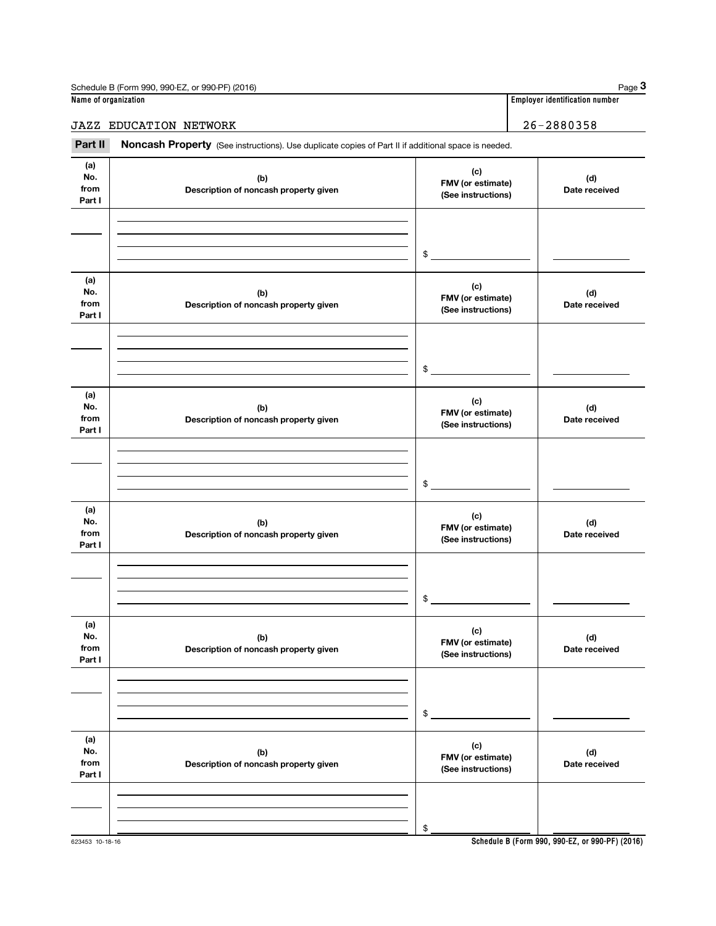| Schedule B (Form 990, 990-EZ, or 990-PF) (2016) | Page $3$                         |  |  |
|-------------------------------------------------|----------------------------------|--|--|
| Name of organization                            | ' Employer identification number |  |  |
| JAZZ<br>EDUCATION NETWORK                       | 26-2880358                       |  |  |

#### (a) No. from Part I (c) FMV (or estimate) (See instructions) (b) Description of noncash property given (d) Date received (a) No. from Part I (c) FMV (or estimate) (See instructions) (b) Description of noncash property given (d) Date received (a) No. from Part I (c) FMV (or estimate) (See instructions) (b) Description of noncash property given (d) Date received (a) No. from Part I (c) FMV (or estimate) (See instructions) (b) Description of noncash property given (d) Date received (a) No. from Part I (c) FMV (or estimate) (See instructions) (b) Description of noncash property given (d) Date received (a) No. from Part I (c) FMV (or estimate) (See instructions) (b) Description of noncash property given (d) Date received Part II Noncash Property (See instructions). Use duplicate copies of Part II if additional space is needed. \$ \$ \$ \$ \$ \$

Schedule B (Form 990, 990-EZ, or 990-PF) (2016)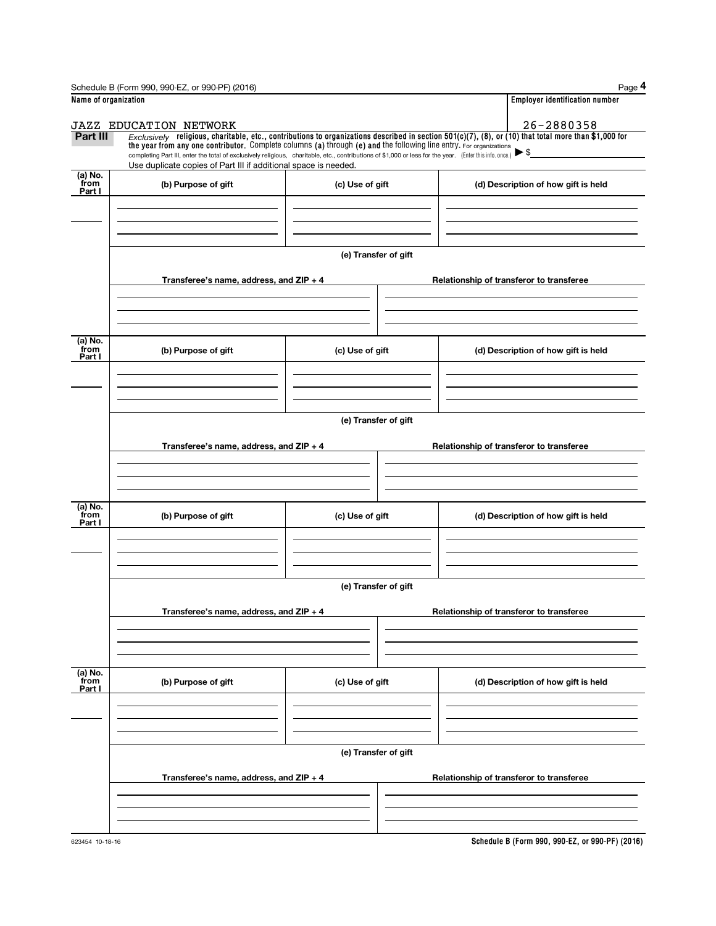|                           | Schedule B (Form 990, 990-EZ, or 990-PF) (2016)                                                                                                                                                                                                                                                                                                                                                                                                         |                      |                                          | Page 4                                   |  |  |  |  |
|---------------------------|---------------------------------------------------------------------------------------------------------------------------------------------------------------------------------------------------------------------------------------------------------------------------------------------------------------------------------------------------------------------------------------------------------------------------------------------------------|----------------------|------------------------------------------|------------------------------------------|--|--|--|--|
| Name of organization      |                                                                                                                                                                                                                                                                                                                                                                                                                                                         |                      |                                          | <b>Employer identification number</b>    |  |  |  |  |
|                           | <b>JAZZ EDUCATION NETWORK</b>                                                                                                                                                                                                                                                                                                                                                                                                                           |                      |                                          | 26-2880358                               |  |  |  |  |
| Part III                  | $Exclusively$ religious, charitable, etc., contributions to organizations described in section $501(c)(7)$ , $(8)$ , or $(10)$ that total more than \$1,000 for<br>the year from any one contributor. Complete columns (a) through (e) and the following line entry. For organizations<br>completing Part III, enter the total of exclusively religious, charitable, etc., contributions of \$1,000 or less for the year. [Enter this info. once.] ▶ \$ |                      |                                          |                                          |  |  |  |  |
| (a) No.                   | Use duplicate copies of Part III if additional space is needed.                                                                                                                                                                                                                                                                                                                                                                                         |                      |                                          |                                          |  |  |  |  |
| from<br>Part I            | (b) Purpose of gift                                                                                                                                                                                                                                                                                                                                                                                                                                     | (c) Use of gift      |                                          | (d) Description of how gift is held      |  |  |  |  |
|                           |                                                                                                                                                                                                                                                                                                                                                                                                                                                         |                      |                                          |                                          |  |  |  |  |
|                           |                                                                                                                                                                                                                                                                                                                                                                                                                                                         |                      |                                          |                                          |  |  |  |  |
|                           |                                                                                                                                                                                                                                                                                                                                                                                                                                                         | (e) Transfer of gift |                                          |                                          |  |  |  |  |
|                           | Transferee's name, address, and ZIP + 4                                                                                                                                                                                                                                                                                                                                                                                                                 |                      |                                          | Relationship of transferor to transferee |  |  |  |  |
|                           |                                                                                                                                                                                                                                                                                                                                                                                                                                                         |                      |                                          |                                          |  |  |  |  |
| (a) No.<br>from<br>Part I | (b) Purpose of gift                                                                                                                                                                                                                                                                                                                                                                                                                                     | (c) Use of gift      |                                          | (d) Description of how gift is held      |  |  |  |  |
|                           |                                                                                                                                                                                                                                                                                                                                                                                                                                                         |                      |                                          |                                          |  |  |  |  |
|                           |                                                                                                                                                                                                                                                                                                                                                                                                                                                         |                      |                                          |                                          |  |  |  |  |
|                           | (e) Transfer of gift                                                                                                                                                                                                                                                                                                                                                                                                                                    |                      |                                          |                                          |  |  |  |  |
|                           | Transferee's name, address, and ZIP + 4                                                                                                                                                                                                                                                                                                                                                                                                                 |                      | Relationship of transferor to transferee |                                          |  |  |  |  |
|                           |                                                                                                                                                                                                                                                                                                                                                                                                                                                         |                      |                                          |                                          |  |  |  |  |
| (a) No.<br>from<br>Part I | (b) Purpose of gift                                                                                                                                                                                                                                                                                                                                                                                                                                     | (c) Use of gift      |                                          | (d) Description of how gift is held      |  |  |  |  |
|                           |                                                                                                                                                                                                                                                                                                                                                                                                                                                         |                      |                                          |                                          |  |  |  |  |
|                           |                                                                                                                                                                                                                                                                                                                                                                                                                                                         | (e) Transfer of gift |                                          |                                          |  |  |  |  |
|                           | Transferee's name, address, and ZIP + 4                                                                                                                                                                                                                                                                                                                                                                                                                 |                      |                                          | Relationship of transferor to transferee |  |  |  |  |
|                           |                                                                                                                                                                                                                                                                                                                                                                                                                                                         |                      |                                          |                                          |  |  |  |  |
| (a) No.<br>from<br>Part I | (b) Purpose of gift                                                                                                                                                                                                                                                                                                                                                                                                                                     | (c) Use of gift      |                                          | (d) Description of how gift is held      |  |  |  |  |
|                           |                                                                                                                                                                                                                                                                                                                                                                                                                                                         |                      |                                          |                                          |  |  |  |  |
|                           |                                                                                                                                                                                                                                                                                                                                                                                                                                                         |                      |                                          |                                          |  |  |  |  |
|                           | (e) Transfer of gift                                                                                                                                                                                                                                                                                                                                                                                                                                    |                      |                                          |                                          |  |  |  |  |
|                           | Transferee's name, address, and ZIP + 4                                                                                                                                                                                                                                                                                                                                                                                                                 |                      |                                          | Relationship of transferor to transferee |  |  |  |  |
|                           |                                                                                                                                                                                                                                                                                                                                                                                                                                                         |                      |                                          |                                          |  |  |  |  |
|                           |                                                                                                                                                                                                                                                                                                                                                                                                                                                         |                      |                                          |                                          |  |  |  |  |

Schedule B (Form 990, 990-EZ, or 990-PF) (2016)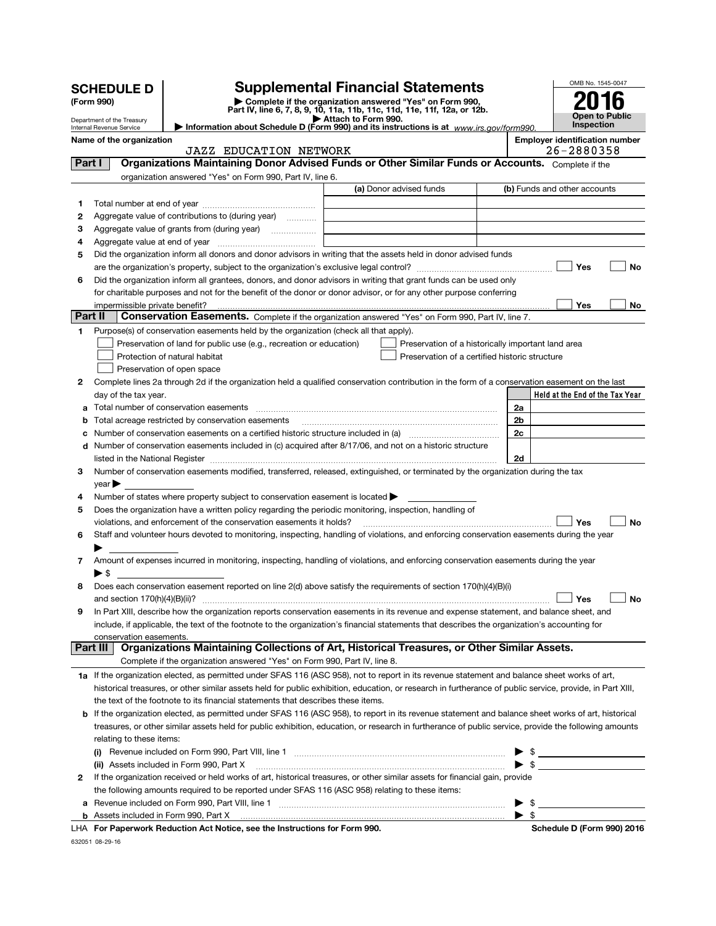|         | <b>SCHEDULE D</b>                                    |                                                                                                        | <b>Supplemental Financial Statements</b>                                                                                                                   |    | OMB No. 1545-0047                     |
|---------|------------------------------------------------------|--------------------------------------------------------------------------------------------------------|------------------------------------------------------------------------------------------------------------------------------------------------------------|----|---------------------------------------|
|         | (Form 990)                                           |                                                                                                        | Complete if the organization answered "Yes" on Form 990,<br>Part IV, line 6, 7, 8, 9, 10, 11a, 11b, 11c, 11d, 11e, 11f, 12a, or 12b.                       |    |                                       |
|         | Department of the Treasury                           |                                                                                                        | Attach to Form 990.                                                                                                                                        |    | Open to Public<br>Inspection          |
|         | Internal Revenue Service<br>Name of the organization |                                                                                                        | Information about Schedule D (Form 990) and its instructions is at $www.irs.gov/form990$ .                                                                 |    | <b>Employer identification number</b> |
|         |                                                      | <b>JAZZ EDUCATION NETWORK</b>                                                                          |                                                                                                                                                            |    | 26-2880358                            |
| Part I  |                                                      |                                                                                                        | Organizations Maintaining Donor Advised Funds or Other Similar Funds or Accounts. Complete if the                                                          |    |                                       |
|         |                                                      | organization answered "Yes" on Form 990, Part IV, line 6.                                              |                                                                                                                                                            |    |                                       |
|         |                                                      |                                                                                                        | (a) Donor advised funds                                                                                                                                    |    | (b) Funds and other accounts          |
| 1       |                                                      |                                                                                                        |                                                                                                                                                            |    |                                       |
| 2       |                                                      | Aggregate value of contributions to (during year)                                                      |                                                                                                                                                            |    |                                       |
| з<br>4  |                                                      |                                                                                                        |                                                                                                                                                            |    |                                       |
| 5       |                                                      |                                                                                                        | Did the organization inform all donors and donor advisors in writing that the assets held in donor advised funds                                           |    |                                       |
|         |                                                      |                                                                                                        | are the organization's property, subject to the organization's exclusive legal control? [[[[[[[[[[[[[[[[[[[[[                                              |    | Yes<br>No                             |
| 6       |                                                      |                                                                                                        | Did the organization inform all grantees, donors, and donor advisors in writing that grant funds can be used only                                          |    |                                       |
|         |                                                      |                                                                                                        | for charitable purposes and not for the benefit of the donor or donor advisor, or for any other purpose conferring                                         |    |                                       |
|         | impermissible private benefit?                       |                                                                                                        |                                                                                                                                                            |    | Yes<br>No                             |
| Part II |                                                      |                                                                                                        | Conservation Easements. Complete if the organization answered "Yes" on Form 990, Part IV, line 7.                                                          |    |                                       |
| 1.      |                                                      | Purpose(s) of conservation easements held by the organization (check all that apply).                  |                                                                                                                                                            |    |                                       |
|         |                                                      | Preservation of land for public use (e.g., recreation or education)<br>Protection of natural habitat   | Preservation of a historically important land area<br>Preservation of a certified historic structure                                                       |    |                                       |
|         |                                                      | Preservation of open space                                                                             |                                                                                                                                                            |    |                                       |
| 2       |                                                      |                                                                                                        | Complete lines 2a through 2d if the organization held a qualified conservation contribution in the form of a conservation easement on the last             |    |                                       |
|         | day of the tax year.                                 |                                                                                                        |                                                                                                                                                            |    | Held at the End of the Tax Year       |
| a       |                                                      |                                                                                                        |                                                                                                                                                            | 2a |                                       |
| b       |                                                      | Total acreage restricted by conservation easements                                                     |                                                                                                                                                            | 2b |                                       |
|         |                                                      |                                                                                                        | Number of conservation easements on a certified historic structure included in (a) <i>mummumumumum</i>                                                     | 2с |                                       |
|         |                                                      |                                                                                                        | d Number of conservation easements included in (c) acquired after 8/17/06, and not on a historic structure                                                 |    |                                       |
|         |                                                      |                                                                                                        |                                                                                                                                                            | 2d |                                       |
| 3       | vear                                                 |                                                                                                        | Number of conservation easements modified, transferred, released, extinguished, or terminated by the organization during the tax                           |    |                                       |
| 4       |                                                      | Number of states where property subject to conservation easement is located $\blacktriangleright$      |                                                                                                                                                            |    |                                       |
| 5       |                                                      | Does the organization have a written policy regarding the periodic monitoring, inspection, handling of |                                                                                                                                                            |    |                                       |
|         |                                                      | violations, and enforcement of the conservation easements it holds?                                    |                                                                                                                                                            |    | <b>No</b><br>Yes                      |
| 6       |                                                      |                                                                                                        | Staff and volunteer hours devoted to monitoring, inspecting, handling of violations, and enforcing conservation easements during the year                  |    |                                       |
|         |                                                      |                                                                                                        |                                                                                                                                                            |    |                                       |
| 7       |                                                      |                                                                                                        | Amount of expenses incurred in monitoring, inspecting, handling of violations, and enforcing conservation easements during the year                        |    |                                       |
|         | $\blacktriangleright$ s                              |                                                                                                        |                                                                                                                                                            |    |                                       |
|         |                                                      |                                                                                                        | Does each conservation easement reported on line 2(d) above satisfy the requirements of section 170(h)(4)(B)(i)                                            |    |                                       |
| 9       | and section $170(h)(4)(B)(ii)?$                      |                                                                                                        | In Part XIII, describe how the organization reports conservation easements in its revenue and expense statement, and balance sheet, and                    |    | _l No                                 |
|         |                                                      |                                                                                                        | include, if applicable, the text of the footnote to the organization's financial statements that describes the organization's accounting for               |    |                                       |
|         | conservation easements.                              |                                                                                                        |                                                                                                                                                            |    |                                       |
|         | Part III                                             |                                                                                                        | Organizations Maintaining Collections of Art, Historical Treasures, or Other Similar Assets.                                                               |    |                                       |
|         |                                                      | Complete if the organization answered "Yes" on Form 990, Part IV, line 8.                              |                                                                                                                                                            |    |                                       |
|         |                                                      |                                                                                                        | 1a If the organization elected, as permitted under SFAS 116 (ASC 958), not to report in its revenue statement and balance sheet works of art,              |    |                                       |
|         |                                                      |                                                                                                        | historical treasures, or other similar assets held for public exhibition, education, or research in furtherance of public service, provide, in Part XIII,  |    |                                       |
|         |                                                      | the text of the footnote to its financial statements that describes these items.                       |                                                                                                                                                            |    |                                       |
|         |                                                      |                                                                                                        | <b>b</b> If the organization elected, as permitted under SFAS 116 (ASC 958), to report in its revenue statement and balance sheet works of art, historical |    |                                       |
|         |                                                      |                                                                                                        | treasures, or other similar assets held for public exhibition, education, or research in furtherance of public service, provide the following amounts      |    |                                       |
|         | relating to these items:                             |                                                                                                        | (i) Revenue included on Form 990, Part VIII, line 1 [2000] [2000] [2000] Revenue included on Form 990, Part VIII, line 1                                   |    |                                       |
|         |                                                      | (ii) Assets included in Form 990, Part X                                                               |                                                                                                                                                            |    | $\blacktriangleright$ \$              |
| 2       |                                                      |                                                                                                        | If the organization received or held works of art, historical treasures, or other similar assets for financial gain, provide                               |    |                                       |
|         |                                                      | the following amounts required to be reported under SFAS 116 (ASC 958) relating to these items:        |                                                                                                                                                            |    |                                       |
|         |                                                      |                                                                                                        |                                                                                                                                                            | \$ |                                       |
|         |                                                      |                                                                                                        |                                                                                                                                                            | \$ |                                       |
|         |                                                      | LHA For Paperwork Reduction Act Notice, see the Instructions for Form 990.                             |                                                                                                                                                            |    | Schedule D (Form 990) 2016            |

632051 08-29-16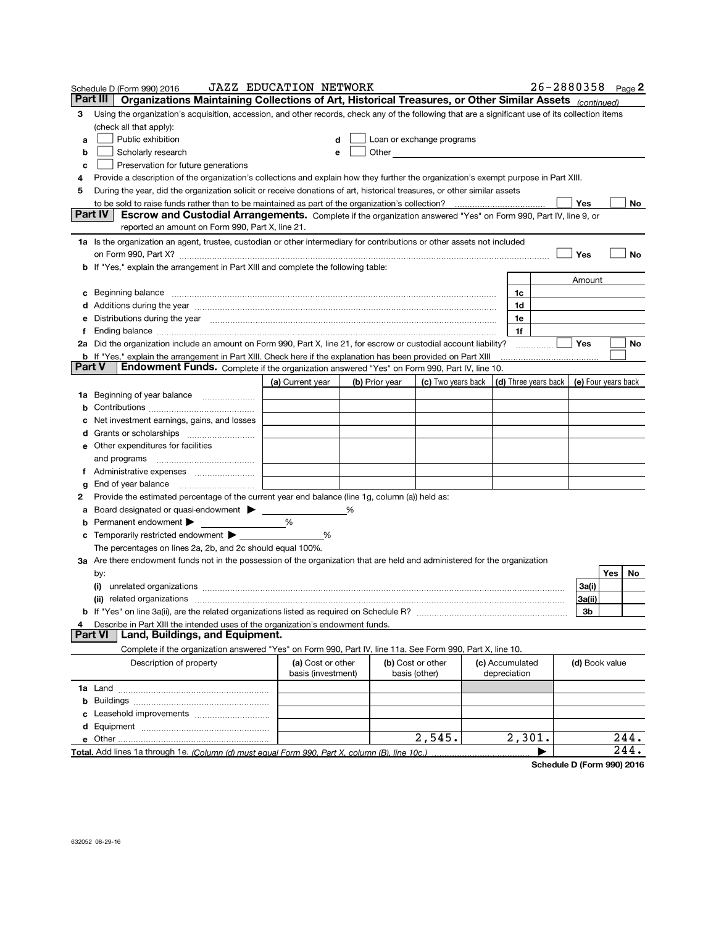|   | Schedule D (Form 990) 2016<br>Part III                                                                                                                                                                                         | <b>JAZZ EDUCATION NETWORK</b> |   |                           |                            |                 |                      | 26-2880358 Page 2   |            |
|---|--------------------------------------------------------------------------------------------------------------------------------------------------------------------------------------------------------------------------------|-------------------------------|---|---------------------------|----------------------------|-----------------|----------------------|---------------------|------------|
|   | Organizations Maintaining Collections of Art, Historical Treasures, or Other Similar Assets (continued)                                                                                                                        |                               |   |                           |                            |                 |                      |                     |            |
| 3 | Using the organization's acquisition, accession, and other records, check any of the following that are a significant use of its collection items                                                                              |                               |   |                           |                            |                 |                      |                     |            |
|   | (check all that apply):                                                                                                                                                                                                        |                               |   |                           |                            |                 |                      |                     |            |
| a | Public exhibition                                                                                                                                                                                                              |                               | d | Loan or exchange programs |                            |                 |                      |                     |            |
| b | Scholarly research                                                                                                                                                                                                             | е                             |   | Other                     |                            |                 |                      |                     |            |
| с | Preservation for future generations                                                                                                                                                                                            |                               |   |                           |                            |                 |                      |                     |            |
| 4 | Provide a description of the organization's collections and explain how they further the organization's exempt purpose in Part XIII.                                                                                           |                               |   |                           |                            |                 |                      |                     |            |
| 5 | During the year, did the organization solicit or receive donations of art, historical treasures, or other similar assets                                                                                                       |                               |   |                           |                            |                 |                      |                     |            |
|   | to be sold to raise funds rather than to be maintained as part of the organization's collection?<br>Part IV                                                                                                                    |                               |   |                           |                            |                 |                      | Yes                 | No         |
|   | Escrow and Custodial Arrangements. Complete if the organization answered "Yes" on Form 990, Part IV, line 9, or<br>reported an amount on Form 990, Part X, line 21.                                                            |                               |   |                           |                            |                 |                      |                     |            |
|   |                                                                                                                                                                                                                                |                               |   |                           |                            |                 |                      |                     |            |
|   | 1a Is the organization an agent, trustee, custodian or other intermediary for contributions or other assets not included                                                                                                       |                               |   |                           |                            |                 |                      |                     |            |
|   |                                                                                                                                                                                                                                |                               |   |                           |                            |                 |                      | Yes                 | No         |
|   | <b>b</b> If "Yes," explain the arrangement in Part XIII and complete the following table:                                                                                                                                      |                               |   |                           |                            |                 |                      |                     |            |
|   |                                                                                                                                                                                                                                |                               |   |                           |                            |                 |                      | Amount              |            |
| с |                                                                                                                                                                                                                                |                               |   |                           |                            | 1c              |                      |                     |            |
|   | d Additions during the year measurement contracts and a statement of a statement of the statement of the statement of the statement of the statement of the statement of the statement of the statement of the statement of th |                               |   |                           |                            | 1d              |                      |                     |            |
| е | Distributions during the year manufactured and an account of the year manufactured and the year manufactured and the year manufactured and the year manufactured and the year manufactured and the year manufactured and the y |                               |   |                           |                            | 1e              |                      |                     |            |
| f |                                                                                                                                                                                                                                |                               |   |                           |                            | 1f              |                      |                     |            |
|   | 2a Did the organization include an amount on Form 990, Part X, line 21, for escrow or custodial account liability?                                                                                                             |                               |   |                           |                            |                 |                      | Yes                 | No         |
|   | <b>b</b> If "Yes," explain the arrangement in Part XIII. Check here if the explanation has been provided on Part XIII<br>Part V                                                                                                |                               |   |                           |                            |                 |                      |                     |            |
|   | Endowment Funds. Complete if the organization answered "Yes" on Form 990, Part IV, line 10.                                                                                                                                    |                               |   |                           |                            |                 |                      |                     |            |
|   |                                                                                                                                                                                                                                | (a) Current year              |   | (b) Prior year            | (c) Two years back $\vert$ |                 | (d) Three years back | (e) Four years back |            |
|   |                                                                                                                                                                                                                                |                               |   |                           |                            |                 |                      |                     |            |
| b |                                                                                                                                                                                                                                |                               |   |                           |                            |                 |                      |                     |            |
| с | Net investment earnings, gains, and losses                                                                                                                                                                                     |                               |   |                           |                            |                 |                      |                     |            |
|   |                                                                                                                                                                                                                                |                               |   |                           |                            |                 |                      |                     |            |
|   | e Other expenditures for facilities                                                                                                                                                                                            |                               |   |                           |                            |                 |                      |                     |            |
|   | and programs                                                                                                                                                                                                                   |                               |   |                           |                            |                 |                      |                     |            |
| f |                                                                                                                                                                                                                                |                               |   |                           |                            |                 |                      |                     |            |
| g | End of year balance                                                                                                                                                                                                            |                               |   |                           |                            |                 |                      |                     |            |
| 2 | Provide the estimated percentage of the current year end balance (line 1g, column (a)) held as:                                                                                                                                |                               |   |                           |                            |                 |                      |                     |            |
| а | Board designated or quasi-endowment                                                                                                                                                                                            |                               | ℅ |                           |                            |                 |                      |                     |            |
| b | Permanent endowment                                                                                                                                                                                                            | %                             |   |                           |                            |                 |                      |                     |            |
|   | <b>c</b> Temporarily restricted endowment $\blacktriangleright$                                                                                                                                                                | %                             |   |                           |                            |                 |                      |                     |            |
|   | The percentages on lines 2a, 2b, and 2c should equal 100%.                                                                                                                                                                     |                               |   |                           |                            |                 |                      |                     |            |
|   | 3a Are there endowment funds not in the possession of the organization that are held and administered for the organization                                                                                                     |                               |   |                           |                            |                 |                      |                     |            |
|   | by:                                                                                                                                                                                                                            |                               |   |                           |                            |                 |                      |                     | Yes<br>No. |
|   |                                                                                                                                                                                                                                |                               |   |                           |                            |                 |                      | 3a(i)               |            |
|   | (ii) related organizations                                                                                                                                                                                                     |                               |   |                           |                            |                 |                      | 3a(ii)              |            |
|   |                                                                                                                                                                                                                                |                               |   |                           |                            |                 |                      | Зb                  |            |
| 4 | Describe in Part XIII the intended uses of the organization's endowment funds.                                                                                                                                                 |                               |   |                           |                            |                 |                      |                     |            |
|   | Land, Buildings, and Equipment.<br>Part VI                                                                                                                                                                                     |                               |   |                           |                            |                 |                      |                     |            |
|   | Complete if the organization answered "Yes" on Form 990, Part IV, line 11a. See Form 990, Part X, line 10.                                                                                                                     |                               |   |                           |                            |                 |                      |                     |            |
|   | Description of property                                                                                                                                                                                                        | (a) Cost or other             |   |                           | (b) Cost or other          | (c) Accumulated |                      | (d) Book value      |            |
|   |                                                                                                                                                                                                                                | basis (investment)            |   |                           | basis (other)              | depreciation    |                      |                     |            |
|   |                                                                                                                                                                                                                                |                               |   |                           |                            |                 |                      |                     |            |
|   |                                                                                                                                                                                                                                |                               |   |                           |                            |                 |                      |                     |            |
|   |                                                                                                                                                                                                                                |                               |   |                           |                            |                 |                      |                     |            |
|   |                                                                                                                                                                                                                                |                               |   |                           |                            |                 |                      |                     |            |
|   | e Other                                                                                                                                                                                                                        |                               |   |                           | 2,545.                     | 2,301.          |                      |                     | 244.       |
|   | Total. Add lines 1a through 1e. (Column (d) must equal Form 990. Part X. column (B). line 10c.)                                                                                                                                |                               |   |                           |                            |                 |                      |                     | 244.       |

Schedule D (Form 990) 2016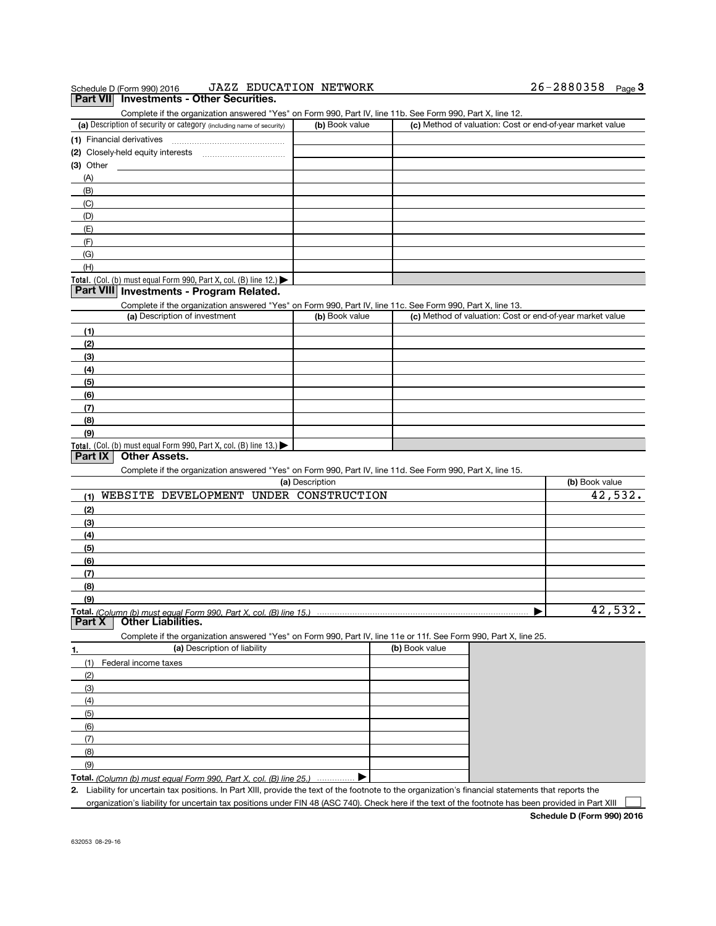|                            | Schedule D (Form 990) 2016                                                                                        | <b>JAZZ EDUCATION NETWORK</b> |                |                                                           | 26-2880358 Page 3 |                           |
|----------------------------|-------------------------------------------------------------------------------------------------------------------|-------------------------------|----------------|-----------------------------------------------------------|-------------------|---------------------------|
|                            | Part VII Investments - Other Securities.                                                                          |                               |                |                                                           |                   |                           |
|                            | Complete if the organization answered "Yes" on Form 990, Part IV, line 11b. See Form 990, Part X, line 12.        |                               |                |                                                           |                   |                           |
|                            | (a) Description of security or category (including name of security)                                              | (b) Book value                |                | (c) Method of valuation: Cost or end-of-year market value |                   |                           |
|                            | (1) Financial derivatives                                                                                         |                               |                |                                                           |                   |                           |
|                            | (2) Closely-held equity interests                                                                                 |                               |                |                                                           |                   |                           |
| (3) Other                  |                                                                                                                   |                               |                |                                                           |                   |                           |
| (A)                        |                                                                                                                   |                               |                |                                                           |                   |                           |
| (B)                        |                                                                                                                   |                               |                |                                                           |                   |                           |
| (C)                        |                                                                                                                   |                               |                |                                                           |                   |                           |
|                            |                                                                                                                   |                               |                |                                                           |                   |                           |
| (D)<br>(E)                 |                                                                                                                   |                               |                |                                                           |                   |                           |
|                            |                                                                                                                   |                               |                |                                                           |                   |                           |
| (F)                        |                                                                                                                   |                               |                |                                                           |                   |                           |
| (G)                        |                                                                                                                   |                               |                |                                                           |                   |                           |
| (H)                        |                                                                                                                   |                               |                |                                                           |                   |                           |
|                            | Total. (Col. (b) must equal Form 990, Part X, col. (B) line 12.) $\blacktriangleright$                            |                               |                |                                                           |                   |                           |
|                            | Part VIII Investments - Program Related.                                                                          |                               |                |                                                           |                   |                           |
|                            | Complete if the organization answered "Yes" on Form 990, Part IV, line 11c. See Form 990, Part X, line 13.        |                               |                |                                                           |                   |                           |
|                            | (a) Description of investment                                                                                     | (b) Book value                |                | (c) Method of valuation: Cost or end-of-year market value |                   |                           |
| (1)                        |                                                                                                                   |                               |                |                                                           |                   |                           |
| (2)                        |                                                                                                                   |                               |                |                                                           |                   |                           |
| (3)                        |                                                                                                                   |                               |                |                                                           |                   |                           |
| (4)                        |                                                                                                                   |                               |                |                                                           |                   |                           |
| (5)                        |                                                                                                                   |                               |                |                                                           |                   |                           |
| (6)                        |                                                                                                                   |                               |                |                                                           |                   |                           |
|                            |                                                                                                                   |                               |                |                                                           |                   |                           |
|                            |                                                                                                                   |                               |                |                                                           |                   |                           |
| (7)                        |                                                                                                                   |                               |                |                                                           |                   |                           |
| (8)                        |                                                                                                                   |                               |                |                                                           |                   |                           |
| (9)                        |                                                                                                                   |                               |                |                                                           |                   |                           |
| Part IX                    | Total. (Col. (b) must equal Form 990, Part X, col. (B) line $13.$ )<br><b>Other Assets.</b>                       |                               |                |                                                           |                   |                           |
|                            |                                                                                                                   |                               |                |                                                           |                   |                           |
|                            | Complete if the organization answered "Yes" on Form 990, Part IV, line 11d. See Form 990, Part X, line 15.        |                               |                |                                                           |                   |                           |
|                            |                                                                                                                   | (a) Description               |                |                                                           | (b) Book value    |                           |
| (1)                        | WEBSITE DEVELOPMENT UNDER CONSTRUCTION                                                                            |                               |                |                                                           |                   |                           |
| (2)                        |                                                                                                                   |                               |                |                                                           |                   |                           |
| (3)                        |                                                                                                                   |                               |                |                                                           |                   |                           |
| (4)                        |                                                                                                                   |                               |                |                                                           |                   |                           |
| (5)                        |                                                                                                                   |                               |                |                                                           |                   |                           |
| (6)                        |                                                                                                                   |                               |                |                                                           |                   |                           |
| (7)                        |                                                                                                                   |                               |                |                                                           |                   |                           |
| (8)                        |                                                                                                                   |                               |                |                                                           |                   |                           |
| (9)                        |                                                                                                                   |                               |                |                                                           |                   |                           |
|                            |                                                                                                                   |                               |                |                                                           |                   |                           |
|                            | <b>Other Liabilities.</b>                                                                                         |                               |                |                                                           |                   |                           |
|                            | Complete if the organization answered "Yes" on Form 990, Part IV, line 11e or 11f. See Form 990, Part X, line 25. |                               |                |                                                           |                   |                           |
|                            | (a) Description of liability                                                                                      |                               | (b) Book value |                                                           |                   |                           |
| (1)                        | Federal income taxes                                                                                              |                               |                |                                                           |                   |                           |
| (2)                        |                                                                                                                   |                               |                |                                                           |                   |                           |
| (3)                        |                                                                                                                   |                               |                |                                                           |                   |                           |
|                            |                                                                                                                   |                               |                |                                                           |                   |                           |
| (4)                        |                                                                                                                   |                               |                |                                                           |                   |                           |
| (5)                        |                                                                                                                   |                               |                |                                                           |                   |                           |
| (6)                        |                                                                                                                   |                               |                |                                                           |                   |                           |
| Part X<br><u>1.</u><br>(7) |                                                                                                                   |                               |                |                                                           |                   |                           |
| (8)<br>(9)                 |                                                                                                                   |                               |                |                                                           |                   | 42,532.<br><u>42,532.</u> |

organization's liability for uncertain tax positions under FIN 48 (ASC 740). Check here if the text of the footnote has been provided in Part XIII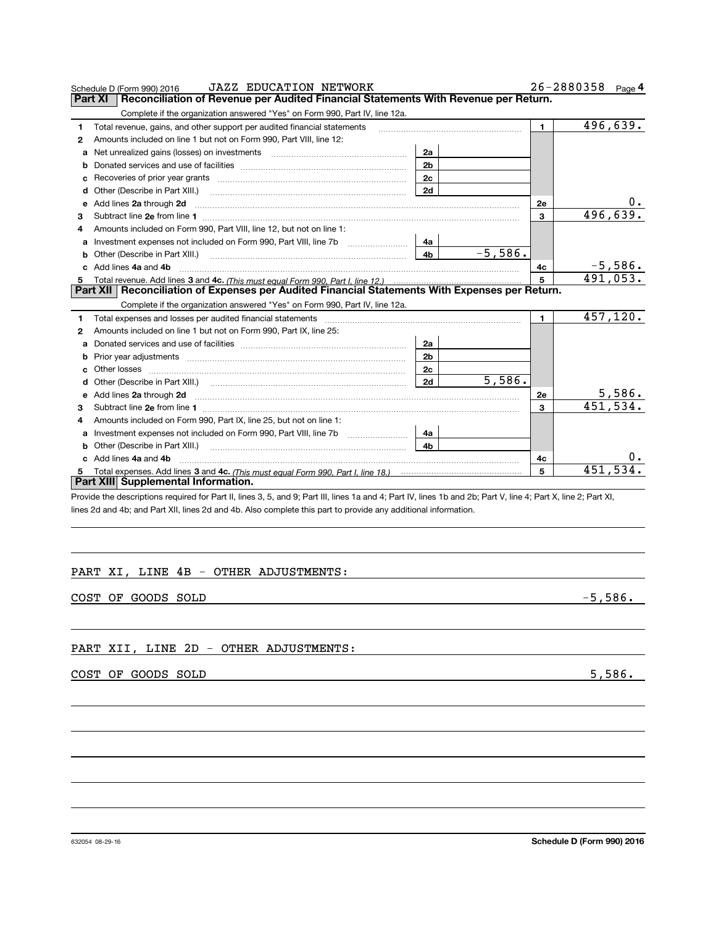|   | <b>JAZZ EDUCATION NETWORK</b><br>Schedule D (Form 990) 2016                                                                                                                                                                          |                |            |                | $26 - 2880358$ Page 4   |
|---|--------------------------------------------------------------------------------------------------------------------------------------------------------------------------------------------------------------------------------------|----------------|------------|----------------|-------------------------|
|   | Reconciliation of Revenue per Audited Financial Statements With Revenue per Return.<br>Part XI                                                                                                                                       |                |            |                |                         |
|   | Complete if the organization answered "Yes" on Form 990, Part IV, line 12a.                                                                                                                                                          |                |            |                |                         |
| 1 | Total revenue, gains, and other support per audited financial statements                                                                                                                                                             |                |            | $\blacksquare$ | $\overline{496}$ , 639. |
| 2 | Amounts included on line 1 but not on Form 990, Part VIII, line 12:                                                                                                                                                                  |                |            |                |                         |
| a | Net unrealized gains (losses) on investments [11] matter contracts and the unrealized gains (losses) on investments                                                                                                                  | 2a             |            |                |                         |
| b |                                                                                                                                                                                                                                      | 2 <sub>b</sub> |            |                |                         |
| c |                                                                                                                                                                                                                                      | 2 <sub>c</sub> |            |                |                         |
| d | Other (Describe in Part XIII.) <b>Construction Contract Construction</b> (Describe in Part XIII.)                                                                                                                                    | 2d             |            |                |                         |
| е | Add lines 2a through 2d <b>manufactures</b> 20 through 20 and 20 the manufacture of the manufacture of the state of the state of the state of the state of the state of the state of the state of the state of the state of the sta  |                |            | 2е             | $0_{\cdot}$             |
| З |                                                                                                                                                                                                                                      |                |            | 3              | 496,639.                |
| 4 | Amounts included on Form 990, Part VIII, line 12, but not on line 1:                                                                                                                                                                 |                |            |                |                         |
|   |                                                                                                                                                                                                                                      | 4a             |            |                |                         |
| b |                                                                                                                                                                                                                                      | 4 <sub>h</sub> | $-5.586$ . |                |                         |
|   | c Add lines 4a and 4b                                                                                                                                                                                                                |                |            | 4c             | $-5,586.$               |
|   |                                                                                                                                                                                                                                      |                |            | 5              | 491,053.                |
|   | Part XII   Reconciliation of Expenses per Audited Financial Statements With Expenses per Return.                                                                                                                                     |                |            |                |                         |
|   | Complete if the organization answered "Yes" on Form 990, Part IV, line 12a.                                                                                                                                                          |                |            |                |                         |
| 1 |                                                                                                                                                                                                                                      |                |            | $\mathbf{1}$   | 457,120.                |
| 2 | Amounts included on line 1 but not on Form 990, Part IX, line 25:                                                                                                                                                                    |                |            |                |                         |
| a |                                                                                                                                                                                                                                      | 2a             |            |                |                         |
| b |                                                                                                                                                                                                                                      | 2 <sub>b</sub> |            |                |                         |
| с |                                                                                                                                                                                                                                      | 2c             |            |                |                         |
| d |                                                                                                                                                                                                                                      | 2d             | 5,586.     |                |                         |
| е | Add lines 2a through 2d <b>contained a manufacture of the contract of the contract of the contract of the contract of the contract of the contract of the contract of the contract of the contract of the contract of the contra</b> |                |            | 2е             | 5,586.                  |
| з |                                                                                                                                                                                                                                      |                |            | 3              | 451,534.                |
| 4 | Amounts included on Form 990, Part IX, line 25, but not on line 1:                                                                                                                                                                   |                |            |                |                         |
| a | Investment expenses not included on Form 990, Part VIII, line 7b                                                                                                                                                                     | 4a             |            |                |                         |
| b |                                                                                                                                                                                                                                      | 4h             |            |                |                         |
|   | Add lines 4a and 4b                                                                                                                                                                                                                  |                |            | 4с             | $0$ .                   |
|   |                                                                                                                                                                                                                                      |                |            | 5              | 451,534.                |
|   | Part XIII Supplemental Information.                                                                                                                                                                                                  |                |            |                |                         |

Provide the descriptions required for Part II, lines 3, 5, and 9; Part III, lines 1a and 4; Part IV, lines 1b and 2b; Part V, line 4; Part X, line 2; Part XI, lines 2d and 4b; and Part XII, lines 2d and 4b. Also complete this part to provide any additional information.

# PART XI, LINE 4B - OTHER ADJUSTMENTS:

COST OF GOODS SOLD -5,586.

# PART XII, LINE 2D - OTHER ADJUSTMENTS:

COST OF GOODS SOLD 5,586.

632054 08-29-16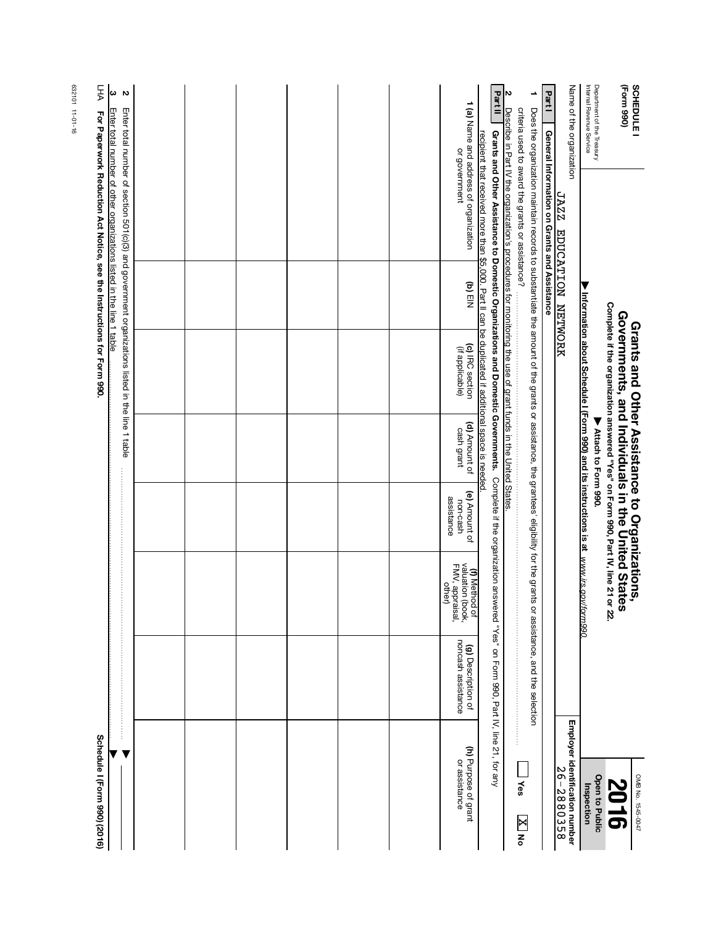| FHA<br>ς<br>δ                                                                                                                                  |                                                                                                 |  |  |  |                                                                       | Part II                                                                                                                                                                                                                                                                  | N                                                                                                                   | ∸                                                                                                                                                                                           | Part1                                        | Name of the organization                     | Department of the Treasury<br>Internal Revenue Service                                 | (Form 990)<br>SCHEDULE                                                                                                                                                                        |
|------------------------------------------------------------------------------------------------------------------------------------------------|-------------------------------------------------------------------------------------------------|--|--|--|-----------------------------------------------------------------------|--------------------------------------------------------------------------------------------------------------------------------------------------------------------------------------------------------------------------------------------------------------------------|---------------------------------------------------------------------------------------------------------------------|---------------------------------------------------------------------------------------------------------------------------------------------------------------------------------------------|----------------------------------------------|----------------------------------------------|----------------------------------------------------------------------------------------|-----------------------------------------------------------------------------------------------------------------------------------------------------------------------------------------------|
| Enter total number of other organizations listed in the line 1 table<br>For Paperwork Reduction Act Notice, see the Instructions for Form 990. | Enter total number of section 501(c)(3) and government organizations listed in the line 1 table |  |  |  | 1 (a) Name and address of organization<br>or government               | Grants and Other Assistance to Domestic Organizations and Domestic Governments. Complete if the organization answered "Yes" on Form 990, Part IV, line 21, for any<br>recipient that received more than \$5,000. Part II can be duplicated if additional space is needed | <u>Describe in Part IV the organization's procedures for monitoring the use of grant funds in the United States</u> | Does the organization maintain records to substantiate the amount of the grants or assistance, the grantees' eligibility for the grants<br>criteria used to award the grants or assistance? | General Information on Grants and Assistance | <b>JAZZ</b>                                  |                                                                                        |                                                                                                                                                                                               |
|                                                                                                                                                |                                                                                                 |  |  |  | $(n)$ EIN                                                             |                                                                                                                                                                                                                                                                          |                                                                                                                     |                                                                                                                                                                                             |                                              | EDUCATION NETWORK                            |                                                                                        |                                                                                                                                                                                               |
|                                                                                                                                                |                                                                                                 |  |  |  | (c) IRC section<br>(if applicable)                                    |                                                                                                                                                                                                                                                                          |                                                                                                                     |                                                                                                                                                                                             |                                              |                                              | Information about Schedule I (Form 990) and its instructions is at www.irs.gov/form990 | <b>Governments, and Individuals in the United States</b><br>Complete if the organization answered "Yes" on Form 990, Part IV, line 21 or 22.<br>Grants and Other Assistance to Organizations, |
|                                                                                                                                                |                                                                                                 |  |  |  | (d) Amount of<br>cash grant                                           |                                                                                                                                                                                                                                                                          |                                                                                                                     |                                                                                                                                                                                             |                                              |                                              | Attach to Form 990.                                                                    |                                                                                                                                                                                               |
|                                                                                                                                                |                                                                                                 |  |  |  | (e) Amount of<br>assistance<br>non-cash                               |                                                                                                                                                                                                                                                                          |                                                                                                                     |                                                                                                                                                                                             |                                              |                                              |                                                                                        |                                                                                                                                                                                               |
|                                                                                                                                                |                                                                                                 |  |  |  | <b>(f)</b> Method of<br>valuation (book,<br>FMV, appraisal,<br>other) |                                                                                                                                                                                                                                                                          |                                                                                                                     |                                                                                                                                                                                             |                                              |                                              |                                                                                        |                                                                                                                                                                                               |
|                                                                                                                                                |                                                                                                 |  |  |  | noncash assistance<br>(g) Description of                              |                                                                                                                                                                                                                                                                          |                                                                                                                     | or assistance, and the selection                                                                                                                                                            |                                              |                                              |                                                                                        |                                                                                                                                                                                               |
| Schedule I (Form 990) (2016)                                                                                                                   |                                                                                                 |  |  |  | (h) Purpose of grant<br>or assistance                                 |                                                                                                                                                                                                                                                                          |                                                                                                                     | <b>Yes</b><br><b>X</b> No                                                                                                                                                                   |                                              | Employer identification number<br>26-2880358 | Open to Public<br>Inspection                                                           | OMB No. 1545-0047<br><b>201</b><br>5                                                                                                                                                          |

632101 11-01-16 632101 11-01-16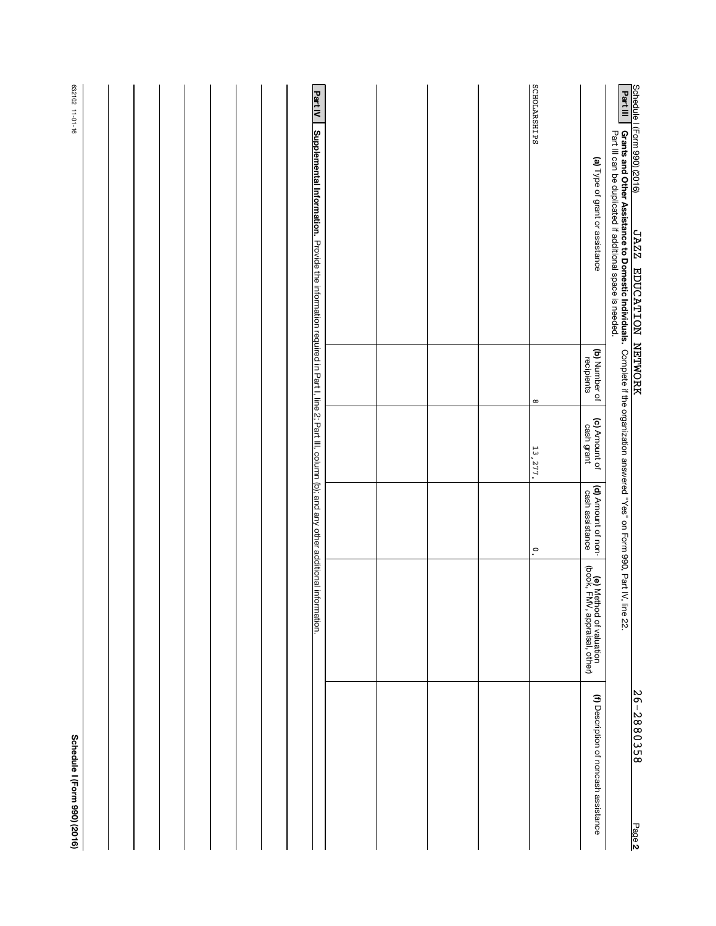|                                                                                                                                                                                                                                                 |                             |                             |                                       |                                                          | 26-2880358<br>Page 2                  |
|-------------------------------------------------------------------------------------------------------------------------------------------------------------------------------------------------------------------------------------------------|-----------------------------|-----------------------------|---------------------------------------|----------------------------------------------------------|---------------------------------------|
| Schedule I (Form 990) (2016)<br><b>Part III   Grants and Other Assistance to Domestic Individuals.</b> Complete if the organization answered "Yes" on Form 990, Part IV, line 22.<br><b>Part III   Grants and Other Assistance to Domestic </b> |                             |                             |                                       |                                                          |                                       |
| (a) Type of grant or assistance                                                                                                                                                                                                                 | (b) Number of<br>recipients | (c) Amount of<br>cash grant | (d) Amount of non-<br>cash assistance | (e) Method of valuation<br>(book, FMV, appraisal, other) | (f) Description of noncash assistance |
| SCHOLARSHIPS                                                                                                                                                                                                                                    | $^\infty$                   | 13,277.                     | $\ddot{\circ}$                        |                                                          |                                       |
|                                                                                                                                                                                                                                                 |                             |                             |                                       |                                                          |                                       |
|                                                                                                                                                                                                                                                 |                             |                             |                                       |                                                          |                                       |
|                                                                                                                                                                                                                                                 |                             |                             |                                       |                                                          |                                       |
|                                                                                                                                                                                                                                                 |                             |                             |                                       |                                                          |                                       |
| <b>Part IV</b><br>Supplemental Information. Provide the information required in Part I, line 2; Part III, column (b); and any other additional information.                                                                                     |                             |                             |                                       |                                                          |                                       |
|                                                                                                                                                                                                                                                 |                             |                             |                                       |                                                          |                                       |
|                                                                                                                                                                                                                                                 |                             |                             |                                       |                                                          |                                       |
|                                                                                                                                                                                                                                                 |                             |                             |                                       |                                                          |                                       |
|                                                                                                                                                                                                                                                 |                             |                             |                                       |                                                          |                                       |
|                                                                                                                                                                                                                                                 |                             |                             |                                       |                                                          |                                       |
| 632102 11-01-16                                                                                                                                                                                                                                 |                             |                             |                                       |                                                          | Schedule I (Form 990) (2016)          |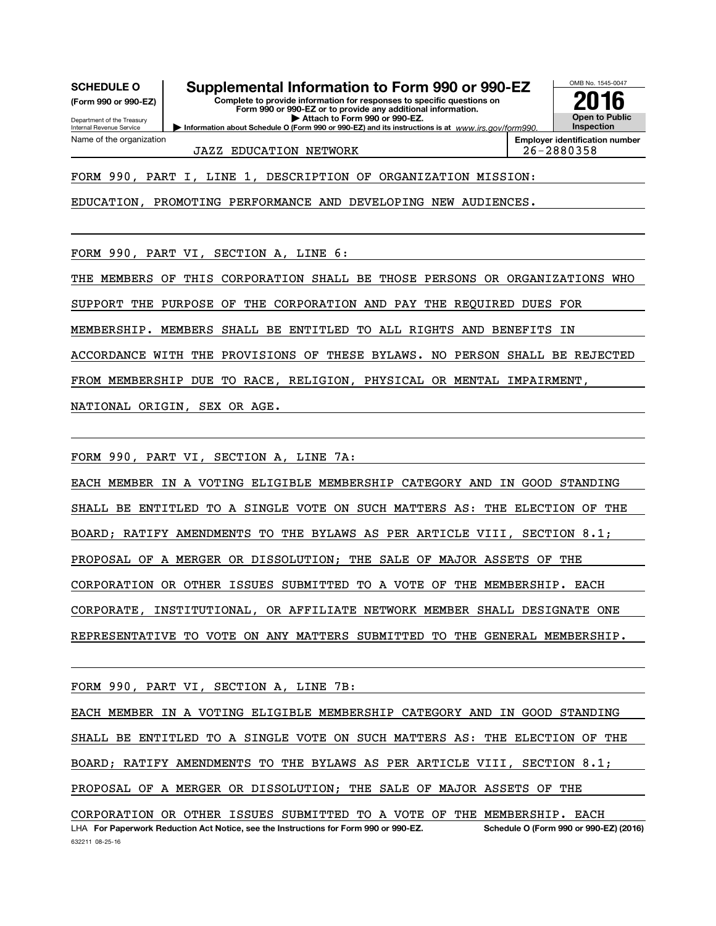OMB No. 1545-0047 Department of the Treasury Internal Revenue Service O (Form 990 or 990-EZ) and its instructions is at Complete to provide information for responses to specific questions on Form 990 or 990-EZ or to provide any additional information. | Attach to Form 990 or 990-EZ. Information about Schedule (Form 990 or 990-EZ) Open to Public Inspection Employer identification number Name of the organization www.irs.gov/form990. SCHEDULE O Supplemental Information to Form 990 or 990-EZ  $\frac{1008 \text{ No. 1545-004}}{2016}$ FORM 990, PART I, LINE 1, DESCRIPTION OF ORGANIZATION MISSION: JAZZ EDUCATION NETWORK 26-2880358

EDUCATION, PROMOTING PERFORMANCE AND DEVELOPING NEW AUDIENCES.

FORM 990, PART VI, SECTION A, LINE 6:

THE MEMBERS OF THIS CORPORATION SHALL BE THOSE PERSONS OR ORGANIZATIONS WHO SUPPORT THE PURPOSE OF THE CORPORATION AND PAY THE REQUIRED DUES FOR MEMBERSHIP. MEMBERS SHALL BE ENTITLED TO ALL RIGHTS AND BENEFITS IN ACCORDANCE WITH THE PROVISIONS OF THESE BYLAWS. NO PERSON SHALL BE REJECTED FROM MEMBERSHIP DUE TO RACE, RELIGION, PHYSICAL OR MENTAL IMPAIRMENT, NATIONAL ORIGIN, SEX OR AGE.

FORM 990, PART VI, SECTION A, LINE 7A:

EACH MEMBER IN A VOTING ELIGIBLE MEMBERSHIP CATEGORY AND IN GOOD STANDING SHALL BE ENTITLED TO A SINGLE VOTE ON SUCH MATTERS AS: THE ELECTION OF THE BOARD; RATIFY AMENDMENTS TO THE BYLAWS AS PER ARTICLE VIII, SECTION 8.1; PROPOSAL OF A MERGER OR DISSOLUTION; THE SALE OF MAJOR ASSETS OF THE CORPORATION OR OTHER ISSUES SUBMITTED TO A VOTE OF THE MEMBERSHIP. EACH CORPORATE, INSTITUTIONAL, OR AFFILIATE NETWORK MEMBER SHALL DESIGNATE ONE REPRESENTATIVE TO VOTE ON ANY MATTERS SUBMITTED TO THE GENERAL MEMBERSHIP.

FORM 990, PART VI, SECTION A, LINE 7B:

EACH MEMBER IN A VOTING ELIGIBLE MEMBERSHIP CATEGORY AND IN GOOD STANDING SHALL BE ENTITLED TO A SINGLE VOTE ON SUCH MATTERS AS: THE ELECTION OF THE BOARD; RATIFY AMENDMENTS TO THE BYLAWS AS PER ARTICLE VIII, SECTION 8.1; PROPOSAL OF A MERGER OR DISSOLUTION; THE SALE OF MAJOR ASSETS OF THE CORPORATION OR OTHER ISSUES SUBMITTED TO A VOTE OF THE MEMBERSHIP. EACH

632211 08-25-16 LHA For Paperwork Reduction Act Notice, see the Instructions for Form 990 or 990-EZ. Schedule O (Form 990 or 990-EZ) (2016)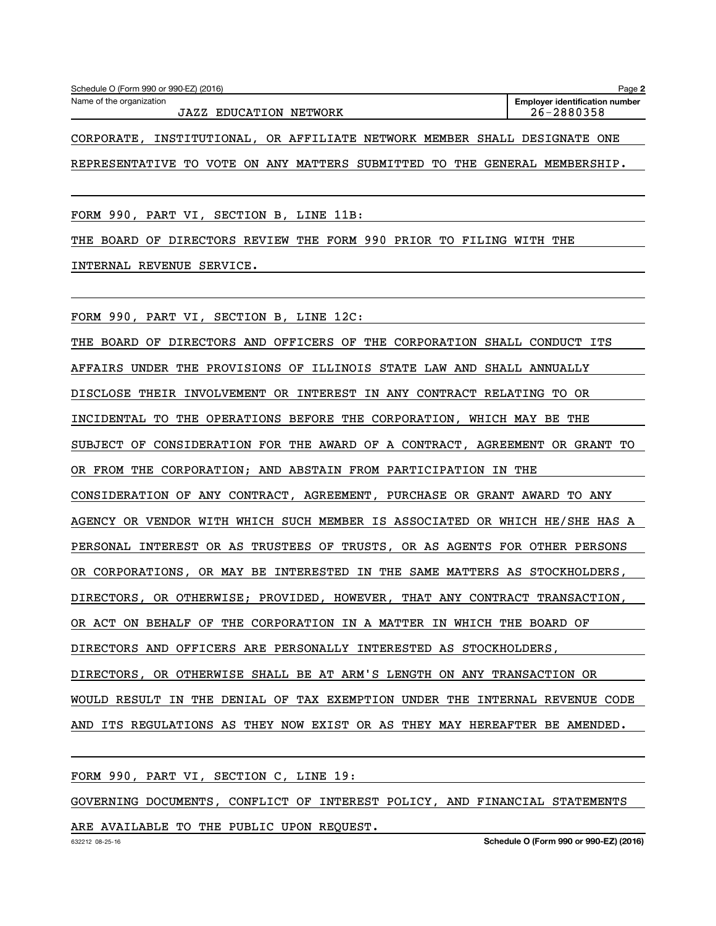| Schedule O (Form 990 or 990-EZ) (2016) | Page 2                                |
|----------------------------------------|---------------------------------------|
| Name of the organization               | <b>Employer identification number</b> |
| EDUCATION NETWORK<br>JAZZ              | 26-2880358                            |
|                                        |                                       |

CORPORATE, INSTITUTIONAL, OR AFFILIATE NETWORK MEMBER SHALL DESIGNATE ONE REPRESENTATIVE TO VOTE ON ANY MATTERS SUBMITTED TO THE GENERAL MEMBERSHIP.

FORM 990, PART VI, SECTION B, LINE 11B:

THE BOARD OF DIRECTORS REVIEW THE FORM 990 PRIOR TO FILING WITH THE

INTERNAL REVENUE SERVICE.

FORM 990, PART VI, SECTION B, LINE 12C:

THE BOARD OF DIRECTORS AND OFFICERS OF THE CORPORATION SHALL CONDUCT ITS AFFAIRS UNDER THE PROVISIONS OF ILLINOIS STATE LAW AND SHALL ANNUALLY DISCLOSE THEIR INVOLVEMENT OR INTEREST IN ANY CONTRACT RELATING TO OR INCIDENTAL TO THE OPERATIONS BEFORE THE CORPORATION, WHICH MAY BE THE SUBJECT OF CONSIDERATION FOR THE AWARD OF A CONTRACT, AGREEMENT OR GRANT TO OR FROM THE CORPORATION; AND ABSTAIN FROM PARTICIPATION IN THE CONSIDERATION OF ANY CONTRACT, AGREEMENT, PURCHASE OR GRANT AWARD TO ANY AGENCY OR VENDOR WITH WHICH SUCH MEMBER IS ASSOCIATED OR WHICH HE/SHE HAS A PERSONAL INTEREST OR AS TRUSTEES OF TRUSTS, OR AS AGENTS FOR OTHER PERSONS OR CORPORATIONS, OR MAY BE INTERESTED IN THE SAME MATTERS AS STOCKHOLDERS, DIRECTORS, OR OTHERWISE; PROVIDED, HOWEVER, THAT ANY CONTRACT TRANSACTION, OR ACT ON BEHALF OF THE CORPORATION IN A MATTER IN WHICH THE BOARD OF DIRECTORS AND OFFICERS ARE PERSONALLY INTERESTED AS STOCKHOLDERS, DIRECTORS, OR OTHERWISE SHALL BE AT ARM'S LENGTH ON ANY TRANSACTION OR WOULD RESULT IN THE DENIAL OF TAX EXEMPTION UNDER THE INTERNAL REVENUE CODE AND ITS REGULATIONS AS THEY NOW EXIST OR AS THEY MAY HEREAFTER BE AMENDED.

FORM 990, PART VI, SECTION C, LINE 19:

GOVERNING DOCUMENTS, CONFLICT OF INTEREST POLICY, AND FINANCIAL STATEMENTS

ARE AVAILABLE TO THE PUBLIC UPON REQUEST.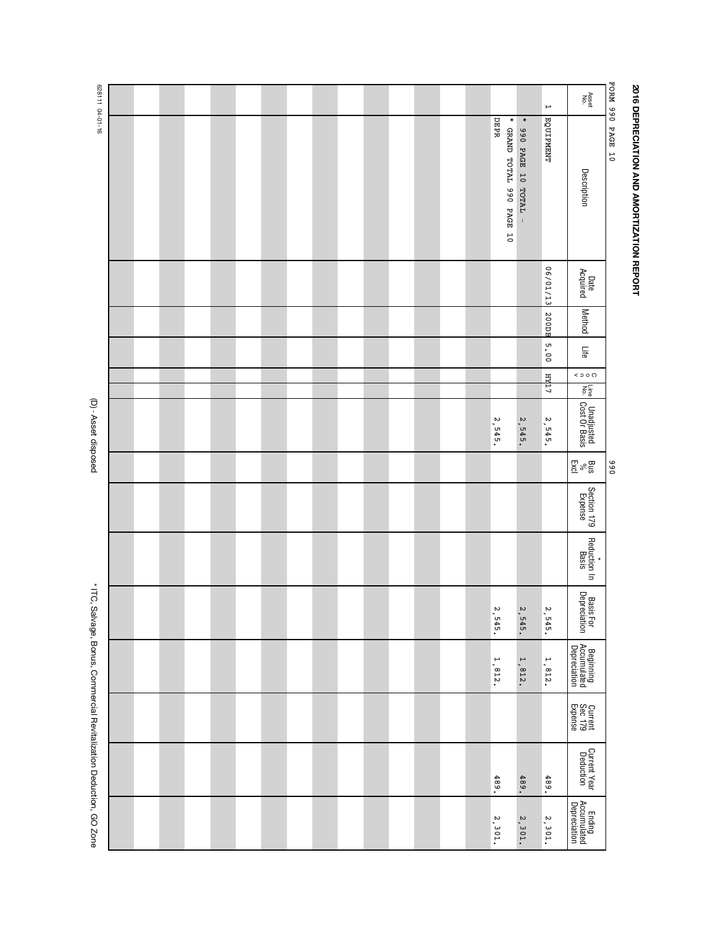| ı |
|---|
|   |
|   |
|   |
|   |
|   |
|   |
|   |
|   |
|   |
|   |
|   |
|   |
|   |
|   |
|   |
|   |
|   |
|   |
|   |
|   |
|   |
|   |
|   |
|   |
|   |
|   |
|   |
|   |
|   |
|   |
|   |
|   |
|   |
|   |
|   |
|   |

|                  | Asset<br>No.                                        | $\mapsto$        |                                   |                                   |  |  |  |  |  |  |  |  |
|------------------|-----------------------------------------------------|------------------|-----------------------------------|-----------------------------------|--|--|--|--|--|--|--|--|
| PORM 990 PAGE 10 | Description                                         | <b>EQUIPMENT</b> | $\ast$<br>990 PAGE 10 TOTAL -     | DEPR<br>* GRAND TOTAL 990 PAGE 10 |  |  |  |  |  |  |  |  |
|                  | Date<br>Acquired                                    | 06/01/13         |                                   |                                   |  |  |  |  |  |  |  |  |
|                  | <b>Method</b>                                       | 200DB            |                                   |                                   |  |  |  |  |  |  |  |  |
|                  | Life                                                | 5.00             |                                   |                                   |  |  |  |  |  |  |  |  |
|                  | $\leq$ $\Rightarrow$ $\circ$ $\circ$<br>Line<br>No. | т тран           |                                   |                                   |  |  |  |  |  |  |  |  |
|                  | Unadjusted<br>Cost Or Basis                         | 2, 545.          | 2,545.                            | $\boldsymbol{\omega}$<br>$-545.$  |  |  |  |  |  |  |  |  |
| 066              | $\mathop{\rm Res}_\infty$                           |                  |                                   |                                   |  |  |  |  |  |  |  |  |
|                  | Section 179<br>Expense                              |                  |                                   |                                   |  |  |  |  |  |  |  |  |
|                  | Reduction In<br>Basis                               |                  |                                   |                                   |  |  |  |  |  |  |  |  |
|                  | Basis For<br>Depreciation                           | 2, 545.          | 2, 545.                           | 2,545.                            |  |  |  |  |  |  |  |  |
|                  | Beginning<br>Accumulated<br>Depreciation            | 1,812.           | $\overline{\phantom{a}}$<br>.812. | $\overline{\phantom{a}}$<br>.812. |  |  |  |  |  |  |  |  |
|                  | Current<br>Sec 179<br>Expense                       |                  |                                   |                                   |  |  |  |  |  |  |  |  |
|                  | Current Year<br>Deduction                           | 489.             | 489.                              | 489.                              |  |  |  |  |  |  |  |  |
|                  | Ending<br>Accumulated<br>Depreciation               | 2,301            | 2,301                             | 2,301                             |  |  |  |  |  |  |  |  |

(D) - Asset disposed (D) - Asset disposed

├

628111 04-01-16 628111 04-01-16

 $\overline{\phantom{a}}$ 

\* ITC, Salvage, Bonus, Commercial Revitalization Deduction, GO Zone \* ITC, Salvage, Bonus, Commercial Revitalization Deduction, GO Zone

Γ

Г

 $\overline{\phantom{a}}$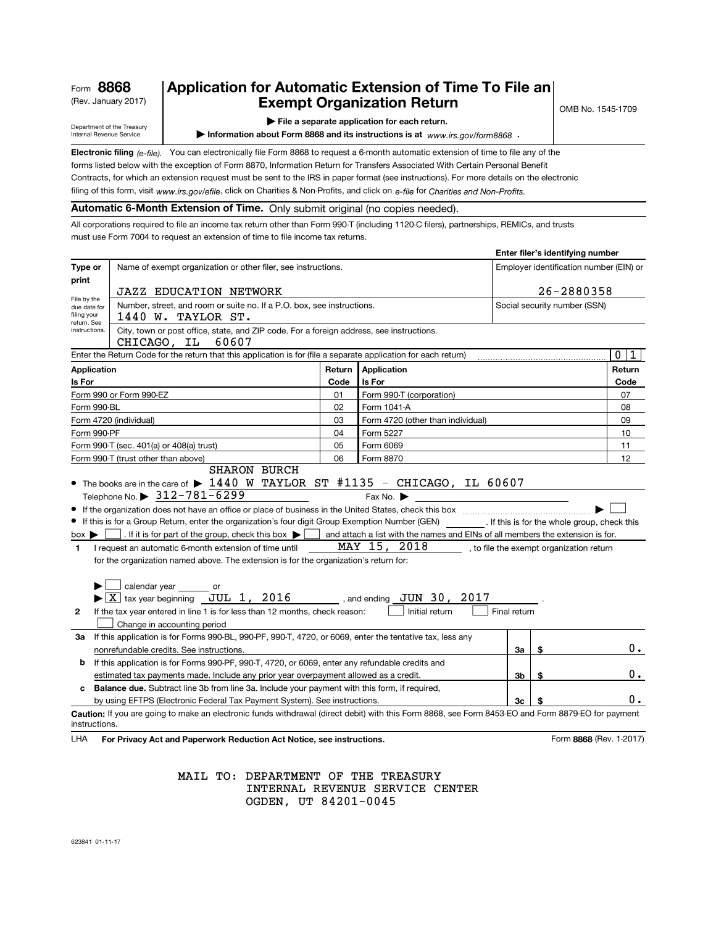| Form 8868 |  |
|-----------|--|
|           |  |

# (Rev. January 2017)  $\begin{array}{|c|c|c|c|c|}\n\hline\n\textbf{Example} & \textbf{Exempt Organization Return} & \textbf{C} & \textbf{S} & \textbf{C} & \textbf{C} & \textbf{C} & \textbf{C} & \textbf{C} & \textbf{D} & \textbf{A} & \textbf{D} & \textbf{A} & \textbf{A} & \textbf{A} & \textbf{B} & \textbf{B} & \textbf{A} & \textbf{A} & \textbf{B} & \textbf{B} & \textbf{B} & \textbf{A} & \textbf{B} & \textbf{B} &$ Application for Automatic Extension of Time To File an

Department of the Treasury Internal Revenue Service

#### | File a separate application for each return.

Information about Form 8868 and its instructions is at  $www.irs.gov/form8868$ .

Electronic filing (e-file). You can electronically file Form 8868 to request a 6-month automatic extension of time to file any of the forms listed below with the exception of Form 8870, Information Return for Transfers Associated With Certain Personal Benefit Contracts, for which an extension request must be sent to the IRS in paper format (see instructions). For more details on the electronic

filing of this form, visit www.irs.gov/efile, click on Charities & Non-Profits, and click on e-file for Charities and Non-Profits.

## Automatic 6-Month Extension of Time. Only submit original (no copies needed).

All corporations required to file an income tax return other than Form 990-T (including 1120-C filers), partnerships, REMICs, and trusts must use Form 7004 to request an extension of time to file income tax returns.

|                                                                         |                                                                                                                                                                                                                                                                                   |        |                                                                                           |              | Enter filer's identifying number         |  |        |  |
|-------------------------------------------------------------------------|-----------------------------------------------------------------------------------------------------------------------------------------------------------------------------------------------------------------------------------------------------------------------------------|--------|-------------------------------------------------------------------------------------------|--------------|------------------------------------------|--|--------|--|
| Type or                                                                 | Name of exempt organization or other filer, see instructions.                                                                                                                                                                                                                     |        |                                                                                           |              | Employer identification number (EIN) or  |  |        |  |
| print                                                                   | <b>JAZZ EDUCATION NETWORK</b>                                                                                                                                                                                                                                                     |        |                                                                                           |              | 26-2880358                               |  |        |  |
| File by the<br>due date for                                             | Number, street, and room or suite no. If a P.O. box, see instructions.                                                                                                                                                                                                            |        |                                                                                           |              | Social security number (SSN)             |  |        |  |
| filing your<br>return. See                                              | 1440 W. TAYLOR ST.                                                                                                                                                                                                                                                                |        |                                                                                           |              |                                          |  |        |  |
| instructions.                                                           | City, town or post office, state, and ZIP code. For a foreign address, see instructions.<br>CHICAGO, IL<br>60607                                                                                                                                                                  |        |                                                                                           |              |                                          |  |        |  |
|                                                                         | Enter the Return Code for the return that this application is for (file a separate application for each return)                                                                                                                                                                   |        |                                                                                           |              |                                          |  | 0<br>1 |  |
| Application                                                             |                                                                                                                                                                                                                                                                                   | Return | Application                                                                               |              |                                          |  | Return |  |
| Is For                                                                  |                                                                                                                                                                                                                                                                                   | Code   | <b>Is For</b>                                                                             |              |                                          |  | Code   |  |
|                                                                         | Form 990 or Form 990-EZ                                                                                                                                                                                                                                                           | 01     | Form 990-T (corporation)                                                                  |              |                                          |  | 07     |  |
| Form 990-BL                                                             |                                                                                                                                                                                                                                                                                   | 02     | Form 1041-A                                                                               |              |                                          |  | 08     |  |
| 09<br>03<br>Form 4720 (other than individual)<br>Form 4720 (individual) |                                                                                                                                                                                                                                                                                   |        |                                                                                           |              |                                          |  |        |  |
| Form 990-PF<br>04<br>Form 5227                                          |                                                                                                                                                                                                                                                                                   |        |                                                                                           |              |                                          |  | 10     |  |
|                                                                         | 05<br>Form 6069<br>Form 990-T (sec. 401(a) or 408(a) trust)                                                                                                                                                                                                                       |        |                                                                                           |              |                                          |  | 11     |  |
|                                                                         | Form 990-T (trust other than above)                                                                                                                                                                                                                                               | 06     | Form 8870                                                                                 |              |                                          |  | 12     |  |
| $box \blacktriangleright$                                               | Telephone No. $\triangleright$ 312-781-6299<br>If this is for a Group Return, enter the organization's four digit Group Exemption Number (GEN) [f this is for the whole group, check this<br>$\Box$ . If it is for part of the group, check this box $\blacktriangleright$ $\Box$ |        | Fax No.<br>and attach a list with the names and EINs of all members the extension is for. |              |                                          |  |        |  |
| 1                                                                       | I request an automatic 6-month extension of time until                                                                                                                                                                                                                            |        | MAY 15, 2018                                                                              |              | , to file the exempt organization return |  |        |  |
|                                                                         | for the organization named above. The extension is for the organization's return for:                                                                                                                                                                                             |        |                                                                                           |              |                                          |  |        |  |
|                                                                         |                                                                                                                                                                                                                                                                                   |        |                                                                                           |              |                                          |  |        |  |
|                                                                         | $\Box$ calendar year $\_\_$ or                                                                                                                                                                                                                                                    |        |                                                                                           |              |                                          |  |        |  |
|                                                                         | $\blacktriangleright$ $\boxed{\text{X}}$ tax year beginning JUL 1, 2016 , and ending JUN 30, 2017                                                                                                                                                                                 |        |                                                                                           |              |                                          |  |        |  |
| 2                                                                       | If the tax year entered in line 1 is for less than 12 months, check reason:                                                                                                                                                                                                       |        | Initial return                                                                            | Final return |                                          |  |        |  |
|                                                                         | Change in accounting period                                                                                                                                                                                                                                                       |        |                                                                                           |              |                                          |  |        |  |
| За                                                                      | If this application is for Forms 990-BL, 990-PF, 990-T, 4720, or 6069, enter the tentative tax, less any                                                                                                                                                                          |        |                                                                                           |              |                                          |  |        |  |
|                                                                         | nonrefundable credits. See instructions.                                                                                                                                                                                                                                          |        |                                                                                           | За           | \$                                       |  | 0.     |  |
| b                                                                       | If this application is for Forms 990-PF, 990-T, 4720, or 6069, enter any refundable credits and                                                                                                                                                                                   |        |                                                                                           |              |                                          |  |        |  |
|                                                                         | estimated tax payments made. Include any prior year overpayment allowed as a credit.                                                                                                                                                                                              |        |                                                                                           | 3b           | \$                                       |  | 0.     |  |
| c                                                                       | <b>Balance due.</b> Subtract line 3b from line 3a. Include your payment with this form, if required,                                                                                                                                                                              |        |                                                                                           |              |                                          |  |        |  |
|                                                                         | by using EFTPS (Electronic Federal Tax Payment System). See instructions.                                                                                                                                                                                                         |        |                                                                                           | 3c           |                                          |  | 0.     |  |
| instructions.                                                           | Caution: If you are going to make an electronic funds withdrawal (direct debit) with this Form 8868, see Form 8453-EO and Form 8879-EO for payment                                                                                                                                |        |                                                                                           |              |                                          |  |        |  |

LHA For Privacy Act and Paperwork Reduction Act Notice, see instructions. Notice that the state of the SS68 (Rev. 1-2017)

MAIL TO: DEPARTMENT OF THE TREASURY INTERNAL REVENUE SERVICE CENTER OGDEN, UT 84201-0045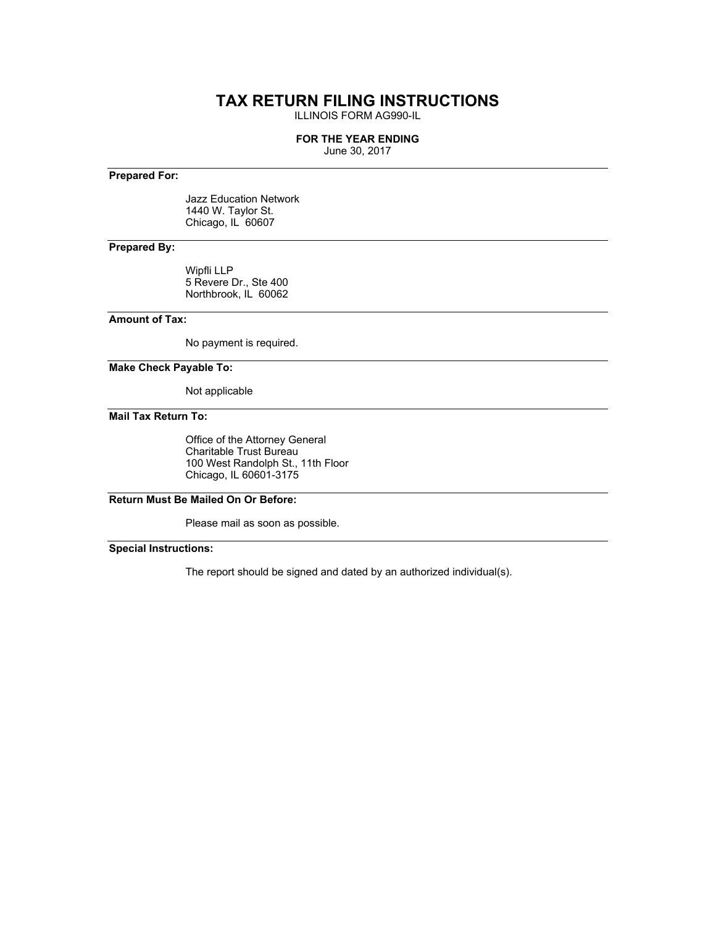# **TAX RETURN FILING INSTRUCTIONS**

ILLINOIS FORM AG990-IL

#### **FOR THE YEAR ENDING**

June 30, 2017

### **Prepared For:**

Jazz Education Network 1440 W. Taylor St. Chicago, IL 60607

## **Prepared By:**

Wipfli LLP 5 Revere Dr., Ste 400 Northbrook, IL 60062

#### **Amount of Tax:**

No payment is required.

**Make Check Payable To:**

Not applicable

**Mail Tax Return To:**

Office of the Attorney General Charitable Trust Bureau 100 West Randolph St., 11th Floor Chicago, IL 60601-3175

# **Return Must Be Mailed On Or Before:**

Please mail as soon as possible.

**Special Instructions:**

The report should be signed and dated by an authorized individual(s).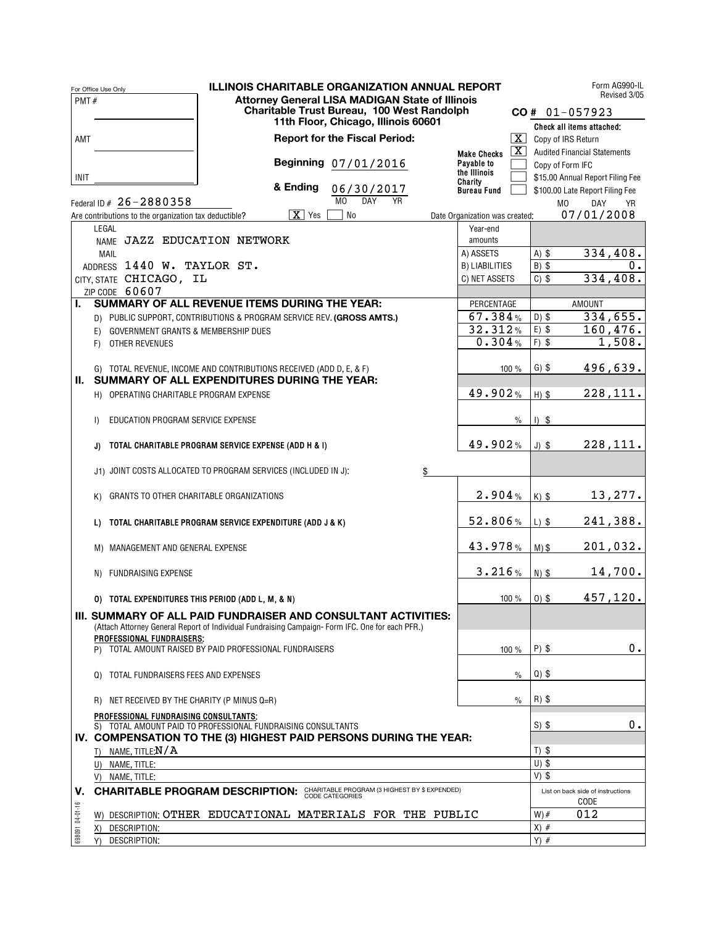|                 | <b>ILLINOIS CHARITABLE ORGANIZATION ANNUAL REPORT</b><br>For Office Use Only                                                 |                                              | Form AG990-IL                                                                |
|-----------------|------------------------------------------------------------------------------------------------------------------------------|----------------------------------------------|------------------------------------------------------------------------------|
| PMT#            | <b>Attorney General LISA MADIGAN State of Illinois</b>                                                                       |                                              | Revised 3/05                                                                 |
|                 | Charitable Trust Bureau, 100 West Randolph<br>11th Floor, Chicago, Illinois 60601                                            |                                              | $CO # 01-057923$                                                             |
|                 |                                                                                                                              |                                              | Check all items attached:                                                    |
| AMT             | <b>Report for the Fiscal Period:</b>                                                                                         | $\lfloor x \rfloor$                          | Copy of IRS Return                                                           |
|                 |                                                                                                                              | $\vert \text{X} \vert$<br><b>Make Checks</b> | <b>Audited Financial Statements</b>                                          |
|                 | Beginning 07/01/2016                                                                                                         | Payable to<br>the Illinois                   | Copy of Form IFC                                                             |
| INIT            | & Ending<br>06/30/2017                                                                                                       | Charity                                      | \$15.00 Annual Report Filing Fee                                             |
|                 | M <sub>0</sub><br><b>DAY</b><br>YR<br>Federal ID # 26-2880358                                                                | <b>Bureau Fund</b>                           | \$100.00 Late Report Filing Fee<br>M <sub>0</sub><br><b>DAY</b><br><b>YR</b> |
|                 | $X \mid Y$ es<br>No<br>Are contributions to the organization tax deductible?                                                 | Date Organization was created:               | 07/01/2008                                                                   |
|                 | LEGAL                                                                                                                        | Year-end                                     |                                                                              |
|                 | NAME JAZZ EDUCATION NETWORK                                                                                                  | amounts                                      |                                                                              |
|                 | <b>MAIL</b>                                                                                                                  | A) ASSETS                                    | 334,408.<br>$A)$ \$                                                          |
|                 | ADDRESS 1440 W. TAYLOR ST.                                                                                                   | <b>B) LIABILITIES</b>                        | 0.<br>$B)$ \$                                                                |
|                 | CITY, STATE CHICAGO, IL                                                                                                      | C) NET ASSETS                                | 334,408.<br>$C)$ \$                                                          |
|                 | ZIP CODE 60607                                                                                                               |                                              |                                                                              |
| L.              | SUMMARY OF ALL REVENUE ITEMS DURING THE YEAR:                                                                                | PERCENTAGE                                   | <b>AMOUNT</b>                                                                |
|                 | D) PUBLIC SUPPORT, CONTRIBUTIONS & PROGRAM SERVICE REV. (GROSS AMTS.)                                                        | 67.384%                                      | 334,655.<br>$D)$ \$                                                          |
|                 | E) GOVERNMENT GRANTS & MEMBERSHIP DUES                                                                                       | 32.312%                                      | $\overline{160, 476}$ .<br>$E)$ \$                                           |
|                 | F) OTHER REVENUES                                                                                                            | 0.304%                                       | 1,508.<br>$F)$ \$                                                            |
|                 |                                                                                                                              |                                              |                                                                              |
|                 | G) TOTAL REVENUE, INCOME AND CONTRIBUTIONS RECEIVED (ADD D, E, & F)                                                          | 100 %                                        | 496,639.<br>$G)$ \$                                                          |
|                 | II. SUMMARY OF ALL EXPENDITURES DURING THE YEAR:                                                                             | 49.902%                                      |                                                                              |
|                 | H) OPERATING CHARITABLE PROGRAM EXPENSE                                                                                      |                                              | 228,111.<br>$H)$ \$                                                          |
|                 | EDUCATION PROGRAM SERVICE EXPENSE<br>$\vert$                                                                                 | $\%$                                         | $1)$ \$                                                                      |
|                 |                                                                                                                              |                                              |                                                                              |
|                 | TOTAL CHARITABLE PROGRAM SERVICE EXPENSE (ADD H & I)<br>J)                                                                   | 49.902%                                      | 228,111.<br>$J)$ \$                                                          |
|                 |                                                                                                                              |                                              |                                                                              |
|                 | J1) JOINT COSTS ALLOCATED TO PROGRAM SERVICES (INCLUDED IN J):<br>\$                                                         |                                              |                                                                              |
|                 |                                                                                                                              |                                              |                                                                              |
|                 | GRANTS TO OTHER CHARITABLE ORGANIZATIONS<br>K)                                                                               | 2.904%                                       | 13,277.<br>$K)$ \$                                                           |
|                 |                                                                                                                              |                                              |                                                                              |
|                 | TOTAL CHARITABLE PROGRAM SERVICE EXPENDITURE (ADD J & K)<br>L)                                                               | 52.806%                                      | 241,388.<br>$L)$ \$                                                          |
|                 |                                                                                                                              |                                              |                                                                              |
|                 | M) MANAGEMENT AND GENERAL EXPENSE                                                                                            | 43.978%                                      | 201,032.<br>$M)$ \$                                                          |
|                 |                                                                                                                              | 3.216%                                       |                                                                              |
|                 | N) FUNDRAISING EXPENSE                                                                                                       |                                              | 14,700.<br>$N)$ \$                                                           |
|                 | 0) TOTAL EXPENDITURES THIS PERIOD (ADD L, M, & N)                                                                            |                                              | 457,120.<br>$0)$ \$                                                          |
|                 |                                                                                                                              | 100 %                                        |                                                                              |
|                 | III. SUMMARY OF ALL PAID FUNDRAISER AND CONSULTANT ACTIVITIES:                                                               |                                              |                                                                              |
|                 | (Attach Attorney General Report of Individual Fundraising Campaign-Form IFC. One for each PFR.)<br>PROFESSIONAL FUNDRAISERS: |                                              |                                                                              |
|                 | P) TOTAL AMOUNT RAISED BY PAID PROFESSIONAL FUNDRAISERS                                                                      | $100 \%$                                     | $0$ .<br>$P)$ \$                                                             |
|                 |                                                                                                                              |                                              |                                                                              |
|                 | Q) TOTAL FUNDRAISERS FEES AND EXPENSES                                                                                       | $\%$                                         | $Q)$ \$                                                                      |
|                 |                                                                                                                              |                                              |                                                                              |
|                 | R) NET RECEIVED BY THE CHARITY (P MINUS Q=R)                                                                                 | $\%$                                         | $R)$ \$                                                                      |
|                 | PROFESSIONAL FUNDRAISING CONSULTANTS:                                                                                        |                                              |                                                                              |
|                 | S) TOTAL AMOUNT PAID TO PROFESSIONAL FUNDRAISING CONSULTANTS                                                                 |                                              | $0$ .<br>$S)$ \$                                                             |
|                 | IV. COMPENSATION TO THE (3) HIGHEST PAID PERSONS DURING THE YEAR:                                                            |                                              |                                                                              |
|                 | T) NAME, TITLE $N/A$                                                                                                         |                                              | $T)$ \$                                                                      |
|                 | U) NAME, TITLE:                                                                                                              |                                              | $U)$ \$<br>$V)$ \$                                                           |
|                 | V) NAME, TITLE:                                                                                                              |                                              |                                                                              |
| v.              | <b>CHARITABLE PROGRAM DESCRIPTION:</b> CHARITABLE PROGRAM (3 HIGHEST BY \$ EXPENDED)<br><b>CODE CATEGORIES</b>               |                                              | List on back side of instructions<br>CODE                                    |
| 698091 04-01-16 | W) DESCRIPTION: OTHER EDUCATIONAL MATERIALS FOR THE PUBLIC                                                                   |                                              | 012<br>$W)$ #                                                                |
|                 | DESCRIPTION:<br>X)                                                                                                           |                                              | $X)$ #                                                                       |
|                 | DESCRIPTION:<br>Y)                                                                                                           |                                              | $Y)$ #                                                                       |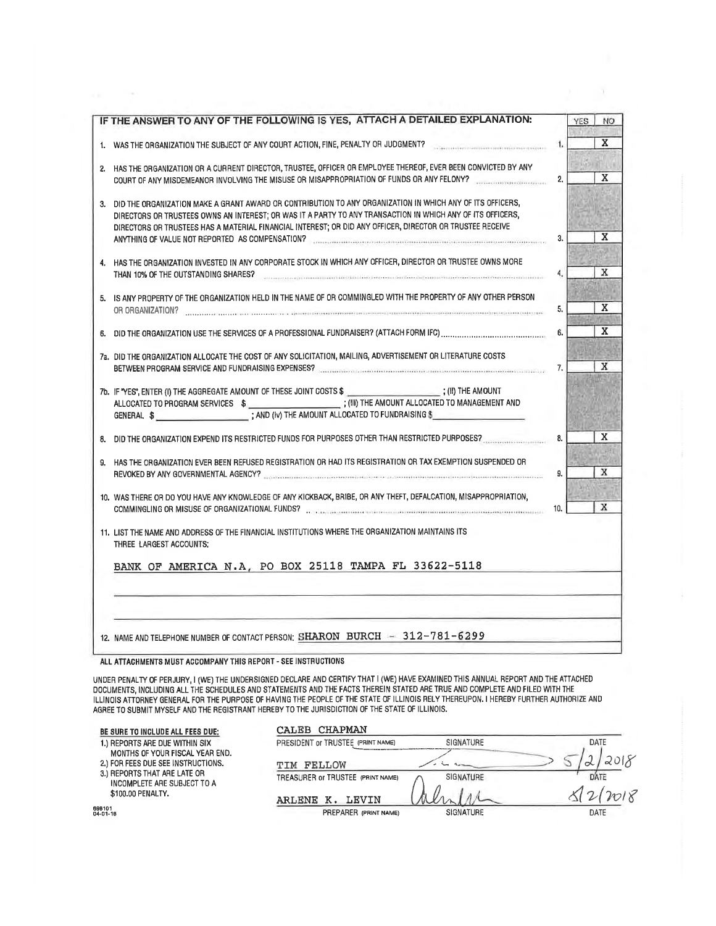|                                                                                                                                                                                                                        |                                                                                                                                                                                                                                                                                                                                                                                                                                                                                                                                                                                                                                                                                                                                                                                                                                                                                                                                                                                                                                                                                                         |                                                                                                                                                                                                                                                                                                                                                                                                                                                                                                                                                                                                                                            | NO <sub>1</sub> |
|------------------------------------------------------------------------------------------------------------------------------------------------------------------------------------------------------------------------|---------------------------------------------------------------------------------------------------------------------------------------------------------------------------------------------------------------------------------------------------------------------------------------------------------------------------------------------------------------------------------------------------------------------------------------------------------------------------------------------------------------------------------------------------------------------------------------------------------------------------------------------------------------------------------------------------------------------------------------------------------------------------------------------------------------------------------------------------------------------------------------------------------------------------------------------------------------------------------------------------------------------------------------------------------------------------------------------------------|--------------------------------------------------------------------------------------------------------------------------------------------------------------------------------------------------------------------------------------------------------------------------------------------------------------------------------------------------------------------------------------------------------------------------------------------------------------------------------------------------------------------------------------------------------------------------------------------------------------------------------------------|-----------------|
|                                                                                                                                                                                                                        |                                                                                                                                                                                                                                                                                                                                                                                                                                                                                                                                                                                                                                                                                                                                                                                                                                                                                                                                                                                                                                                                                                         |                                                                                                                                                                                                                                                                                                                                                                                                                                                                                                                                                                                                                                            |                 |
|                                                                                                                                                                                                                        | 1.                                                                                                                                                                                                                                                                                                                                                                                                                                                                                                                                                                                                                                                                                                                                                                                                                                                                                                                                                                                                                                                                                                      |                                                                                                                                                                                                                                                                                                                                                                                                                                                                                                                                                                                                                                            | X               |
|                                                                                                                                                                                                                        | 2.                                                                                                                                                                                                                                                                                                                                                                                                                                                                                                                                                                                                                                                                                                                                                                                                                                                                                                                                                                                                                                                                                                      |                                                                                                                                                                                                                                                                                                                                                                                                                                                                                                                                                                                                                                            | x               |
| DIRECTORS OR TRUSTEES OWNS AN INTEREST; OR WAS IT A PARTY TO ANY TRANSACTION IN WHICH ANY OF ITS OFFICERS,<br>DIRECTORS OR TRUSTEES HAS A MATERIAL FINANCIAL INTEREST; OR DID ANY OFFICER, DIRECTOR OR TRUSTEE RECEIVE | 3.                                                                                                                                                                                                                                                                                                                                                                                                                                                                                                                                                                                                                                                                                                                                                                                                                                                                                                                                                                                                                                                                                                      |                                                                                                                                                                                                                                                                                                                                                                                                                                                                                                                                                                                                                                            | X               |
| THAN 10% OF THE OUTSTANDING SHARES? <b>CONSIDERING THE CONSIDERATION</b> CONSIDERING CONSIDERING CONSIDERING CONSIDERING                                                                                               | 4.                                                                                                                                                                                                                                                                                                                                                                                                                                                                                                                                                                                                                                                                                                                                                                                                                                                                                                                                                                                                                                                                                                      |                                                                                                                                                                                                                                                                                                                                                                                                                                                                                                                                                                                                                                            | X               |
|                                                                                                                                                                                                                        | 5.                                                                                                                                                                                                                                                                                                                                                                                                                                                                                                                                                                                                                                                                                                                                                                                                                                                                                                                                                                                                                                                                                                      |                                                                                                                                                                                                                                                                                                                                                                                                                                                                                                                                                                                                                                            | X               |
|                                                                                                                                                                                                                        | 6.                                                                                                                                                                                                                                                                                                                                                                                                                                                                                                                                                                                                                                                                                                                                                                                                                                                                                                                                                                                                                                                                                                      |                                                                                                                                                                                                                                                                                                                                                                                                                                                                                                                                                                                                                                            | X               |
|                                                                                                                                                                                                                        | 7.                                                                                                                                                                                                                                                                                                                                                                                                                                                                                                                                                                                                                                                                                                                                                                                                                                                                                                                                                                                                                                                                                                      |                                                                                                                                                                                                                                                                                                                                                                                                                                                                                                                                                                                                                                            | X               |
|                                                                                                                                                                                                                        |                                                                                                                                                                                                                                                                                                                                                                                                                                                                                                                                                                                                                                                                                                                                                                                                                                                                                                                                                                                                                                                                                                         |                                                                                                                                                                                                                                                                                                                                                                                                                                                                                                                                                                                                                                            |                 |
|                                                                                                                                                                                                                        | 8.                                                                                                                                                                                                                                                                                                                                                                                                                                                                                                                                                                                                                                                                                                                                                                                                                                                                                                                                                                                                                                                                                                      |                                                                                                                                                                                                                                                                                                                                                                                                                                                                                                                                                                                                                                            | X               |
|                                                                                                                                                                                                                        | 9.                                                                                                                                                                                                                                                                                                                                                                                                                                                                                                                                                                                                                                                                                                                                                                                                                                                                                                                                                                                                                                                                                                      |                                                                                                                                                                                                                                                                                                                                                                                                                                                                                                                                                                                                                                            | x               |
|                                                                                                                                                                                                                        | 10.                                                                                                                                                                                                                                                                                                                                                                                                                                                                                                                                                                                                                                                                                                                                                                                                                                                                                                                                                                                                                                                                                                     |                                                                                                                                                                                                                                                                                                                                                                                                                                                                                                                                                                                                                                            | X               |
| THREE LARGEST ACCOUNTS:                                                                                                                                                                                                |                                                                                                                                                                                                                                                                                                                                                                                                                                                                                                                                                                                                                                                                                                                                                                                                                                                                                                                                                                                                                                                                                                         |                                                                                                                                                                                                                                                                                                                                                                                                                                                                                                                                                                                                                                            |                 |
| BANK OF AMERICA N.A, PO BOX 25118 TAMPA FL 33622-5118                                                                                                                                                                  |                                                                                                                                                                                                                                                                                                                                                                                                                                                                                                                                                                                                                                                                                                                                                                                                                                                                                                                                                                                                                                                                                                         |                                                                                                                                                                                                                                                                                                                                                                                                                                                                                                                                                                                                                                            |                 |
| 12. NAME AND TELEPHONE NUMBER OF CONTACT PERSON: SHARON BURCH - 312-781-6299                                                                                                                                           |                                                                                                                                                                                                                                                                                                                                                                                                                                                                                                                                                                                                                                                                                                                                                                                                                                                                                                                                                                                                                                                                                                         |                                                                                                                                                                                                                                                                                                                                                                                                                                                                                                                                                                                                                                            |                 |
|                                                                                                                                                                                                                        | IF THE ANSWER TO ANY OF THE FOLLOWING IS YES, ATTACH A DETAILED EXPLANATION:<br>2. HAS THE ORGANIZATION OR A CURRENT DIRECTOR, TRUSTEE, OFFICER OR EMPLOYEE THEREOF, EVER BEEN CONVICTED BY ANY<br>3. DID THE ORGANIZATION MAKE A GRANT AWARD OR CONTRIBUTION TO ANY ORGANIZATION IN WHICH ANY OF ITS OFFICERS,<br>4. HAS THE ORGANIZATION INVESTED IN ANY CORPORATE STOCK IN WHICH ANY OFFICER, DIRECTOR OR TRUSTEE OWNS MORE<br>5. IS ANY PROPERTY OF THE ORGANIZATION HELD IN THE NAME OF OR COMMINGLED WITH THE PROPERTY OF ANY OTHER PERSON<br>7a. DID THE ORGANIZATION ALLOCATE THE COST OF ANY SOLICITATION, MAILING, ADVERTISEMENT OR LITERATURE COSTS<br>7b. IF 'YES'', ENTER (I) THE AGGREGATE AMOUNT OF THESE JOINT COSTS \$ [CONSUMITY OF THE AMOUNT<br>9. HAS THE ORGANIZATION EVER BEEN REFUSED REGISTRATION OR HAD ITS REGISTRATION OR TAX EXEMPTION SUSPENDED OR<br>10. WAS THERE OR DO YOU HAVE ANY KNOWLEDGE OF ANY KICKBACK, BRIBE, OR ANY THEFT, DEFALCATION, MISAPPROPRIATION,<br>11. LIST THE NAME AND ADDRESS OF THE FINANCIAL INSTITUTIONS WHERE THE ORGANIZATION MAINTAINS ITS | 1. WAS THE ORGANIZATION THE SUBJECT OF ANY COURT ACTION, FINE, PENALTY OR JUDGMENT?<br>COURT OF ANY MISDEMEANOR INVOLVING THE MISUSE OR MISAPPROPRIATION OF FUNDS OR ANY FELONY?<br>ANYTHING OF VALUE NOT REPORTED AS COMPENSATION? <b>CONSIDERATION</b> CONTINUES AND CONTINUES ACTION CONTINUES.<br>BETWEEN PROGRAM SERVICE AND FUNDRAISING EXPENSES? [[11] THE CONDITIONAL CONDITIONS AND CONDITIONS OF CONDITIONS<br>8. DID THE ORGANIZATION EXPEND ITS RESTRICTED FUNDS FOR PURPOSES OTHER THAN RESTRICTED PURPOSES?<br>REVOKED BY ANY GOVERNMENTAL AGENCY? CONTINUES AND ACCOUNT AND A CONTINUES AND ACCOUNT ACCOUNT OF A CONTINUES. | <b>YES</b>      |

 $\sim$ 

n.

UNDER PENALTY OF PERJURY, I (WE) THE UNDERSIGNED DECLARE AND CERTIFY THAT I (WE) HAVE EXAMINED THIS ANNUAL REPORT AND THE ATTACHED<br>DOCUMENTS, INCLUDING ALL THE SCHEDULES AND STATEMENTS AND THE FACTS THEREIN STATED ARE TRUE

| BE SURE TO INCLUDE ALL FEES DUE:                                      | <b>CHAPMAN</b><br>CALEB           |                  |      |
|-----------------------------------------------------------------------|-----------------------------------|------------------|------|
| 1.) REPORTS ARE DUE WITHIN SIX                                        | PRESIDENT OF TRUSTEE (PRINT NAME) | SIGNATURE        | DATE |
| MONTHS OF YOUR FISCAL YEAR END.<br>2.) FOR FEES DUE SEE INSTRUCTIONS. | FELLOW<br>TTM                     |                  |      |
| 3.) REPORTS THAT ARE LATE OR<br>INCOMPLETE ARE SUBJECT TO A           | TREASURER or TRUSTEE (PRINT NAME) | SIGNATURE        | DATE |
| \$100.00 PENALTY.                                                     | LEVIN<br><b>ARLENE</b>            |                  |      |
| 698101<br>04-01-16                                                    | PREPARER (PRINT NAME)             | <b>SIGNATURE</b> | DATE |